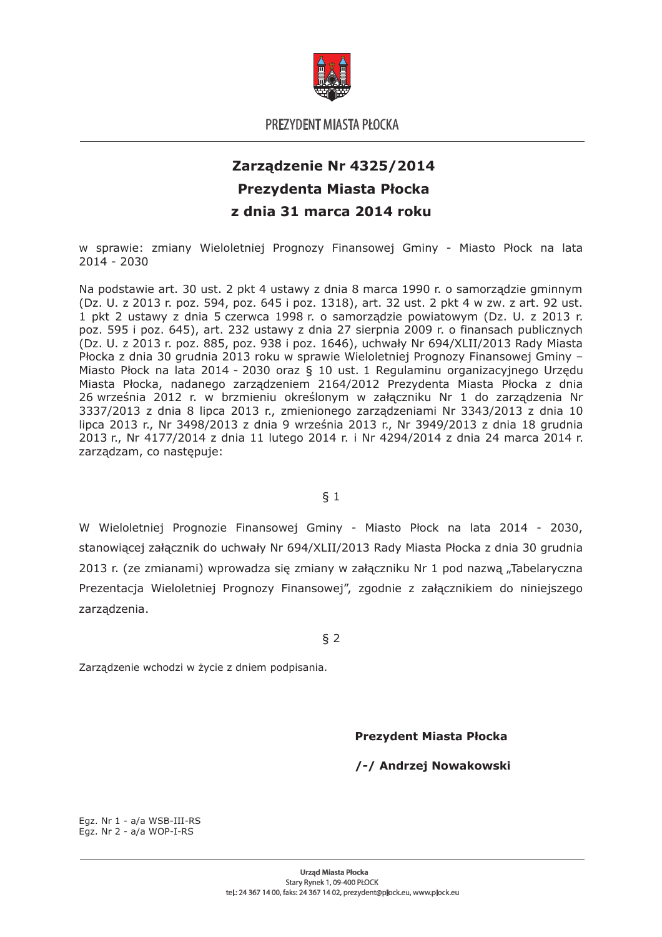

**PREZYDENT MIASTA PŁOCKA** 

## Zarządzenie Nr 4325/2014 Prezvdenta Miasta Płocka z dnia 31 marca 2014 roku

w sprawie: zmiany Wieloletniej Prognozy Finansowej Gminy - Miasto Płock na lata  $2014 - 2030$ 

Na podstawie art. 30 ust. 2 pkt 4 ustawy z dnia 8 marca 1990 r. o samorządzie gminnym (Dz. U. z 2013 r. poz. 594, poz. 645 i poz. 1318), art. 32 ust. 2 pkt 4 w zw. z art. 92 ust. 1 pkt 2 ustawy z dnia 5 czerwca 1998 r. o samorządzie powiatowym (Dz. U. z 2013 r. poz. 595 i poz. 645), art. 232 ustawy z dnia 27 sierpnia 2009 r. o finansach publicznych (Dz. U. z 2013 r. poz. 885, poz. 938 i poz. 1646), uchwały Nr 694/XLII/2013 Rady Miasta Płocka z dnia 30 grudnia 2013 roku w sprawie Wieloletniej Prognozy Finansowej Gminy -Miasto Płock na lata 2014 - 2030 oraz § 10 ust. 1 Regulaminu organizacyjnego Urzędu Miasta Płocka, nadanego zarządzeniem 2164/2012 Prezydenta Miasta Płocka z dnia 26 września 2012 r. w brzmieniu określonym w załaczniku Nr 1 do zarzadzenia Nr 3337/2013 z dnia 8 lipca 2013 r., zmienionego zarządzeniami Nr 3343/2013 z dnia 10 lipca 2013 r., Nr 3498/2013 z dnia 9 września 2013 r., Nr 3949/2013 z dnia 18 grudnia 2013 r., Nr 4177/2014 z dnia 11 lutego 2014 r. i Nr 4294/2014 z dnia 24 marca 2014 r. zarządzam, co następuje:

## $\S_1$

W Wieloletniej Prognozie Finansowej Gminy - Miasto Płock na lata 2014 - 2030, stanowiącej załącznik do uchwały Nr 694/XLII/2013 Rady Miasta Płocka z dnia 30 grudnia 2013 r. (ze zmianami) wprowadza się zmiany w załączniku Nr 1 pod nazwą "Tabelaryczna Prezentacja Wieloletniej Prognozy Finansowej", zgodnie z załącznikiem do niniejszego zarządzenia.

 $§$  2

Zarządzenie wchodzi w życie z dniem podpisania.

**Prezydent Miasta Płocka** 

/-/ Andrzei Nowakowski

Egz. Nr 1 - a/a WSB-III-RS Egz. Nr 2 - a/a WOP-I-RS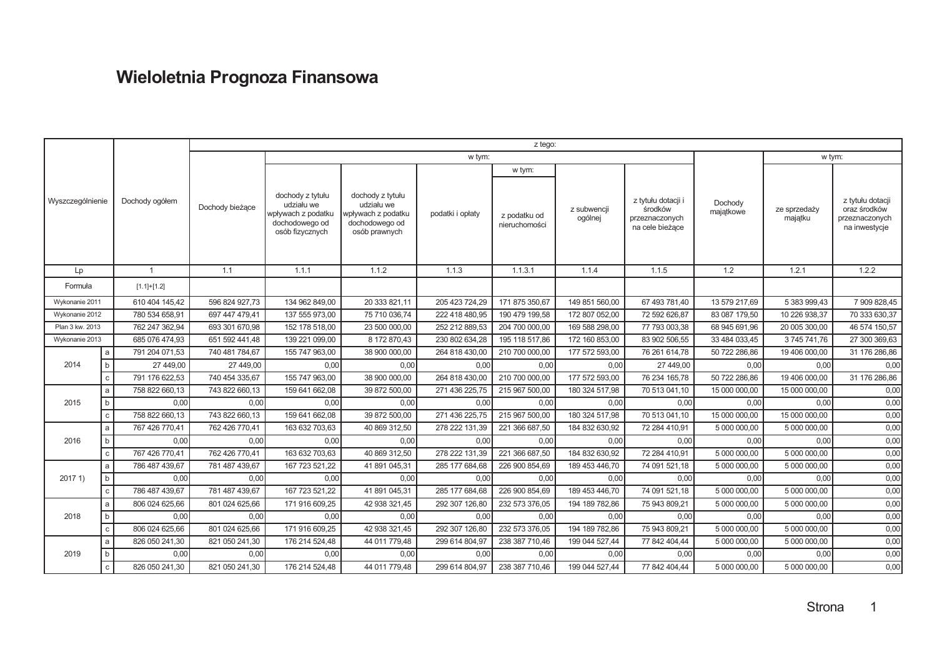## Wieloletnia Prognoza Finansowa

| z tego:          |              |                |                 |                                                                                           |                                                                                         |                  |                               |                        |                                                                    |                      |                         |                                                                     |
|------------------|--------------|----------------|-----------------|-------------------------------------------------------------------------------------------|-----------------------------------------------------------------------------------------|------------------|-------------------------------|------------------------|--------------------------------------------------------------------|----------------------|-------------------------|---------------------------------------------------------------------|
|                  |              |                |                 |                                                                                           |                                                                                         | w tym:           |                               |                        |                                                                    |                      |                         | w tym:                                                              |
|                  |              |                |                 |                                                                                           |                                                                                         |                  | w tym:                        |                        |                                                                    |                      |                         |                                                                     |
| Wyszczególnienie |              | Dochody ogółem | Dochody bieżące | dochody z tytułu<br>udziału we<br>wpływach z podatku<br>dochodowego od<br>osób fizycznych | dochody z tytułu<br>udziału we<br>wpływach z podatku<br>dochodowego od<br>osób prawnych | podatki i opłaty | z podatku od<br>nieruchomości | z subwencji<br>ogólnej | z tytułu dotacji i<br>środków<br>przeznaczonych<br>na cele bieżące | Dochody<br>majątkowe | ze sprzedaży<br>majątku | z tytułu dotacji<br>oraz środków<br>przeznaczonych<br>na inwestycje |
| Lp               |              | $\overline{1}$ | 1.1             | 1.1.1                                                                                     | 1.1.2                                                                                   | 1.1.3            | 1.1.3.1                       | 1.1.4                  | 1.1.5                                                              | 1.2                  | 1.2.1                   | 1.2.2                                                               |
| Formuła          |              | $[1.1]+[1.2]$  |                 |                                                                                           |                                                                                         |                  |                               |                        |                                                                    |                      |                         |                                                                     |
| Wykonanie 2011   |              | 610 404 145,42 | 596 824 927,73  | 134 962 849,00                                                                            | 20 333 821,11                                                                           | 205 423 724.29   | 171 875 350,67                | 149 851 560,00         | 67 493 781.40                                                      | 13 579 217.69        | 5 383 999,43            | 7 909 828.45                                                        |
| Wykonanie 2012   |              | 780 534 658,91 | 697 447 479,41  | 137 555 973,00                                                                            | 75 710 036,74                                                                           | 222 418 480,95   | 190 479 199,58                | 172 807 052,00         | 72 592 626,87                                                      | 83 087 179,50        | 10 226 938,37           | 70 333 630,37                                                       |
| Plan 3 kw. 2013  |              | 762 247 362,94 | 693 301 670,98  | 152 178 518,00                                                                            | 23 500 000,00                                                                           | 252 212 889,53   | 204 700 000,00                | 169 588 298,00         | 77 793 003,38                                                      | 68 945 691,96        | 20 005 300,00           | 46 574 150,57                                                       |
| Wykonanie 2013   |              | 685 076 474,93 | 651 592 441,48  | 139 221 099,00                                                                            | 8 172 870.43                                                                            | 230 802 634,28   | 195 118 517,86                | 172 160 853,00         | 83 902 506,55                                                      | 33 484 033,45        | 3745741,76              | 27 300 369,63                                                       |
|                  | a            | 791 204 071,53 | 740 481 784,67  | 155 747 963,00                                                                            | 38 900 000,00                                                                           | 264 818 430,00   | 210 700 000,00                | 177 572 593,00         | 76 261 614,78                                                      | 50 722 286,86        | 19 406 000,00           | 31 176 286,86                                                       |
| 2014             | $\mathbf b$  | 27 449,00      | 27 449,00       | 0.00                                                                                      | 0,00                                                                                    | 0.00             | 0.00                          | 0,00                   | 27 449,00                                                          | 0,00                 | 0.00                    | 0,00                                                                |
|                  | C            | 791 176 622,53 | 740 454 335,67  | 155 747 963,00                                                                            | 38 900 000,00                                                                           | 264 818 430,00   | 210 700 000,00                | 177 572 593,00         | 76 234 165,78                                                      | 50 722 286,86        | 19 406 000,00           | 31 176 286,86                                                       |
|                  | $\mathsf{a}$ | 758 822 660,13 | 743 822 660,13  | 159 641 662,08                                                                            | 39 872 500,00                                                                           | 271 436 225,75   | 215 967 500,00                | 180 324 517,98         | 70 513 041,10                                                      | 15 000 000,00        | 15 000 000,00           | 0,00                                                                |
| 2015             | $\mathbf b$  | 0,00           | 0,00            | 0.00                                                                                      | 0,00                                                                                    | 0.00             | 0.00                          | 0,00                   | 0,00                                                               | 0,00                 | 0,00                    | 0,00                                                                |
|                  | $\mathsf{C}$ | 758 822 660,13 | 743 822 660,13  | 159 641 662,08                                                                            | 39 872 500,00                                                                           | 271 436 225,75   | 215 967 500,00                | 180 324 517,98         | 70 513 041,10                                                      | 15 000 000,00        | 15 000 000,00           | 0,00                                                                |
|                  | a            | 767 426 770,41 | 762 426 770,41  | 163 632 703,63                                                                            | 40 869 312,50                                                                           | 278 222 131,39   | 221 366 687,50                | 184 832 630,92         | 72 284 410,91                                                      | 5 000 000,00         | 5 000 000,00            | 0,00                                                                |
| 2016             | $\mathbf b$  | 0,00           | 0,00            | 0,00                                                                                      | 0,00                                                                                    | 0,00             | 0,00                          | 0,00                   | 0,00                                                               | 0,00                 | 0,00                    | 0,00                                                                |
|                  | $\mathtt{C}$ | 767 426 770,41 | 762 426 770,41  | 163 632 703,63                                                                            | 40 869 312,50                                                                           | 278 222 131,39   | 221 366 687,50                | 184 832 630,92         | 72 284 410,91                                                      | 5 000 000,00         | 5 000 000,00            | 0,00                                                                |
|                  | a            | 786 487 439,67 | 781 487 439,67  | 167 723 521,22                                                                            | 41 891 045,31                                                                           | 285 177 684,68   | 226 900 854,69                | 189 453 446,70         | 74 091 521,18                                                      | 5 000 000,00         | 5 000 000,00            | 0,00                                                                |
| 20171            | $\mathbf b$  | 0,00           | 0,00            | 0,00                                                                                      | 0,00                                                                                    | 0,00             | 0,00                          | 0,00                   | 0,00                                                               | 0,00                 | 0,00                    | 0,00                                                                |
|                  | $\mathtt{C}$ | 786 487 439,67 | 781 487 439,67  | 167 723 521,22                                                                            | 41 891 045,31                                                                           | 285 177 684,68   | 226 900 854,69                | 189 453 446,70         | 74 091 521,18                                                      | 5 000 000,00         | 5 000 000,00            | 0,00                                                                |
|                  | a            | 806 024 625,66 | 801 024 625,66  | 171 916 609,25                                                                            | 42 938 321,45                                                                           | 292 307 126,80   | 232 573 376,05                | 194 189 782,86         | 75 943 809,21                                                      | 5 000 000,00         | 5 000 000,00            | 0,00                                                                |
| 2018             | $\mathbf b$  | 0,00           | 0,00            | 0,00                                                                                      | 0,00                                                                                    | 0,00             | 0,00                          | 0,00                   | 0,00                                                               | 0,00                 | 0,00                    | 0,00                                                                |
|                  | $\mathsf{C}$ | 806 024 625,66 | 801 024 625,66  | 171 916 609,25                                                                            | 42 938 321,45                                                                           | 292 307 126,80   | 232 573 376,05                | 194 189 782,86         | 75 943 809.21                                                      | 5 000 000,00         | 5 000 000,00            | 0,00                                                                |
|                  | a            | 826 050 241,30 | 821 050 241,30  | 176 214 524,48                                                                            | 44 011 779,48                                                                           | 299 614 804,97   | 238 387 710,46                | 199 044 527,44         | 77 842 404,44                                                      | 5 000 000,00         | 5 000 000,00            | 0,00                                                                |
| 2019             | b            | 0,00           | 0,00            | 0,00                                                                                      | 0,00                                                                                    | 0,00             | 0,00                          | 0,00                   | 0,00                                                               | 0,00                 | 0,00                    | 0,00                                                                |
|                  | $\mathbf c$  | 826 050 241.30 | 821 050 241.30  | 176 214 524,48                                                                            | 44 011 779.48                                                                           | 299 614 804.97   | 238 387 710.46                | 199 044 527.44         | 77 842 404.44                                                      | 5 000 000.00         | 5 000 000.00            | 0,00                                                                |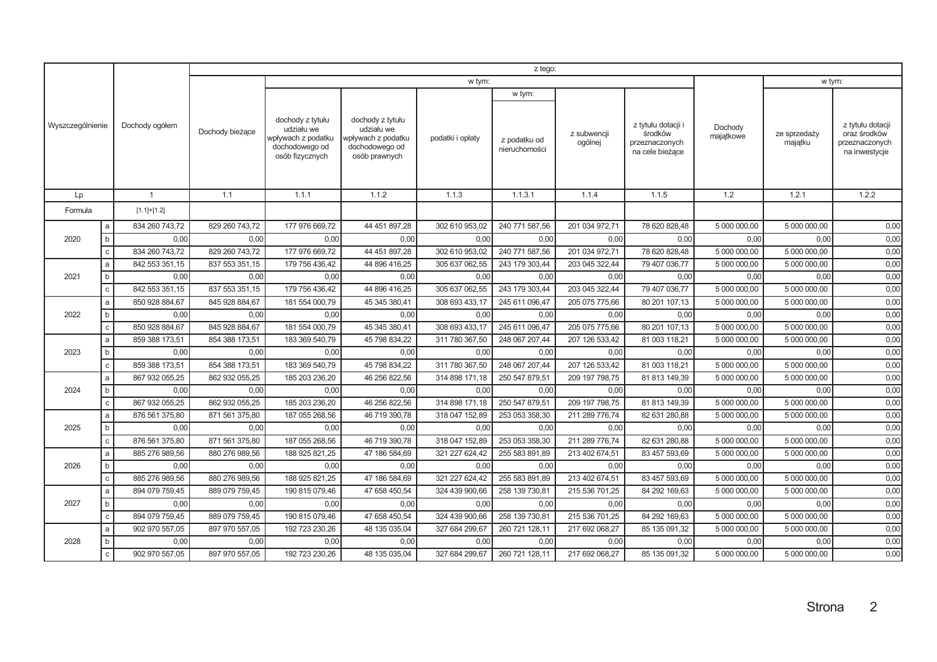|                  | z tego:      |                |                 |                                                                                           |                                                                                         |                  |                               |                        |                                                                    |                      |                         |                                                                     |
|------------------|--------------|----------------|-----------------|-------------------------------------------------------------------------------------------|-----------------------------------------------------------------------------------------|------------------|-------------------------------|------------------------|--------------------------------------------------------------------|----------------------|-------------------------|---------------------------------------------------------------------|
|                  |              |                |                 |                                                                                           |                                                                                         | w tym:           |                               |                        |                                                                    |                      | w tym:                  |                                                                     |
|                  |              |                |                 |                                                                                           |                                                                                         |                  | w tym:                        |                        |                                                                    |                      |                         |                                                                     |
| Wyszczególnienie |              | Dochody ogółem | Dochody bieżące | dochody z tytułu<br>udziału we<br>wpływach z podatku<br>dochodowego od<br>osób fizycznych | dochody z tytułu<br>udziału we<br>wpływach z podatku<br>dochodowego od<br>osób prawnych | podatki i opłaty | z podatku od<br>nieruchomości | z subwencji<br>ogólnej | z tytułu dotacji i<br>środków<br>przeznaczonych<br>na cele bieżące | Dochody<br>majątkowe | ze sprzedaży<br>majątku | z tytułu dotacji<br>oraz środków<br>przeznaczonych<br>na inwestycje |
| Lp               |              | $\overline{1}$ | 1.1             | 1.1.1                                                                                     | 1.1.2                                                                                   | 1.1.3            | 1.1.3.1                       | 1.1.4                  | 1.1.5                                                              | 1.2                  | 1.2.1                   | 1.2.2                                                               |
| Formuła          |              | $[1.1]+[1.2]$  |                 |                                                                                           |                                                                                         |                  |                               |                        |                                                                    |                      |                         |                                                                     |
|                  | a            | 834 260 743,72 | 829 260 743,72  | 177 976 669,72                                                                            | 44 451 897,28                                                                           | 302 610 953,02   | 240 771 587,56                | 201 034 972,71         | 78 620 828,48                                                      | 5 000 000,00         | 5 000 000,00            | 0,00                                                                |
| 2020             | b            | 0,00           | 0,00            | 0,00                                                                                      | 0,00                                                                                    | 0,00             | 0,00                          | 0,00                   | 0,00                                                               | 0,00                 | 0,00                    | 0,00                                                                |
|                  | $\mathtt{C}$ | 834 260 743,72 | 829 260 743,72  | 177 976 669,72                                                                            | 44 451 897,28                                                                           | 302 610 953,02   | 240 771 587,56                | 201 034 972,71         | 78 620 828,48                                                      | 5 000 000,00         | 5 000 000,00            | 0,00                                                                |
|                  | a            | 842 553 351,15 | 837 553 351,15  | 179 756 436,42                                                                            | 44 896 416,25                                                                           | 305 637 062,55   | 243 179 303,44                | 203 045 322,44         | 79 407 036,77                                                      | 5 000 000,00         | 5 000 000,00            | 0,00                                                                |
| 2021             | b            | 0,00           | 0,00            | 0,00                                                                                      | 0,00                                                                                    | 0,00             | 0,00                          | 0,00                   | 0,00                                                               | 0,00                 | 0,00                    | 0,00                                                                |
|                  | $\mathbf c$  | 842 553 351,15 | 837 553 351.15  | 179 756 436,42                                                                            | 44 896 416.25                                                                           | 305 637 062.55   | 243 179 303.44                | 203 045 322,44         | 79 407 036.77                                                      | 5 000 000.00         | 5 000 000,00            | 0,00                                                                |
|                  | a            | 850 928 884,67 | 845 928 884,67  | 181 554 000,79                                                                            | 45 345 380,41                                                                           | 308 693 433,17   | 245 611 096,47                | 205 075 775,66         | 80 201 107,13                                                      | 5 000 000,00         | 5 000 000,00            | 0,00                                                                |
| 2022             | b            | 0,00           | 0,00            | 0,00                                                                                      | 0,00                                                                                    | 0,00             | 0,00                          | 0,00                   | 0,00                                                               | 0,00                 | 0,00                    | 0,00                                                                |
|                  | $\mathbf C$  | 850 928 884,67 | 845 928 884,67  | 181 554 000,79                                                                            | 45 345 380,41                                                                           | 308 693 433,17   | 245 611 096,47                | 205 075 775,66         | 80 201 107,13                                                      | 5 000 000,00         | 5 000 000,00            | 0,00                                                                |
|                  | a            | 859 388 173,51 | 854 388 173,51  | 183 369 540,79                                                                            | 45 798 834,22                                                                           | 311 780 367,50   | 248 067 207,44                | 207 126 533,42         | 81 003 118,21                                                      | 5 000 000,00         | 5 000 000,00            | 0,00                                                                |
| 2023             | b            | 0,00           | 0,00            | 0,00                                                                                      | 0,00                                                                                    | 0,00             | 0,00                          | 0,00                   | 0,00                                                               | 0,00                 | 0,00                    | 0,00                                                                |
|                  | $\mathbf c$  | 859 388 173,51 | 854 388 173,51  | 183 369 540,79                                                                            | 45 798 834,22                                                                           | 311 780 367,50   | 248 067 207,44                | 207 126 533,42         | 81 003 118,21                                                      | 5 000 000,00         | 5 000 000,00            | 0,00                                                                |
|                  | a            | 867 932 055,25 | 862 932 055,25  | 185 203 236,20                                                                            | 46 256 822,56                                                                           | 314 898 171,18   | 250 547 879,51                | 209 197 798,75         | 81 813 149,39                                                      | 5 000 000,00         | 5 000 000,00            | 0,00                                                                |
| 2024             | b            | 0,00           | 0,00            | 0,00                                                                                      | 0,00                                                                                    | 0,00             | 0,00                          | 0,00                   | 0,00                                                               | 0,00                 | 0,00                    | 0,00                                                                |
|                  | $\mathbf c$  | 867 932 055,25 | 862 932 055,25  | 185 203 236,20                                                                            | 46 256 822,56                                                                           | 314 898 171,18   | 250 547 879,51                | 209 197 798,75         | 81 813 149,39                                                      | 5 000 000,00         | 5 000 000,00            | 0,00                                                                |
|                  | a            | 876 561 375,80 | 871 561 375,80  | 187 055 268,56                                                                            | 46 719 390,78                                                                           | 318 047 152,89   | 253 053 358,30                | 211 289 776,74         | 82 631 280,88                                                      | 5 000 000,00         | 5 000 000,00            | 0,00                                                                |
| 2025             | b            | 0,00           | 0,00            | 0,00                                                                                      | 0,00                                                                                    | 0.00             | 0,00                          | 0,00                   | 0,00                                                               | 0,00                 | 0,00                    | 0,00                                                                |
|                  | $\mathbf c$  | 876 561 375,80 | 871 561 375,80  | 187 055 268,56                                                                            | 46 719 390,78                                                                           | 318 047 152,89   | 253 053 358,30                | 211 289 776,74         | 82 631 280,88                                                      | 5 000 000,00         | 5 000 000,00            | 0,00                                                                |
|                  | a            | 885 276 989,56 | 880 276 989,56  | 188 925 821,25                                                                            | 47 186 584,69                                                                           | 321 227 624,42   | 255 583 891,89                | 213 402 674,51         | 83 457 593,69                                                      | 5 000 000,00         | 5 000 000,00            | 0,00                                                                |
| 2026             | b            | 0,00           | 0,00            | 0,00                                                                                      | 0,00                                                                                    | 0,00             | 0,00                          | 0,00                   | 0,00                                                               | 0,00                 | 0,00                    | 0,00                                                                |
|                  | $\mathbf c$  | 885 276 989,56 | 880 276 989,56  | 188 925 821,25                                                                            | 47 186 584,69                                                                           | 321 227 624,42   | 255 583 891,89                | 213 402 674,51         | 83 457 593,69                                                      | 5 000 000,00         | 5 000 000,00            | 0,00                                                                |
|                  | a            | 894 079 759,45 | 889 079 759,45  | 190 815 079,46                                                                            | 47 658 450,54                                                                           | 324 439 900,66   | 258 139 730,81                | 215 536 701,25         | 84 292 169,63                                                      | 5 000 000,00         | 5 000 000,00            | 0,00                                                                |
| 2027             | b            | 0,00           | 0,00            | 0,00                                                                                      | 0,00                                                                                    | 0,00             | 0,00                          | 0,00                   | 0,00                                                               | 0,00                 | 0,00                    | 0,00                                                                |
|                  | $\mathsf{C}$ | 894 079 759,45 | 889 079 759,45  | 190 815 079,46                                                                            | 47 658 450,54                                                                           | 324 439 900,66   | 258 139 730,81                | 215 536 701,25         | 84 292 169,63                                                      | 5 000 000,00         | 5 000 000,00            | 0,00                                                                |
|                  | a            | 902 970 557,05 | 897 970 557,05  | 192 723 230,26                                                                            | 48 135 035,04                                                                           | 327 684 299,67   | 260 721 128,11                | 217 692 068,27         | 85 135 091,32                                                      | 5 000 000,00         | 5 000 000,00            | 0,00                                                                |
| 2028             |              | 0,00           | 0,00            | 0,00                                                                                      | 0,00                                                                                    | 0.00             | 0,00                          | 0,00                   | 0,00                                                               | 0,00                 | 0,00                    | 0,00                                                                |
|                  | $\mathbf c$  | 902 970 557.05 | 897 970 557.05  | 192 723 230.26                                                                            | 48 135 035.04                                                                           | 327 684 299.67   | 260 721 128.11                | 217 692 068.27         | 85 135 091.32                                                      | 5 000 000.00         | 5 000 000.00            | 0,00                                                                |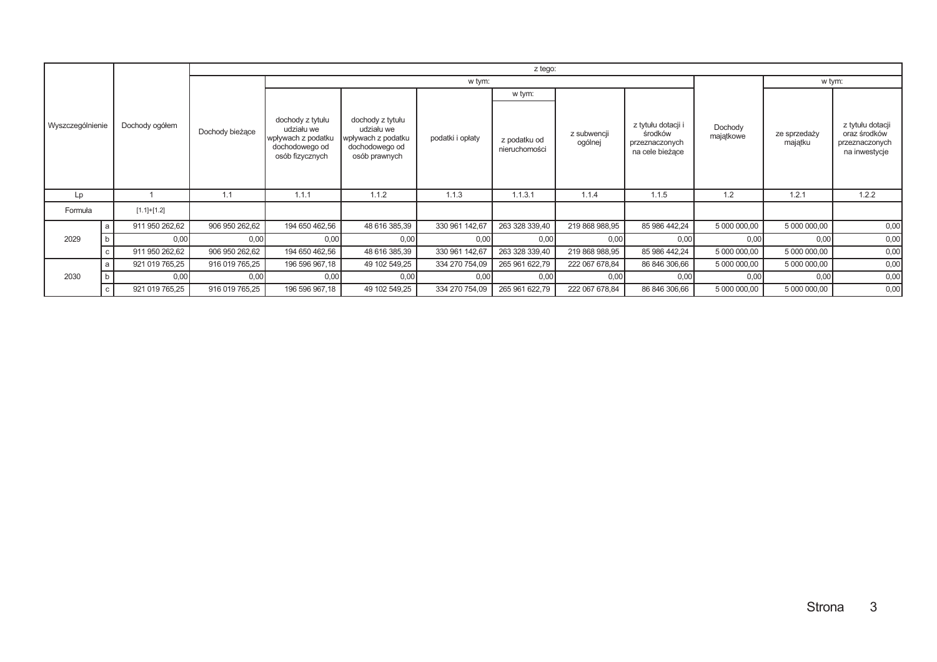|                  |   |                |                 |                                                                                           |                                                                                         |                  | z tego:                       |                        |                                                                    |                      |                         |                                                                     |
|------------------|---|----------------|-----------------|-------------------------------------------------------------------------------------------|-----------------------------------------------------------------------------------------|------------------|-------------------------------|------------------------|--------------------------------------------------------------------|----------------------|-------------------------|---------------------------------------------------------------------|
|                  |   |                |                 |                                                                                           |                                                                                         | w tym:           |                               |                        |                                                                    |                      |                         | w tym:                                                              |
|                  |   |                |                 |                                                                                           |                                                                                         |                  | w tym:                        |                        |                                                                    |                      |                         |                                                                     |
| Wyszczególnienie |   | Dochody ogółem | Dochody bieżące | dochody z tytułu<br>udziału we<br>wpływach z podatku<br>dochodowego od<br>osób fizycznych | dochody z tytułu<br>udziału we<br>wpływach z podatku<br>dochodowego od<br>osób prawnych | podatki i opłaty | z podatku od<br>nieruchomości | z subwencji<br>ogólnej | z tytułu dotacji i<br>środków<br>przeznaczonych<br>na cele bieżace | Dochody<br>majątkowe | ze sprzedaży<br>majątku | z tytułu dotacji<br>oraz środków<br>przeznaczonych<br>na inwestycje |
| Lp               |   |                | 1.1             | 1.1.1                                                                                     | 1.1.2                                                                                   | 1.1.3            | 1.1.3.1                       | 1.1.4                  | 1.1.5                                                              | 1.2                  | 1.2.1                   | 1.2.2                                                               |
| Formuła          |   | $[1.1]+[1.2]$  |                 |                                                                                           |                                                                                         |                  |                               |                        |                                                                    |                      |                         |                                                                     |
|                  | a | 911 950 262,62 | 906 950 262,62  | 194 650 462,56                                                                            | 48 616 385,39                                                                           | 330 961 142,67   | 263 328 339,40                | 219 868 988,95         | 85 986 442,24                                                      | 5 000 000,00         | 5 000 000,00            | 0,00                                                                |
| 2029             |   | 0.00           | 0,00            | 0,00                                                                                      | 0,00                                                                                    | 0,00             | 0,00                          | 0.00                   | 0,00                                                               | 0,00                 | 0,00                    | 0,00                                                                |
|                  |   | 911 950 262,62 | 906 950 262,62  | 194 650 462,56                                                                            | 48 616 385,39                                                                           | 330 961 142,67   | 263 328 339,40                | 219 868 988,95         | 85 986 442,24                                                      | 5 000 000,00         | 5 000 000,00            | 0,00                                                                |
|                  | a | 921 019 765,25 | 916 019 765,25  | 196 596 967,18                                                                            | 49 102 549,25                                                                           | 334 270 754,09   | 265 961 622,79                | 222 067 678,84         | 86 846 306,66                                                      | 5 000 000,00         | 5 000 000,00            | 0,00                                                                |
| 2030             |   | 0.00           | 0,00            | 0,00                                                                                      | 0,00                                                                                    | 0,00             | 0,00                          | 0.00                   | 0,00                                                               | 0,00                 | 0,00                    | 0,00                                                                |
|                  |   | 921 019 765,25 | 916 019 765,25  | 196 596 967,18                                                                            | 49 102 549,25                                                                           | 334 270 754,09   | 265 961 622,79                | 222 067 678,84         | 86 846 306,66                                                      | 5 000 000,00         | 5 000 000,00            | 0,00                                                                |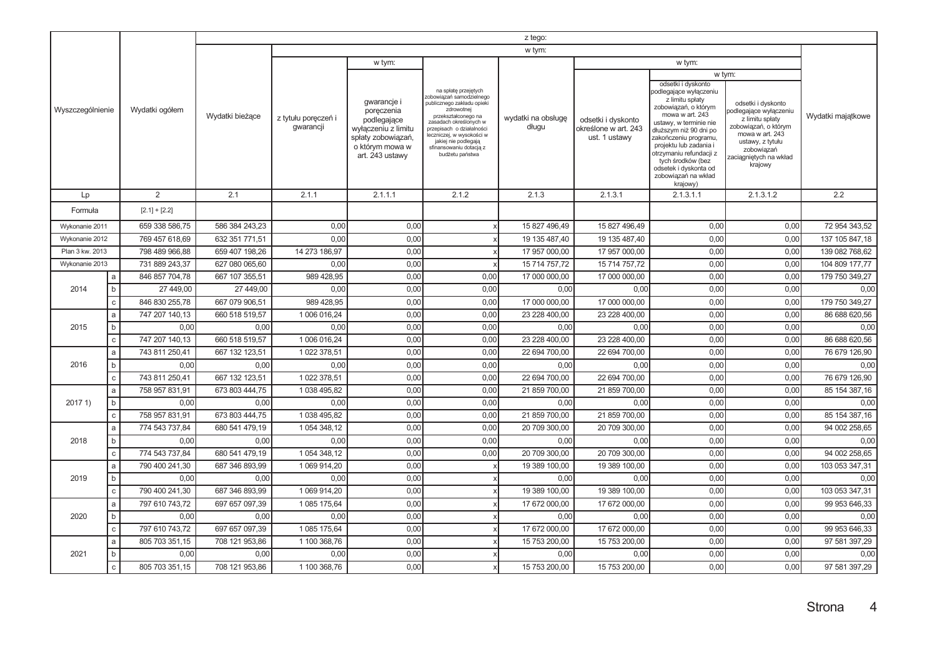|                  |              |                 |                 |                                  |                                                                                                                             |                                                                                                                                                                                                                                                                              | z tego:                     |                                                             |                                                                                                                                                                                                                                                                                                                               |                                                                                                                                                                                   |                   |
|------------------|--------------|-----------------|-----------------|----------------------------------|-----------------------------------------------------------------------------------------------------------------------------|------------------------------------------------------------------------------------------------------------------------------------------------------------------------------------------------------------------------------------------------------------------------------|-----------------------------|-------------------------------------------------------------|-------------------------------------------------------------------------------------------------------------------------------------------------------------------------------------------------------------------------------------------------------------------------------------------------------------------------------|-----------------------------------------------------------------------------------------------------------------------------------------------------------------------------------|-------------------|
|                  |              |                 |                 |                                  |                                                                                                                             |                                                                                                                                                                                                                                                                              | w tym:                      |                                                             |                                                                                                                                                                                                                                                                                                                               |                                                                                                                                                                                   |                   |
|                  |              |                 |                 |                                  | w tym:                                                                                                                      |                                                                                                                                                                                                                                                                              |                             |                                                             | w tym:                                                                                                                                                                                                                                                                                                                        |                                                                                                                                                                                   |                   |
|                  |              |                 |                 |                                  |                                                                                                                             |                                                                                                                                                                                                                                                                              |                             |                                                             |                                                                                                                                                                                                                                                                                                                               | w tym:                                                                                                                                                                            |                   |
| Wyszczególnienie |              | Wydatki ogółem  | Wydatki bieżące | z tytułu poręczeń i<br>gwarancji | gwarancje i<br>poręczenia<br>podlegające<br>wyłączeniu z limitu<br>spłaty zobowiązań,<br>o którym mowa w<br>art. 243 ustawy | na spłatę przejętych<br>zobowiązań samodzielnego<br>publicznego zakładu opieki<br>zdrowotnej<br>przekształconego na<br>zasadach określonych w<br>przepisach o działalności<br>eczniczej, w wysokości w<br>jakiej nie podlegają<br>sfinansowaniu dotacją z<br>budżetu państwa | wydatki na obsługę<br>długu | odsetki i dyskonto<br>określone w art. 243<br>ust. 1 ustawy | odsetki i dyskonto<br>podlegające wyłączeniu<br>z limitu spłaty<br>zobowiązań, o którym<br>mowa w art. 243<br>ustawy, w terminie nie<br>dłuższym niż 90 dni po<br>zakończeniu programu,<br>projektu lub zadania i<br>otrzymaniu refundacji z<br>tych środków (bez<br>odsetek i dyskonta od<br>zobowiązań na wkład<br>krajowy) | odsetki i dyskonto<br>oodlegające wyłączeniu<br>z limitu spłaty<br>zobowiązań, o którym<br>mowa w art. 243<br>ustawy, z tytułu<br>zobowiązań<br>zaciągniętych na wkład<br>krajowy | Wydatki majątkowe |
| Lp               |              | 2               | 2.1             | 2.1.1                            | 2.1.1.1                                                                                                                     | 2.1.2                                                                                                                                                                                                                                                                        | 2.1.3                       | 2.1.3.1                                                     | 2.1.3.1.1                                                                                                                                                                                                                                                                                                                     | 2.1.3.1.2                                                                                                                                                                         | 2.2               |
| Formuła          |              | $[2.1] + [2.2]$ |                 |                                  |                                                                                                                             |                                                                                                                                                                                                                                                                              |                             |                                                             |                                                                                                                                                                                                                                                                                                                               |                                                                                                                                                                                   |                   |
| Wykonanie 2011   |              | 659 338 586,75  | 586 384 243,23  | 0,00                             | 0,00                                                                                                                        |                                                                                                                                                                                                                                                                              | 15 827 496,49               | 15 827 496,49                                               | 0,00                                                                                                                                                                                                                                                                                                                          | 0,00                                                                                                                                                                              | 72 954 343,52     |
| Wykonanie 2012   |              | 769 457 618,69  | 632 351 771,51  | 0.00                             | 0.00                                                                                                                        |                                                                                                                                                                                                                                                                              | 19 135 487,40               | 19 135 487,40                                               | 0,00                                                                                                                                                                                                                                                                                                                          | 0.00                                                                                                                                                                              | 137 105 847,18    |
| Plan 3 kw. 2013  |              | 798 489 966,88  | 659 407 198,26  | 14 273 186,97                    | 0,00                                                                                                                        |                                                                                                                                                                                                                                                                              | 17 957 000,00               | 17 957 000,00                                               | 0,00                                                                                                                                                                                                                                                                                                                          | 0,00                                                                                                                                                                              | 139 082 768,62    |
| Wykonanie 2013   |              | 731 889 243,37  | 627 080 065,60  | 0,00                             | 0,00                                                                                                                        |                                                                                                                                                                                                                                                                              | 15 714 757,72               | 15 714 757,72                                               | 0,00                                                                                                                                                                                                                                                                                                                          | 0,00                                                                                                                                                                              | 104 809 177,77    |
|                  | a            | 846 857 704,78  | 667 107 355,51  | 989 428,95                       | 0,00                                                                                                                        | 0,00                                                                                                                                                                                                                                                                         | 17 000 000,00               | 17 000 000,00                                               | 0,00                                                                                                                                                                                                                                                                                                                          | 0,00                                                                                                                                                                              | 179 750 349,27    |
| 2014             | b            | 27 449,00       | 27 449,00       | 0,00                             | 0,00                                                                                                                        | 0,00                                                                                                                                                                                                                                                                         | 0,00                        | 0,00                                                        | 0,00                                                                                                                                                                                                                                                                                                                          | 0,00                                                                                                                                                                              | 0,00              |
|                  | $\mathbf{C}$ | 846 830 255,78  | 667 079 906,51  | 989 428,95                       | 0,00                                                                                                                        | 0,00                                                                                                                                                                                                                                                                         | 17 000 000,00               | 17 000 000,00                                               | 0,00                                                                                                                                                                                                                                                                                                                          | 0,00                                                                                                                                                                              | 179 750 349,27    |
|                  | $\mathsf{a}$ | 747 207 140,13  | 660 518 519,57  | 1 006 016,24                     | 0,00                                                                                                                        | 0,00                                                                                                                                                                                                                                                                         | 23 228 400,00               | 23 228 400,00                                               | 0,00                                                                                                                                                                                                                                                                                                                          | 0,00                                                                                                                                                                              | 86 688 620,56     |
| 2015             | b            | 0,00            | 0.00            | 0.00                             | 0,00                                                                                                                        | 0,00                                                                                                                                                                                                                                                                         | 0,00                        | 0,00                                                        | 0,00                                                                                                                                                                                                                                                                                                                          | 0.00                                                                                                                                                                              | 0,00              |
|                  | $\mathtt{C}$ | 747 207 140,13  | 660 518 519,57  | 1 006 016,24                     | 0,00                                                                                                                        | 0,00                                                                                                                                                                                                                                                                         | 23 228 400,00               | 23 228 400,00                                               | 0,00                                                                                                                                                                                                                                                                                                                          | 0,00                                                                                                                                                                              | 86 688 620,56     |
|                  | a            | 743 811 250,41  | 667 132 123,51  | 1 022 378.51                     | 0,00                                                                                                                        | 0,00                                                                                                                                                                                                                                                                         | 22 694 700,00               | 22 694 700,00                                               | 0,00                                                                                                                                                                                                                                                                                                                          | 0.00                                                                                                                                                                              | 76 679 126,90     |
| 2016             | b            | 0,00            | 0,00            | 0,00                             | 0,00                                                                                                                        | 0,00                                                                                                                                                                                                                                                                         | 0,00                        | 0,00                                                        | 0,00                                                                                                                                                                                                                                                                                                                          | 0,00                                                                                                                                                                              | 0,00              |
|                  | $\mathtt{c}$ | 743 811 250,41  | 667 132 123,51  | 1 022 378,51                     | 0,00                                                                                                                        | 0,00                                                                                                                                                                                                                                                                         | 22 694 700,00               | 22 694 700,00                                               | 0,00                                                                                                                                                                                                                                                                                                                          | 0.00                                                                                                                                                                              | 76 679 126,90     |
|                  | a            | 758 957 831,91  | 673 803 444,75  | 1 038 495,82                     | 0,00                                                                                                                        | 0,00                                                                                                                                                                                                                                                                         | 21 859 700,00               | 21 859 700,00                                               | 0,00                                                                                                                                                                                                                                                                                                                          | 0,00                                                                                                                                                                              | 85 154 387,16     |
| 2017 1)          | b            | 0,00            | 0,00            | 0,00                             | 0,00                                                                                                                        | 0,00                                                                                                                                                                                                                                                                         | 0,00                        | 0,00                                                        | 0,00                                                                                                                                                                                                                                                                                                                          | 0.00                                                                                                                                                                              | 0,00              |
|                  | $\mathbf{C}$ | 758 957 831,91  | 673 803 444,75  | 1 038 495,82                     | 0,00                                                                                                                        | 0,00                                                                                                                                                                                                                                                                         | 21 859 700,00               | 21 859 700,00                                               | 0,00                                                                                                                                                                                                                                                                                                                          | 0,00                                                                                                                                                                              | 85 154 387,16     |
|                  | a            | 774 543 737,84  | 680 541 479,19  | 1 054 348,12                     | 0,00                                                                                                                        | 0,00                                                                                                                                                                                                                                                                         | 20 709 300,00               | 20 709 300,00                                               | 0,00                                                                                                                                                                                                                                                                                                                          | 0,00                                                                                                                                                                              | 94 002 258,65     |
| 2018             | b            | 0,00            | 0,00            | 0,00                             | 0,00                                                                                                                        | 0,00                                                                                                                                                                                                                                                                         | 0,00                        | 0,00                                                        | 0,00                                                                                                                                                                                                                                                                                                                          | 0,00                                                                                                                                                                              | 0,00              |
|                  | $\mathtt{C}$ | 774 543 737,84  | 680 541 479,19  | 1 054 348,12                     | 0,00                                                                                                                        | 0,00                                                                                                                                                                                                                                                                         | 20 709 300,00               | 20 709 300,00                                               | 0,00                                                                                                                                                                                                                                                                                                                          | 0,00                                                                                                                                                                              | 94 002 258,65     |
|                  | a            | 790 400 241,30  | 687 346 893,99  | 1 069 914,20                     | 0,00                                                                                                                        |                                                                                                                                                                                                                                                                              | 19 389 100,00               | 19 389 100,00                                               | 0,00                                                                                                                                                                                                                                                                                                                          | 0.00                                                                                                                                                                              | 103 053 347,31    |
| 2019             | b            | 0,00            | 0,00            | 0,00                             | 0,00                                                                                                                        |                                                                                                                                                                                                                                                                              | 0,00                        | 0,00                                                        | 0,00                                                                                                                                                                                                                                                                                                                          | 0,00                                                                                                                                                                              | 0,00              |
|                  | $\mathtt{C}$ | 790 400 241,30  | 687 346 893,99  | 1 069 914,20                     | 0,00                                                                                                                        |                                                                                                                                                                                                                                                                              | 19 389 100,00               | 19 389 100,00                                               | 0,00                                                                                                                                                                                                                                                                                                                          | 0.00                                                                                                                                                                              | 103 053 347,31    |
|                  | $\mathsf{a}$ | 797 610 743,72  | 697 657 097,39  | 1 085 175,64                     | 0,00                                                                                                                        |                                                                                                                                                                                                                                                                              | 17 672 000,00               | 17 672 000,00                                               | 0,00                                                                                                                                                                                                                                                                                                                          | 0,00                                                                                                                                                                              | 99 953 646,33     |
| 2020             | b            | 0,00            | 0.00            | 0.00                             | 0,00                                                                                                                        |                                                                                                                                                                                                                                                                              | 0.00                        | 0,00                                                        | 0,00                                                                                                                                                                                                                                                                                                                          | 0.00                                                                                                                                                                              | 0,00              |
|                  | $\mathtt{C}$ | 797 610 743,72  | 697 657 097,39  | 1 085 175,64                     | 0,00                                                                                                                        |                                                                                                                                                                                                                                                                              | 17 672 000,00               | 17 672 000,00                                               | 0,00                                                                                                                                                                                                                                                                                                                          | 0,00                                                                                                                                                                              | 99 953 646,33     |
|                  | $\mathsf{a}$ | 805 703 351,15  | 708 121 953,86  | 1 100 368,76                     | 0,00                                                                                                                        |                                                                                                                                                                                                                                                                              | 15 753 200,00               | 15 753 200,00                                               | 0,00                                                                                                                                                                                                                                                                                                                          | 0.00                                                                                                                                                                              | 97 581 397,29     |
| 2021             | b            | 0,00            | 0,00            | 0,00                             | 0,00                                                                                                                        |                                                                                                                                                                                                                                                                              | 0,00                        | 0,00                                                        | 0,00                                                                                                                                                                                                                                                                                                                          | 0,00                                                                                                                                                                              | 0,00              |
|                  | $\mathtt{C}$ | 805 703 351.15  | 708 121 953.86  | 1 100 368,76                     | 0,00                                                                                                                        |                                                                                                                                                                                                                                                                              | 15 753 200.00               | 15 753 200.00                                               | 0,00                                                                                                                                                                                                                                                                                                                          | 0.00                                                                                                                                                                              | 97 581 397.29     |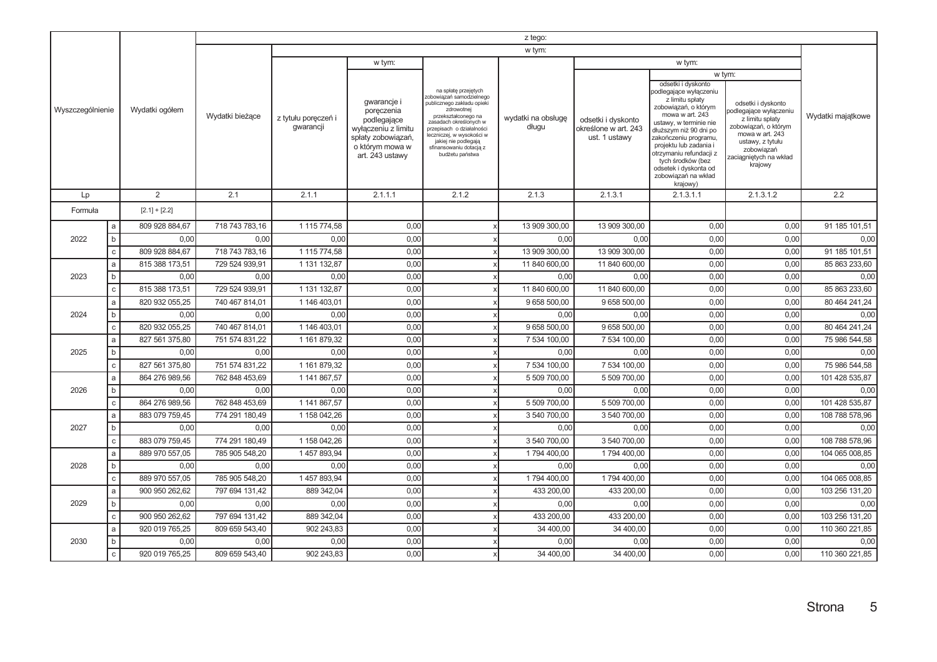|                  |              |                 |                 |                                  |                                                                                                                             |                                                                                                                                                                                                                                                                             | z tego:                     |                                                             |                                                                                                                                                                                                                                                                                                                               |                                                                                                                                                                                             |                   |
|------------------|--------------|-----------------|-----------------|----------------------------------|-----------------------------------------------------------------------------------------------------------------------------|-----------------------------------------------------------------------------------------------------------------------------------------------------------------------------------------------------------------------------------------------------------------------------|-----------------------------|-------------------------------------------------------------|-------------------------------------------------------------------------------------------------------------------------------------------------------------------------------------------------------------------------------------------------------------------------------------------------------------------------------|---------------------------------------------------------------------------------------------------------------------------------------------------------------------------------------------|-------------------|
|                  |              |                 |                 |                                  |                                                                                                                             |                                                                                                                                                                                                                                                                             | w tym:                      |                                                             |                                                                                                                                                                                                                                                                                                                               |                                                                                                                                                                                             |                   |
|                  |              |                 |                 |                                  | w tym:                                                                                                                      |                                                                                                                                                                                                                                                                             |                             |                                                             | w tym:                                                                                                                                                                                                                                                                                                                        |                                                                                                                                                                                             |                   |
| Wyszczególnienie |              | Wydatki ogółem  | Wydatki bieżące | z tytułu poręczeń i<br>gwarancji | gwarancje i<br>poręczenia<br>podlegające<br>wyłączeniu z limitu<br>spłaty zobowiązań,<br>o którym mowa w<br>art. 243 ustawy | na spłatę przejętych<br>obowiązań samodzielnego<br>publicznego zakładu opieki<br>zdrowotnej<br>przekształconego na<br>zasadach określonych w<br>przepisach o działalności<br>eczniczej, w wysokości w<br>jakiej nie podlegają<br>sfinansowaniu dotacją z<br>budżetu państwa | wydatki na obsługę<br>długu | odsetki i dyskonto<br>określone w art. 243<br>ust. 1 ustawy | odsetki i dyskonto<br>podlegające wyłączeniu<br>z limitu spłaty<br>zobowiązań, o którym<br>mowa w art. 243<br>ustawy, w terminie nie<br>dłuższym niż 90 dni po<br>zakończeniu programu,<br>projektu lub zadania i<br>otrzymaniu refundacji z<br>tych środków (bez<br>odsetek i dyskonta od<br>zobowiązań na wkład<br>krajowy) | w tym:<br>odsetki i dyskonto<br>oodlegające wyłączeniu<br>z limitu spłaty<br>zobowiązań, o którym<br>mowa w art. 243<br>ustawy, z tytułu<br>zobowiązań<br>zaciągniętych na wkład<br>krajowy | Wydatki majątkowe |
| Lp               |              | 2               | 2.1             | 2.1.1                            | 2.1.1.1                                                                                                                     | 2.1.2                                                                                                                                                                                                                                                                       | 2.1.3                       | 2.1.3.1                                                     | 2.1.3.1.1                                                                                                                                                                                                                                                                                                                     | 2.1.3.1.2                                                                                                                                                                                   | 2.2               |
| Formuła          |              | $[2.1] + [2.2]$ |                 |                                  |                                                                                                                             |                                                                                                                                                                                                                                                                             |                             |                                                             |                                                                                                                                                                                                                                                                                                                               |                                                                                                                                                                                             |                   |
|                  | a            | 809 928 884,67  | 718 743 783,16  | 1 115 774,58                     | 0,00                                                                                                                        |                                                                                                                                                                                                                                                                             | 13 909 300,00               | 13 909 300,00                                               | 0,00                                                                                                                                                                                                                                                                                                                          | 0.00                                                                                                                                                                                        | 91 185 101,51     |
| 2022             | b            | 0,00            | 0,00            | 0,00                             | 0,00                                                                                                                        |                                                                                                                                                                                                                                                                             | 0,00                        | 0,00                                                        | 0,00                                                                                                                                                                                                                                                                                                                          | 0,00                                                                                                                                                                                        | 0,00              |
|                  | $\mathtt{C}$ | 809 928 884,67  | 718 743 783,16  | 1 115 774,58                     | 0,00                                                                                                                        |                                                                                                                                                                                                                                                                             | 13 909 300,00               | 13 909 300,00                                               | 0,00                                                                                                                                                                                                                                                                                                                          | 0,00                                                                                                                                                                                        | 91 185 101,51     |
|                  | a            | 815 388 173,51  | 729 524 939,91  | 1 131 132,87                     | 0,00                                                                                                                        |                                                                                                                                                                                                                                                                             | 11 840 600,00               | 11 840 600,00                                               | 0,00                                                                                                                                                                                                                                                                                                                          | 0,00                                                                                                                                                                                        | 85 863 233,60     |
| 2023             | b            | 0,00            | 0,00            | 0,00                             | 0,00                                                                                                                        |                                                                                                                                                                                                                                                                             | 0,00                        | 0,00                                                        | 0,00                                                                                                                                                                                                                                                                                                                          | 0,00                                                                                                                                                                                        | 0,00              |
|                  | $\mathbf{C}$ | 815 388 173,51  | 729 524 939,91  | 1 131 132,87                     | 0,00                                                                                                                        |                                                                                                                                                                                                                                                                             | 11 840 600,00               | 11 840 600,00                                               | 0,00                                                                                                                                                                                                                                                                                                                          | 0,00                                                                                                                                                                                        | 85 863 233,60     |
|                  | a            | 820 932 055,25  | 740 467 814,01  | 1 146 403,01                     | 0,00                                                                                                                        |                                                                                                                                                                                                                                                                             | 9 658 500,00                | 9 658 500,00                                                | 0,00                                                                                                                                                                                                                                                                                                                          | 0.00                                                                                                                                                                                        | 80 464 241,24     |
| 2024             | b            | 0,00            | 0,00            | 0,00                             | 0,00                                                                                                                        |                                                                                                                                                                                                                                                                             | 0,00                        | 0,00                                                        | 0,00                                                                                                                                                                                                                                                                                                                          | 0,00                                                                                                                                                                                        | 0,00              |
|                  | $\mathtt{C}$ | 820 932 055,25  | 740 467 814,01  | 1 146 403,01                     | 0,00                                                                                                                        |                                                                                                                                                                                                                                                                             | 9 658 500,00                | 9 658 500,00                                                | 0,00                                                                                                                                                                                                                                                                                                                          | 0.00                                                                                                                                                                                        | 80 464 241,24     |
|                  | a            | 827 561 375,80  | 751 574 831,22  | 1 161 879,32                     | 0,00                                                                                                                        |                                                                                                                                                                                                                                                                             | 7 534 100,00                | 7 534 100,00                                                | 0,00                                                                                                                                                                                                                                                                                                                          | 0,00                                                                                                                                                                                        | 75 986 544,58     |
| 2025             | b            | 0,00            | 0,00            | 0,00                             | 0,00                                                                                                                        |                                                                                                                                                                                                                                                                             | 0,00                        | 0,00                                                        | 0,00                                                                                                                                                                                                                                                                                                                          | 0,00                                                                                                                                                                                        | 0,00              |
|                  | $\mathtt{C}$ | 827 561 375,80  | 751 574 831,22  | 1 161 879,32                     | 0,00                                                                                                                        |                                                                                                                                                                                                                                                                             | 7 534 100,00                | 7 534 100,00                                                | 0,00                                                                                                                                                                                                                                                                                                                          | 0,00                                                                                                                                                                                        | 75 986 544,58     |
|                  | a            | 864 276 989,56  | 762 848 453,69  | 1 141 867,57                     | 0,00                                                                                                                        |                                                                                                                                                                                                                                                                             | 5 509 700,00                | 5 509 700,00                                                | 0,00                                                                                                                                                                                                                                                                                                                          | 0.00                                                                                                                                                                                        | 101 428 535,87    |
| 2026             | b            | 0,00            | 0,00            | 0,00                             | 0,00                                                                                                                        |                                                                                                                                                                                                                                                                             | 0,00                        | 0,00                                                        | 0,00                                                                                                                                                                                                                                                                                                                          | 0,00                                                                                                                                                                                        | 0,00              |
|                  | $\mathtt{C}$ | 864 276 989,56  | 762 848 453,69  | 1 141 867,57                     | 0,00                                                                                                                        |                                                                                                                                                                                                                                                                             | 5 509 700,00                | 5 509 700,00                                                | 0,00                                                                                                                                                                                                                                                                                                                          | 0,00                                                                                                                                                                                        | 101 428 535,87    |
|                  | a            | 883 079 759,45  | 774 291 180,49  | 1 158 042,26                     | 0,00                                                                                                                        |                                                                                                                                                                                                                                                                             | 3 540 700,00                | 3 540 700,00                                                | 0,00                                                                                                                                                                                                                                                                                                                          | 0,00                                                                                                                                                                                        | 108 788 578,96    |
| 2027             | b            | 0,00            | 0,00            | 0,00                             | 0,00                                                                                                                        |                                                                                                                                                                                                                                                                             | 0,00                        | 0,00                                                        | 0,00                                                                                                                                                                                                                                                                                                                          | 0,00                                                                                                                                                                                        | 0,00              |
|                  | $\mathtt{C}$ | 883 079 759.45  | 774 291 180,49  | 1 158 042,26                     | 0,00                                                                                                                        |                                                                                                                                                                                                                                                                             | 3 540 700,00                | 3 540 700,00                                                | 0,00                                                                                                                                                                                                                                                                                                                          | 0.00                                                                                                                                                                                        | 108 788 578,96    |
|                  | a            | 889 970 557,05  | 785 905 548,20  | 1457893,94                       | 0,00                                                                                                                        |                                                                                                                                                                                                                                                                             | 1794 400,00                 | 1794 400,00                                                 | 0,00                                                                                                                                                                                                                                                                                                                          | 0,00                                                                                                                                                                                        | 104 065 008,85    |
| 2028             | b            | 0,00            | 0,00            | 0,00                             | 0,00                                                                                                                        |                                                                                                                                                                                                                                                                             | 0,00                        | 0,00                                                        | 0,00                                                                                                                                                                                                                                                                                                                          | 0.00                                                                                                                                                                                        | 0,00              |
|                  | $\mathtt{C}$ | 889 970 557,05  | 785 905 548,20  | 1457893,94                       | 0,00                                                                                                                        |                                                                                                                                                                                                                                                                             | 1794 400,00                 | 1794 400,00                                                 | 0,00                                                                                                                                                                                                                                                                                                                          | 0,00                                                                                                                                                                                        | 104 065 008,85    |
|                  | a            | 900 950 262,62  | 797 694 131,42  | 889 342,04                       | 0,00                                                                                                                        |                                                                                                                                                                                                                                                                             | 433 200,00                  | 433 200,00                                                  | 0,00                                                                                                                                                                                                                                                                                                                          | 0.00                                                                                                                                                                                        | 103 256 131,20    |
| 2029             | b            | 0,00            | 0,00            | 0,00                             | 0,00                                                                                                                        |                                                                                                                                                                                                                                                                             | 0,00                        | 0,00                                                        | 0,00                                                                                                                                                                                                                                                                                                                          | 0,00                                                                                                                                                                                        | 0,00              |
|                  | $\mathtt{C}$ | 900 950 262,62  | 797 694 131,42  | 889 342,04                       | 0,00                                                                                                                        |                                                                                                                                                                                                                                                                             | 433 200,00                  | 433 200,00                                                  | 0,00                                                                                                                                                                                                                                                                                                                          | 0,00                                                                                                                                                                                        | 103 256 131,20    |
|                  | a            | 920 019 765,25  | 809 659 543,40  | 902 243,83                       | 0,00                                                                                                                        |                                                                                                                                                                                                                                                                             | 34 400,00                   | 34 400,00                                                   | 0,00                                                                                                                                                                                                                                                                                                                          | 0,00                                                                                                                                                                                        | 110 360 221,85    |
| 2030             | b            | 0,00            | 0,00            | 0,00                             | 0,00                                                                                                                        |                                                                                                                                                                                                                                                                             | 0,00                        | 0,00                                                        | 0,00                                                                                                                                                                                                                                                                                                                          | 0.00                                                                                                                                                                                        | 0,00              |
|                  | $\mathtt{C}$ | 920 019 765,25  | 809 659 543,40  | 902 243,83                       | 0,00                                                                                                                        |                                                                                                                                                                                                                                                                             | 34 400,00                   | 34 400,00                                                   | 0,00                                                                                                                                                                                                                                                                                                                          | 0.00                                                                                                                                                                                        | 110 360 221,85    |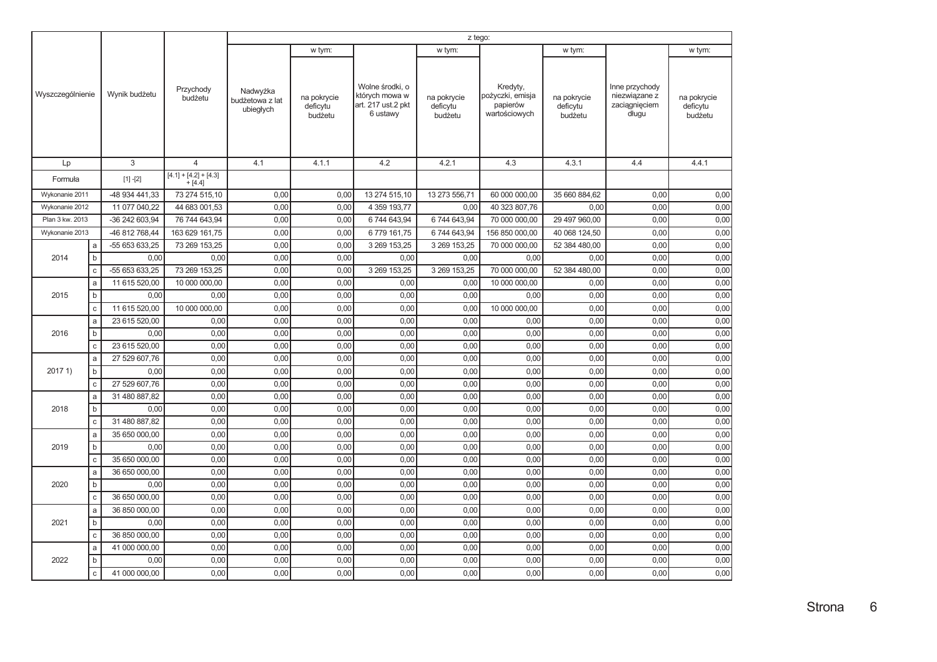| z tego:          |              |                |                                     |                                          |                                    |                                                                     |                                    |                                                           |                                    |                                                           |                                    |
|------------------|--------------|----------------|-------------------------------------|------------------------------------------|------------------------------------|---------------------------------------------------------------------|------------------------------------|-----------------------------------------------------------|------------------------------------|-----------------------------------------------------------|------------------------------------|
|                  |              |                |                                     |                                          | w tym:                             |                                                                     | w tym:                             |                                                           | w tym:                             |                                                           | w tym:                             |
| Wyszczególnienie |              | Wynik budżetu  | Przychody<br>budżetu                | Nadwyżka<br>budżetowa z lat<br>ubiegłych | na pokrycie<br>deficytu<br>budżetu | Wolne środki, o<br>których mowa w<br>art. 217 ust.2 pkt<br>6 ustawy | na pokrycie<br>deficytu<br>budżetu | Kredyty,<br>pożyczki, emisja<br>papierów<br>wartościowych | na pokrycie<br>deficytu<br>budżetu | Inne przychody<br>niezwiązane z<br>zaciągnięciem<br>długu | na pokrycie<br>deficytu<br>budżetu |
| Lp               |              | 3              | $\overline{4}$                      | 4.1                                      | 4.1.1                              | 4.2                                                                 | 4.2.1                              | 4.3                                                       | 4.3.1                              | 4.4                                                       | 4.4.1                              |
| Formuła          |              | $[1] - [2]$    | $[4.1] + [4.2] + [4.3]$<br>$+[4.4]$ |                                          |                                    |                                                                     |                                    |                                                           |                                    |                                                           |                                    |
| Wykonanie 2011   |              | -48 934 441,33 | 73 274 515,10                       | 0,00                                     | 0,00                               | 13 274 515,10                                                       | 13 273 556,71                      | 60 000 000,00                                             | 35 660 884,62                      | 0,00                                                      | 0,00                               |
| Wykonanie 2012   |              | 11 077 040,22  | 44 683 001,53                       | 0,00                                     | 0,00                               | 4 359 193,77                                                        | 0,00                               | 40 323 807,76                                             | 0,00                               | 0.00                                                      | 0,00                               |
| Plan 3 kw. 2013  |              | -36 242 603,94 | 76 744 643,94                       | 0,00                                     | 0,00                               | 6744643,94                                                          | 6 744 643,94                       | 70 000 000,00                                             | 29 497 960,00                      | 0,00                                                      | 0,00                               |
| Wykonanie 2013   |              | -46 812 768,44 | 163 629 161,75                      | 0,00                                     | 0,00                               | 6779 161,75                                                         | 6 744 643,94                       | 156 850 000,00                                            | 40 068 124,50                      | 0,00                                                      | 0,00                               |
|                  | a            | -55 653 633,25 | 73 269 153,25                       | 0,00                                     | 0,00                               | 3 269 153,25                                                        | 3 269 153,25                       | 70 000 000,00                                             | 52 384 480,00                      | 0,00                                                      | 0,00                               |
| 2014             | $\sf b$      | 0,00           | 0,00                                | 0,00                                     | 0,00                               | 0,00                                                                | 0,00                               | 0,00                                                      | 0,00                               | 0,00                                                      | 0,00                               |
|                  | c            | -55 653 633.25 | 73 269 153,25                       | 0,00                                     | 0.00                               | 3 269 153,25                                                        | 3 269 153.25                       | 70 000 000.00                                             | 52 384 480,00                      | 0.00                                                      | 0,00                               |
|                  | $\mathsf{a}$ | 11 615 520,00  | 10 000 000,00                       | 0,00                                     | 0,00                               | 0,00                                                                | 0,00                               | 10 000 000,00                                             | 0,00                               | 0,00                                                      | 0,00                               |
| 2015             | $\mathsf b$  | 0,00           | 0,00                                | 0,00                                     | 0,00                               | 0,00                                                                | 0,00                               | 0,00                                                      | 0,00                               | 0,00                                                      | 0,00                               |
|                  | C            | 11 615 520,00  | 10 000 000,00                       | 0,00                                     | 0,00                               | 0,00                                                                | 0,00                               | 10 000 000,00                                             | 0,00                               | 0,00                                                      | 0,00                               |
|                  | $\mathsf{a}$ | 23 615 520.00  | 0.00                                | 0,00                                     | 0.00                               | 0.00                                                                | 0.00                               | 0.00                                                      | 0.00                               | 0.00                                                      | 0,00                               |
| 2016             | $\mathsf{b}$ | 0.00           | 0,00                                | 0,00                                     | 0.00                               | 0.00                                                                | 0.00                               | 0,00                                                      | 0,00                               | 0,00                                                      | 0,00                               |
|                  | c            | 23 615 520,00  | 0.00                                | 0,00                                     | 0.00                               | 0,00                                                                | 0.00                               | 0.00                                                      | 0,00                               | 0.00                                                      | 0,00                               |
|                  | $\mathsf{a}$ | 27 529 607,76  | 0,00                                | 0,00                                     | 0,00                               | 0,00                                                                | 0,00                               | 0,00                                                      | 0,00                               | 0,00                                                      | 0,00                               |
| 2017 1)          | $\sf b$      | 0,00           | 0,00                                | 0,00                                     | 0,00                               | 0,00                                                                | 0,00                               | 0,00                                                      | 0,00                               | 0,00                                                      | 0,00                               |
|                  | c            | 27 529 607,76  | 0,00                                | 0,00                                     | 0,00                               | 0,00                                                                | 0,00                               | 0,00                                                      | 0,00                               | 0.00                                                      | 0,00                               |
|                  | $\mathsf{a}$ | 31 480 887,82  | 0,00                                | 0,00                                     | 0,00                               | 0,00                                                                | 0,00                               | 0,00                                                      | 0,00                               | 0,00                                                      | 0,00                               |
| 2018             | $\mathsf b$  | 0,00           | 0,00                                | 0,00                                     | 0,00                               | 0,00                                                                | 0,00                               | 0,00                                                      | 0,00                               | 0,00                                                      | 0,00                               |
|                  | $\mathbf c$  | 31 480 887,82  | 0,00                                | 0,00                                     | 0,00                               | 0,00                                                                | 0,00                               | 0,00                                                      | 0,00                               | 0,00                                                      | 0,00                               |
|                  | $\mathsf{a}$ | 35 650 000,00  | 0,00                                | 0,00                                     | 0,00                               | 0,00                                                                | 0,00                               | 0,00                                                      | 0,00                               | 0,00                                                      | 0,00                               |
| 2019             | $\mathsf b$  | 0.00           | 0.00                                | 0,00                                     | 0.00                               | 0,00                                                                | 0,00                               | 0,00                                                      | 0,00                               | 0,00                                                      | 0,00                               |
|                  | c            | 35 650 000,00  | 0,00                                | 0,00                                     | 0,00                               | 0,00                                                                | 0,00                               | 0,00                                                      | 0,00                               | 0,00                                                      | 0,00                               |
|                  | a            | 36 650 000,00  | 0,00                                | 0,00                                     | 0,00                               | 0,00                                                                | 0,00                               | 0,00                                                      | 0,00                               | 0,00                                                      | 0,00                               |
| 2020             | $\sf b$      | 0,00           | 0,00                                | 0,00                                     | 0,00                               | 0,00                                                                | 0,00                               | 0,00                                                      | 0,00                               | 0,00                                                      | 0,00                               |
|                  | $\mathbf{C}$ | 36 650 000,00  | 0,00                                | 0,00                                     | 0,00                               | 0,00                                                                | 0,00                               | 0,00                                                      | 0,00                               | 0,00                                                      | 0,00                               |
|                  | $\mathsf{a}$ | 36 850 000,00  | 0,00                                | 0,00                                     | 0.00                               | 0.00                                                                | 0.00                               | 0,00                                                      | 0,00                               | 0,00                                                      | 0,00                               |
| 2021             | $\mathsf b$  | 0.00           | 0.00                                | 0,00                                     | 0,00                               | 0,00                                                                | 0.00                               | 0,00                                                      | 0,00                               | 0,00                                                      | 0,00                               |
|                  | c            | 36 850 000,00  | 0,00                                | 0,00                                     | 0,00                               | 0,00                                                                | 0,00                               | 0,00                                                      | 0,00                               | 0,00                                                      | 0,00                               |
|                  | $\mathsf{a}$ | 41 000 000,00  | 0,00                                | 0,00                                     | 0,00                               | 0,00                                                                | 0,00<br>0.00                       | 0,00                                                      | 0,00                               | 0,00<br>0.00                                              | 0,00                               |
| 2022             | b            | 0.00           | 0,00                                | 0,00                                     | 0,00                               | 0,00                                                                |                                    | 0,00                                                      | 0,00                               |                                                           | 0,00                               |
|                  | c            | 41 000 000.00  | 0,00                                | 0,00                                     | 0,00                               | 0,00                                                                | 0.00                               | 0,00                                                      | 0,00                               | 0.00                                                      | 0,00                               |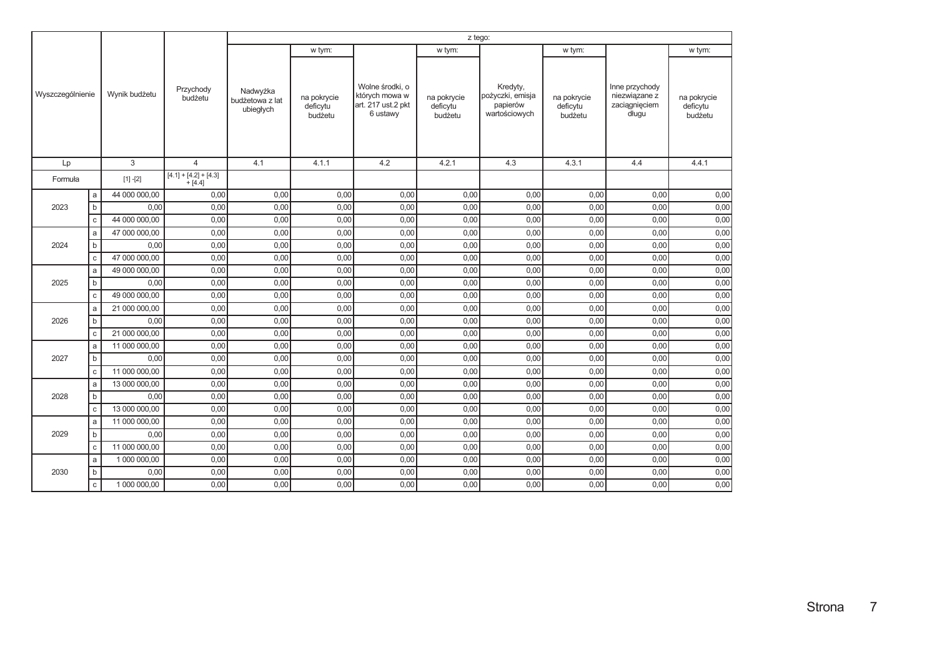|                  |              |               |                                     |                                          |                                    |                                                                     | z tego:                            |                                                           |                                    |                                                           |                                    |
|------------------|--------------|---------------|-------------------------------------|------------------------------------------|------------------------------------|---------------------------------------------------------------------|------------------------------------|-----------------------------------------------------------|------------------------------------|-----------------------------------------------------------|------------------------------------|
|                  |              |               |                                     |                                          | w tym:                             |                                                                     | w tym:                             |                                                           | w tym:                             |                                                           | w tym:                             |
| Wyszczególnienie |              | Wynik budżetu | Przychody<br>budżetu                | Nadwyżka<br>budżetowa z lat<br>ubiegłych | na pokrycie<br>deficytu<br>budżetu | Wolne środki, o<br>których mowa w<br>art. 217 ust.2 pkt<br>6 ustawy | na pokrycie<br>deficytu<br>budżetu | Kredyty,<br>pożyczki, emisja<br>papierów<br>wartościowych | na pokrycie<br>deficytu<br>budżetu | Inne przychody<br>niezwiązane z<br>zaciagnieciem<br>długu | na pokrycie<br>deficytu<br>budżetu |
| Lp               |              | 3             | $\overline{4}$                      | 4.1                                      | 4.1.1                              | 4.2                                                                 | 4.2.1                              | 4.3                                                       | 4.3.1                              | 4.4                                                       | 4.4.1                              |
| Formuła          |              | $[1] - [2]$   | $[4.1] + [4.2] + [4.3]$<br>$+[4.4]$ |                                          |                                    |                                                                     |                                    |                                                           |                                    |                                                           |                                    |
|                  | a            | 44 000 000,00 | 0,00                                | 0,00                                     | 0,00                               | 0,00                                                                | 0,00                               | 0,00                                                      | 0,00                               | 0,00                                                      | 0,00                               |
| 2023             | $\mathsf b$  | 0,00          | 0,00                                | 0,00                                     | 0,00                               | 0,00                                                                | 0,00                               | 0,00                                                      | 0,00                               | 0,00                                                      | 0,00                               |
|                  | $\mathtt{C}$ | 44 000 000,00 | 0,00                                | 0,00                                     | 0,00                               | 0,00                                                                | 0,00                               | 0,00                                                      | 0,00                               | 0,00                                                      | 0,00                               |
|                  | a            | 47 000 000,00 | 0,00                                | 0,00                                     | 0,00                               | 0,00                                                                | 0,00                               | 0,00                                                      | 0,00                               | 0,00                                                      | 0,00                               |
| 2024             | b            | 0,00          | 0,00                                | 0,00                                     | 0,00                               | 0,00                                                                | 0,00                               | 0,00                                                      | 0,00                               | 0,00                                                      | 0,00                               |
|                  | с            | 47 000 000,00 | 0,00                                | 0,00                                     | 0,00                               | 0,00                                                                | 0,00                               | 0,00                                                      | 0,00                               | 0,00                                                      | 0,00                               |
|                  | a            | 49 000 000,00 | 0,00                                | 0,00                                     | 0,00                               | 0,00                                                                | 0,00                               | 0,00                                                      | 0,00                               | 0.00                                                      | 0,00                               |
| 2025             | b            | 0,00          | 0,00                                | 0,00                                     | 0,00                               | 0,00                                                                | 0,00                               | 0,00                                                      | 0,00                               | 0,00                                                      | 0,00                               |
|                  | $\mathbf c$  | 49 000 000,00 | 0.00                                | 0,00                                     | 0,00                               | 0,00                                                                | 0,00                               | 0,00                                                      | 0,00                               | 0,00                                                      | 0,00                               |
|                  | a            | 21 000 000,00 | 0,00                                | 0,00                                     | 0,00                               | 0,00                                                                | 0,00                               | 0,00                                                      | 0,00                               | 0,00                                                      | 0,00                               |
| 2026             | b            | 0,00          | 0,00                                | 0,00                                     | 0,00                               | 0,00                                                                | 0,00                               | 0,00                                                      | 0,00                               | 0,00                                                      | 0,00                               |
|                  | $\mathtt{C}$ | 21 000 000,00 | 0,00                                | 0,00                                     | 0,00                               | 0,00                                                                | 0,00                               | 0,00                                                      | 0,00                               | 0,00                                                      | 0,00                               |
|                  | a            | 11 000 000,00 | 0,00                                | 0,00                                     | 0,00                               | 0,00                                                                | 0,00                               | 0,00                                                      | 0,00                               | 0,00                                                      | 0,00                               |
| 2027             | b            | 0,00          | 0,00                                | 0,00                                     | 0,00                               | 0,00                                                                | 0,00                               | 0,00                                                      | 0,00                               | 0,00                                                      | 0,00                               |
|                  | $\mathtt{C}$ | 11 000 000,00 | 0,00                                | 0,00                                     | 0,00                               | 0,00                                                                | 0,00                               | 0,00                                                      | 0,00                               | 0,00                                                      | 0,00                               |
|                  | a            | 13 000 000,00 | 0,00                                | 0,00                                     | 0,00                               | 0,00                                                                | 0,00                               | 0,00                                                      | 0,00                               | 0,00                                                      | 0,00                               |
| 2028             | $\sf b$      | 0,00          | 0,00                                | 0,00                                     | 0,00                               | 0,00                                                                | 0,00                               | 0,00                                                      | 0,00                               | 0,00                                                      | 0,00                               |
|                  | c            | 13 000 000,00 | 0,00                                | 0,00                                     | 0,00                               | 0,00                                                                | 0,00                               | 0,00                                                      | 0,00                               | 0,00                                                      | 0,00                               |
|                  | a            | 11 000 000,00 | 0,00                                | 0,00                                     | 0,00                               | 0,00                                                                | 0,00                               | 0,00                                                      | 0,00                               | 0,00                                                      | 0,00                               |
| 2029             | b            | 0.00          | 0.00                                | 0,00                                     | 0,00                               | 0,00                                                                | 0,00                               | 0,00                                                      | 0,00                               | 0,00                                                      | 0,00                               |
|                  | $\mathbf c$  | 11 000 000,00 | 0.00                                | 0,00                                     | 0,00                               | 0,00                                                                | 0,00                               | 0,00                                                      | 0,00                               | 0,00                                                      | 0,00                               |
|                  | a            | 1 000 000,00  | 0,00                                | 0,00                                     | 0,00                               | 0,00                                                                | 0,00                               | 0,00                                                      | 0,00                               | 0,00                                                      | 0,00                               |
| 2030             | b            | 0,00          | 0,00                                | 0,00                                     | 0,00                               | 0,00                                                                | 0,00                               | 0,00                                                      | 0,00                               | 0,00                                                      | 0,00                               |
|                  | $\mathtt{C}$ | 1 000 000,00  | 0,00                                | 0,00                                     | 0,00                               | 0,00                                                                | 0,00                               | 0,00                                                      | 0,00                               | 0,00                                                      | 0,00                               |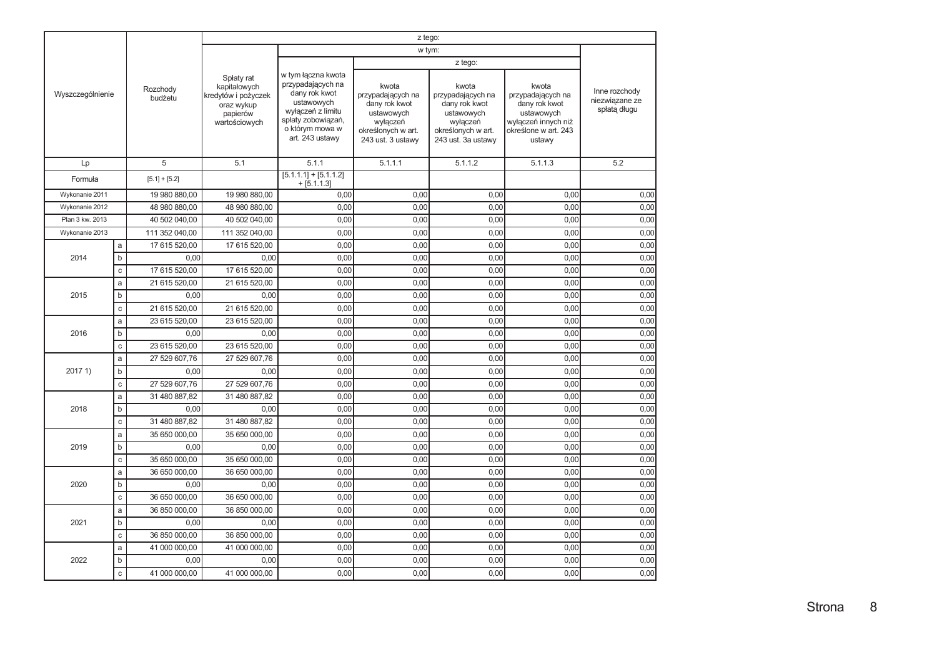|                  |              |                     |                                                                                              |                                                                                                                                                         | z tego:                                                                                                          |                                                                                                                   |                                                                                                                    |                                                 |
|------------------|--------------|---------------------|----------------------------------------------------------------------------------------------|---------------------------------------------------------------------------------------------------------------------------------------------------------|------------------------------------------------------------------------------------------------------------------|-------------------------------------------------------------------------------------------------------------------|--------------------------------------------------------------------------------------------------------------------|-------------------------------------------------|
|                  |              |                     |                                                                                              |                                                                                                                                                         | w tym:                                                                                                           |                                                                                                                   |                                                                                                                    |                                                 |
|                  |              |                     |                                                                                              |                                                                                                                                                         |                                                                                                                  | z tego:                                                                                                           |                                                                                                                    |                                                 |
| Wyszczególnienie |              | Rozchody<br>budżetu | Spłaty rat<br>kapitałowych<br>kredytów i pożyczek<br>oraz wykup<br>papierów<br>wartościowych | w tym łączna kwota<br>przypadających na<br>dany rok kwot<br>ustawowych<br>wyłączeń z limitu<br>spłaty zobowiązań,<br>o którym mowa w<br>art. 243 ustawy | kwota<br>przypadających na<br>dany rok kwot<br>ustawowych<br>wyłączeń<br>określonych w art.<br>243 ust. 3 ustawy | kwota<br>przypadających na<br>dany rok kwot<br>ustawowych<br>wyłączeń<br>określonych w art.<br>243 ust. 3a ustawy | kwota<br>przypadających na<br>dany rok kwot<br>ustawowych<br>wyłączeń innych niż<br>określone w art. 243<br>ustawy | Inne rozchody<br>niezwiązane ze<br>spłatą długu |
| Lp               |              | 5                   | 5.1                                                                                          | 5.1.1                                                                                                                                                   | 5.1.1.1                                                                                                          | 5.1.1.2                                                                                                           | 5.1.1.3                                                                                                            | 5.2                                             |
| Formuła          |              | $[5.1] + [5.2]$     |                                                                                              | $[5.1.1.1] + [5.1.1.2]$<br>$+[5.1.1.3]$                                                                                                                 |                                                                                                                  |                                                                                                                   |                                                                                                                    |                                                 |
| Wykonanie 2011   |              | 19 980 880,00       | 19 980 880,00                                                                                | 0,00                                                                                                                                                    | 0,00                                                                                                             | 0,00                                                                                                              | 0,00                                                                                                               | 0,00                                            |
| Wykonanie 2012   |              | 48 980 880,00       | 48 980 880,00                                                                                | 0,00                                                                                                                                                    | 0,00                                                                                                             | 0,00                                                                                                              | 0,00                                                                                                               | 0,00                                            |
| Plan 3 kw. 2013  |              | 40 502 040,00       | 40 502 040,00                                                                                | 0.00                                                                                                                                                    | 0.00                                                                                                             | 0.00                                                                                                              | 0,00                                                                                                               | 0,00                                            |
| Wykonanie 2013   |              | 111 352 040,00      | 111 352 040,00                                                                               | 0.00                                                                                                                                                    | 0,00                                                                                                             | 0,00                                                                                                              | 0.00                                                                                                               | 0,00                                            |
|                  | a            | 17 615 520,00       | 17 615 520,00                                                                                | 0,00                                                                                                                                                    | 0,00                                                                                                             | 0,00                                                                                                              | 0,00                                                                                                               | 0,00                                            |
| 2014             | $\mathsf b$  | 0,00                | 0,00                                                                                         | 0,00                                                                                                                                                    | 0,00                                                                                                             | 0,00                                                                                                              | 0,00                                                                                                               | 0,00                                            |
|                  | $\mathsf{C}$ | 17 615 520,00       | 17 615 520.00                                                                                | 0,00                                                                                                                                                    | 0,00                                                                                                             | 0.00                                                                                                              | 0,00                                                                                                               | 0,00                                            |
|                  | a            | 21 615 520,00       | 21 615 520,00                                                                                | 0,00                                                                                                                                                    | 0,00                                                                                                             | 0,00                                                                                                              | 0,00                                                                                                               | 0,00                                            |
| 2015             | b            | 0,00                | 0,00                                                                                         | 0,00                                                                                                                                                    | 0,00                                                                                                             | 0,00                                                                                                              | 0,00                                                                                                               | 0,00                                            |
|                  | $\mathbf{C}$ | 21 615 520,00       | 21 615 520,00                                                                                | 0,00                                                                                                                                                    | 0,00                                                                                                             | 0,00                                                                                                              | 0,00                                                                                                               | 0,00                                            |
|                  | a            | 23 615 520,00       | 23 615 520.00                                                                                | 0.00                                                                                                                                                    | 0.00                                                                                                             | 0.00                                                                                                              | 0.00                                                                                                               | 0,00                                            |
| 2016             | b            | 0.00                | 0.00                                                                                         | 0,00                                                                                                                                                    | 0,00                                                                                                             | 0,00                                                                                                              | 0,00                                                                                                               | 0,00                                            |
|                  | $\mathtt{C}$ | 23 615 520,00       | 23 615 520,00                                                                                | 0,00                                                                                                                                                    | 0,00                                                                                                             | 0.00                                                                                                              | 0,00                                                                                                               | 0,00                                            |
|                  | a            | 27 529 607,76       | 27 529 607,76                                                                                | 0,00                                                                                                                                                    | 0,00                                                                                                             | 0,00                                                                                                              | 0,00                                                                                                               | 0,00                                            |
| 2017 1)          | $\mathsf b$  | 0,00                | 0,00                                                                                         | 0.00                                                                                                                                                    | 0,00                                                                                                             | 0.00                                                                                                              | 0.00                                                                                                               | 0,00                                            |
|                  | $\mathtt{C}$ | 27 529 607,76       | 27 529 607,76                                                                                | 0,00                                                                                                                                                    | 0,00                                                                                                             | 0,00                                                                                                              | 0,00                                                                                                               | 0,00                                            |
|                  | a            | 31 480 887,82       | 31 480 887,82                                                                                | 0,00                                                                                                                                                    | 0,00                                                                                                             | 0,00                                                                                                              | 0,00                                                                                                               | 0,00                                            |
| 2018             | b            | 0,00                | 0,00                                                                                         | 0,00                                                                                                                                                    | 0,00                                                                                                             | 0,00                                                                                                              | 0,00                                                                                                               | 0,00                                            |
|                  | $\mathsf{C}$ | 31 480 887,82       | 31 480 887,82                                                                                | 0.00                                                                                                                                                    | 0.00                                                                                                             | 0.00                                                                                                              | 0.00                                                                                                               | 0,00                                            |
|                  | a            | 35 650 000,00       | 35 650 000,00                                                                                | 0.00                                                                                                                                                    | 0.00                                                                                                             | 0.00                                                                                                              | 0,00                                                                                                               | 0,00                                            |
| 2019             | b            | 0,00                | 0,00                                                                                         | 0,00                                                                                                                                                    | 0,00                                                                                                             | 0,00                                                                                                              | 0,00                                                                                                               | 0,00                                            |
|                  | $\mathtt{C}$ | 35 650 000,00       | 35 650 000,00                                                                                | 0,00                                                                                                                                                    | 0,00                                                                                                             | 0,00                                                                                                              | 0,00                                                                                                               | 0,00                                            |
|                  | a            | 36 650 000,00       | 36 650 000,00                                                                                | 0.00                                                                                                                                                    | 0,00                                                                                                             | 0.00                                                                                                              | 0,00                                                                                                               | 0,00                                            |
| 2020             | b            | 0,00                | 0,00                                                                                         | 0,00                                                                                                                                                    | 0,00                                                                                                             | 0.00                                                                                                              | 0,00                                                                                                               | 0,00                                            |
|                  | $\mathtt{C}$ | 36 650 000,00       | 36 650 000,00                                                                                | 0,00                                                                                                                                                    | 0,00                                                                                                             | 0,00                                                                                                              | 0,00                                                                                                               | 0,00                                            |
|                  | a            | 36 850 000,00       | 36 850 000,00                                                                                | 0,00                                                                                                                                                    | 0,00                                                                                                             | 0,00                                                                                                              | 0,00                                                                                                               | 0,00                                            |
| 2021             | b            | 0.00                | 0.00                                                                                         | 0.00                                                                                                                                                    | 0.00                                                                                                             | 0.00                                                                                                              | 0,00                                                                                                               | 0,00                                            |
|                  | $\mathsf{C}$ | 36 850 000,00       | 36 850 000,00                                                                                | 0,00                                                                                                                                                    | 0,00                                                                                                             | 0.00                                                                                                              | 0,00                                                                                                               | 0,00                                            |
|                  | a            | 41 000 000,00       | 41 000 000,00                                                                                | 0,00                                                                                                                                                    | 0,00                                                                                                             | 0,00                                                                                                              | 0,00                                                                                                               | 0,00                                            |
| 2022             | b            | 0,00                | 0,00                                                                                         | 0,00                                                                                                                                                    | 0,00                                                                                                             | 0,00                                                                                                              | 0,00                                                                                                               | 0,00                                            |
|                  | $\mathsf{C}$ | 41 000 000.00       | 41 000 000.00                                                                                | 0.00                                                                                                                                                    | 0.00                                                                                                             | 0.00                                                                                                              | 0.00                                                                                                               | 0,00                                            |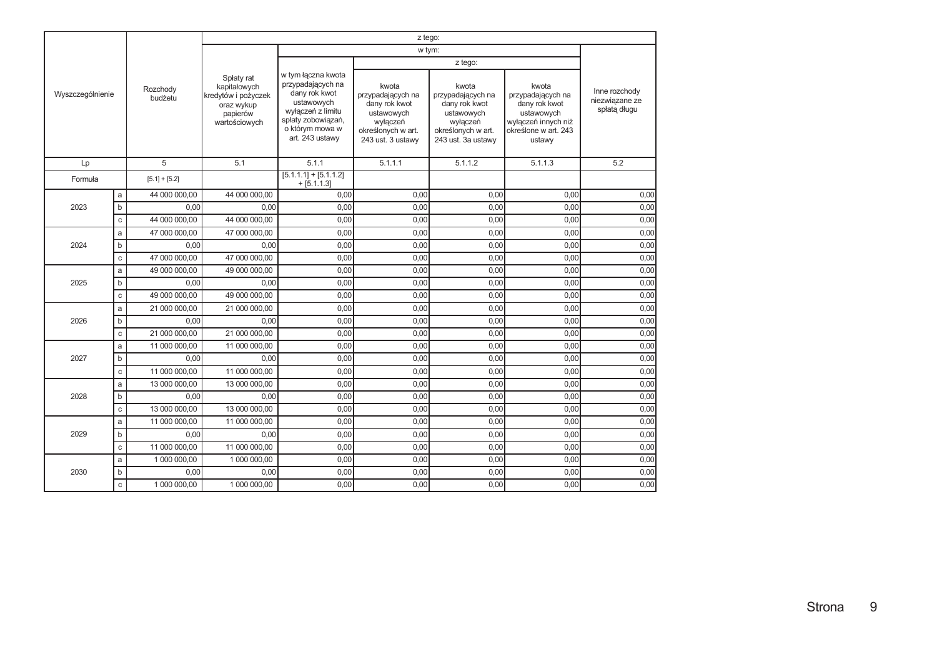|                  |              |                     |                                                                                              |                                                                                                                                                         | z tego:                                                                                                          |                                                                                                                   |                                                                                                                    |                                                 |
|------------------|--------------|---------------------|----------------------------------------------------------------------------------------------|---------------------------------------------------------------------------------------------------------------------------------------------------------|------------------------------------------------------------------------------------------------------------------|-------------------------------------------------------------------------------------------------------------------|--------------------------------------------------------------------------------------------------------------------|-------------------------------------------------|
|                  |              |                     |                                                                                              |                                                                                                                                                         | w tym:                                                                                                           |                                                                                                                   |                                                                                                                    |                                                 |
|                  |              |                     |                                                                                              |                                                                                                                                                         |                                                                                                                  | z tego:                                                                                                           |                                                                                                                    |                                                 |
| Wyszczególnienie |              | Rozchody<br>budżetu | Spłaty rat<br>kapitałowych<br>kredytów i pożyczek<br>oraz wykup<br>papierów<br>wartościowych | w tym łączna kwota<br>przypadających na<br>dany rok kwot<br>ustawowych<br>wyłączeń z limitu<br>spłaty zobowiązań,<br>o którym mowa w<br>art. 243 ustawy | kwota<br>przypadających na<br>dany rok kwot<br>ustawowych<br>wyłączeń<br>określonych w art.<br>243 ust. 3 ustawy | kwota<br>przypadających na<br>dany rok kwot<br>ustawowych<br>wyłączeń<br>określonych w art.<br>243 ust. 3a ustawy | kwota<br>przypadających na<br>dany rok kwot<br>ustawowych<br>wyłączeń innych niż<br>określone w art. 243<br>ustawy | Inne rozchody<br>niezwiązane ze<br>spłatą długu |
| Lp               |              | 5                   | 5.1                                                                                          | 5.1.1                                                                                                                                                   | 5.1.1.1                                                                                                          | 5.1.1.2                                                                                                           | 5.1.1.3                                                                                                            | 5.2                                             |
| Formuła          |              | $[5.1] + [5.2]$     |                                                                                              | $[5.1.1.1] + [5.1.1.2]$<br>$+[5.1.1.3]$                                                                                                                 |                                                                                                                  |                                                                                                                   |                                                                                                                    |                                                 |
|                  | a            | 44 000 000,00       | 44 000 000,00                                                                                | 0,00                                                                                                                                                    | 0,00                                                                                                             | 0,00                                                                                                              | 0,00                                                                                                               | 0,00                                            |
| 2023             | b            | 0.00                | 0.00                                                                                         | 0,00                                                                                                                                                    | 0,00                                                                                                             | 0.00                                                                                                              | 0.00                                                                                                               | 0,00                                            |
|                  | $\mathbf{C}$ | 44 000 000,00       | 44 000 000,00                                                                                | 0,00                                                                                                                                                    | 0,00                                                                                                             | 0,00                                                                                                              | 0,00                                                                                                               | 0,00                                            |
|                  | a            | 47 000 000,00       | 47 000 000.00                                                                                | 0,00                                                                                                                                                    | 0.00                                                                                                             | 0.00                                                                                                              | 0.00                                                                                                               | 0,00                                            |
| 2024             | b            | 0,00                | 0,00                                                                                         | 0,00                                                                                                                                                    | 0,00                                                                                                             | 0,00                                                                                                              | 0,00                                                                                                               | 0,00                                            |
|                  | $\mathbf{C}$ | 47 000 000.00       | 47 000 000.00                                                                                | 0,00                                                                                                                                                    | 0.00                                                                                                             | 0.00                                                                                                              | 0.00                                                                                                               | 0,00                                            |
|                  | a            | 49 000 000,00       | 49 000 000,00                                                                                | 0,00                                                                                                                                                    | 0,00                                                                                                             | 0,00                                                                                                              | 0,00                                                                                                               | 0,00                                            |
| 2025             | b            | 0.00                | 0.00                                                                                         | 0.00                                                                                                                                                    | 0.00                                                                                                             | 0.00                                                                                                              | 0.00                                                                                                               | 0,00                                            |
|                  | $\mathtt{C}$ | 49 000 000,00       | 49 000 000,00                                                                                | 0,00                                                                                                                                                    | 0,00                                                                                                             | 0,00                                                                                                              | 0,00                                                                                                               | 0,00                                            |
|                  | a            | 21 000 000,00       | 21 000 000,00                                                                                | 0,00                                                                                                                                                    | 0.00                                                                                                             | 0,00                                                                                                              | 0,00                                                                                                               | 0,00                                            |
| 2026             | b            | 0,00                | 0,00                                                                                         | 0,00                                                                                                                                                    | 0,00                                                                                                             | 0,00                                                                                                              | 0,00                                                                                                               | 0,00                                            |
|                  | $\mathbf{C}$ | 21 000 000.00       | 21 000 000,00                                                                                | 0,00                                                                                                                                                    | 0.00                                                                                                             | 0,00                                                                                                              | 0,00                                                                                                               | 0,00                                            |
|                  | a            | 11 000 000,00       | 11 000 000,00                                                                                | 0,00                                                                                                                                                    | 0,00                                                                                                             | 0,00                                                                                                              | 0,00                                                                                                               | 0,00                                            |
| 2027             | b            | 0.00                | 0.00                                                                                         | 0,00                                                                                                                                                    | 0.00                                                                                                             | 0,00                                                                                                              | 0.00                                                                                                               | 0,00                                            |
|                  | $\mathtt{C}$ | 11 000 000,00       | 11 000 000,00                                                                                | 0,00                                                                                                                                                    | 0,00                                                                                                             | 0,00                                                                                                              | 0,00                                                                                                               | 0,00                                            |
|                  | a            | 13 000 000,00       | 13 000 000,00                                                                                | 0.00                                                                                                                                                    | 0.00                                                                                                             | 0.00                                                                                                              | 0.00                                                                                                               | 0,00                                            |
| 2028             | $\mathsf b$  | 0.00                | 0,00                                                                                         | 0,00                                                                                                                                                    | 0,00                                                                                                             | 0,00                                                                                                              | 0,00                                                                                                               | 0,00                                            |
|                  | $\mathbf{C}$ | 13 000 000,00       | 13 000 000,00                                                                                | 0.00                                                                                                                                                    | 0.00                                                                                                             | 0.00                                                                                                              | 0.00                                                                                                               | 0,00                                            |
|                  | a            | 11 000 000,00       | 11 000 000,00                                                                                | 0,00                                                                                                                                                    | 0,00                                                                                                             | 0,00                                                                                                              | 0.00                                                                                                               | 0,00                                            |
| 2029             | b            | 0.00                | 0.00                                                                                         | 0.00                                                                                                                                                    | 0.00                                                                                                             | 0.00                                                                                                              | 0.00                                                                                                               | 0,00                                            |
|                  | $\mathtt{C}$ | 11 000 000,00       | 11 000 000,00                                                                                | 0,00                                                                                                                                                    | 0,00                                                                                                             | 0,00                                                                                                              | 0.00                                                                                                               | 0,00                                            |
|                  | a            | 1 000 000,00        | 1 000 000.00                                                                                 | 0,00                                                                                                                                                    | 0.00                                                                                                             | 0.00                                                                                                              | 0.00                                                                                                               | 0,00                                            |
| 2030             | $\mathsf b$  | 0,00                | 0,00                                                                                         | 0,00                                                                                                                                                    | 0,00                                                                                                             | 0,00                                                                                                              | 0,00                                                                                                               | 0,00                                            |
|                  | $\mathtt{C}$ | 1 000 000,00        | 1 000 000,00                                                                                 | 0,00                                                                                                                                                    | 0,00                                                                                                             | 0,00                                                                                                              | 0,00                                                                                                               | 0,00                                            |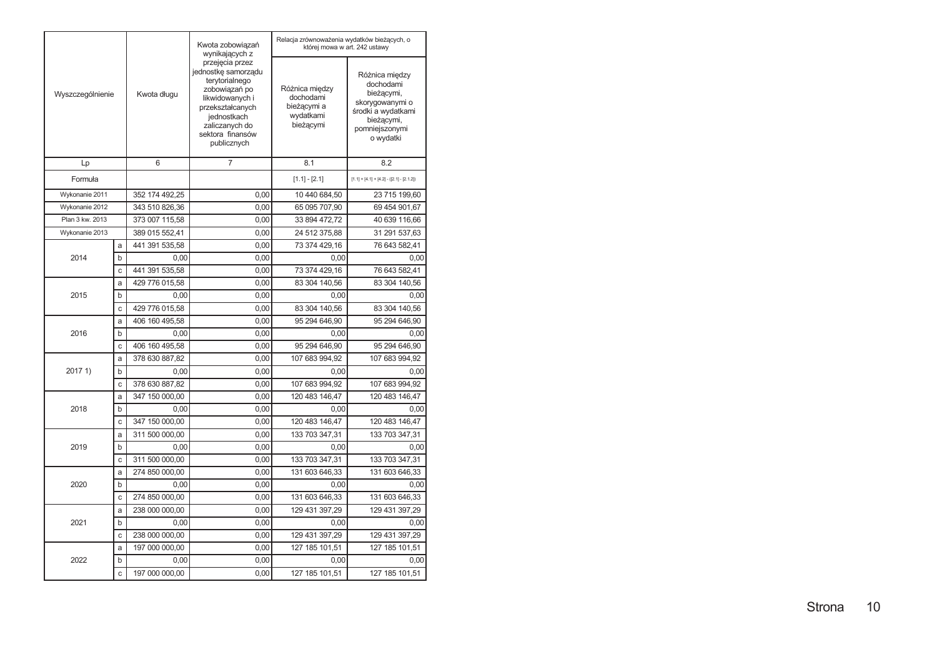|                  |              |                | Kwota zobowiązań<br>wynikających z                                                                                                                                                   | Relacja zrównoważenia wydatków bieżących, o<br>której mowa w art. 242 ustawy |                                                                                                                                 |
|------------------|--------------|----------------|--------------------------------------------------------------------------------------------------------------------------------------------------------------------------------------|------------------------------------------------------------------------------|---------------------------------------------------------------------------------------------------------------------------------|
| Wyszczególnienie |              | Kwota długu    | przejęcia przez<br>jednostkę samorządu<br>terytorialnego<br>zobowiązań po<br>likwidowanych i<br>przekształcanych<br>jednostkach<br>zaliczanych do<br>sektora finansów<br>publicznych | Różnica między<br>dochodami<br>bieżącymi a<br>wydatkami<br>bieżącymi         | Różnica między<br>dochodami<br>bieżącymi,<br>skorygowanymi o<br>środki a wydatkami<br>bieżacymi,<br>pomniejszonymi<br>o wydatki |
| Lp               |              | 6              | 7                                                                                                                                                                                    | 8.1                                                                          | 8.2                                                                                                                             |
| Formuła          |              |                |                                                                                                                                                                                      | $[1.1] - [2.1]$                                                              | $[1.1] + [4.1] + [4.2] - ([2.1] - [2.1.2])$                                                                                     |
| Wykonanie 2011   |              | 352 174 492,25 | 0,00                                                                                                                                                                                 | 10 440 684,50                                                                | 23 715 199,60                                                                                                                   |
| Wykonanie 2012   |              | 343 510 826,36 | 0,00                                                                                                                                                                                 | 65 095 707,90                                                                | 69 454 901,67                                                                                                                   |
| Plan 3 kw. 2013  |              | 373 007 115,58 | 0.00                                                                                                                                                                                 | 33 894 472,72                                                                | 40 639 116,66                                                                                                                   |
| Wykonanie 2013   |              | 389 015 552,41 | 0.00                                                                                                                                                                                 | 24 512 375,88                                                                | 31 291 537,63                                                                                                                   |
|                  | a            | 441 391 535,58 | 0,00                                                                                                                                                                                 | 73 374 429,16                                                                | 76 643 582,41                                                                                                                   |
| 2014             | $\mathsf{b}$ | 0.00           | 0.00                                                                                                                                                                                 | 0.00                                                                         | 0.00                                                                                                                            |
|                  | $\mathbf{C}$ | 441 391 535,58 | 0.00                                                                                                                                                                                 | 73 374 429,16                                                                | 76 643 582.41                                                                                                                   |
|                  | a            | 429 776 015,58 | 0,00                                                                                                                                                                                 | 83 304 140,56                                                                | 83 304 140,56                                                                                                                   |
| 2015             | b            | 0,00           | 0,00                                                                                                                                                                                 | 0,00                                                                         | 0,00                                                                                                                            |
|                  | $\mathbf c$  | 429 776 015,58 | 0,00                                                                                                                                                                                 | 83 304 140,56                                                                | 83 304 140,56                                                                                                                   |
|                  | a            | 406 160 495,58 | 0,00                                                                                                                                                                                 | 95 294 646,90                                                                | 95 294 646,90                                                                                                                   |
| 2016             | b            | 0,00           | 0,00                                                                                                                                                                                 | 0,00                                                                         | 0,00                                                                                                                            |
|                  | $\mathbf c$  | 406 160 495.58 | 0.00                                                                                                                                                                                 | 95 294 646.90                                                                | 95 294 646.90                                                                                                                   |
|                  | a            | 378 630 887,82 | 0.00                                                                                                                                                                                 | 107 683 994,92                                                               | 107 683 994,92                                                                                                                  |
| 2017 1)          | b            | 0,00           | 0,00                                                                                                                                                                                 | 0,00                                                                         | 0,00                                                                                                                            |
|                  | C            | 378 630 887,82 | 0.00                                                                                                                                                                                 | 107 683 994.92                                                               | 107 683 994,92                                                                                                                  |
|                  | a            | 347 150 000,00 | 0,00                                                                                                                                                                                 | 120 483 146,47                                                               | 120 483 146,47                                                                                                                  |
| 2018             | b            | 0,00           | 0,00                                                                                                                                                                                 | 0,00                                                                         | 0,00                                                                                                                            |
|                  | $\mathbf{c}$ | 347 150 000,00 | 0,00                                                                                                                                                                                 | 120 483 146,47                                                               | 120 483 146,47                                                                                                                  |
|                  | a            | 311 500 000,00 | 0.00                                                                                                                                                                                 | 133 703 347,31                                                               | 133 703 347,31                                                                                                                  |
| 2019             | b            | 0,00           | 0,00                                                                                                                                                                                 | 0,00                                                                         | 0.00                                                                                                                            |
|                  | $\mathbf{C}$ | 311 500 000,00 | 0.00                                                                                                                                                                                 | 133 703 347.31                                                               | 133 703 347.31                                                                                                                  |
|                  | a            | 274 850 000.00 | 0.00                                                                                                                                                                                 | 131 603 646.33                                                               | 131 603 646.33                                                                                                                  |
| 2020             | b            | 0,00           | 0,00                                                                                                                                                                                 | 0,00                                                                         | 0,00                                                                                                                            |
|                  | C            | 274 850 000,00 | 0.00                                                                                                                                                                                 | 131 603 646,33                                                               | 131 603 646,33                                                                                                                  |
|                  | a            | 238 000 000,00 | 0,00                                                                                                                                                                                 | 129 431 397.29                                                               | 129 431 397,29                                                                                                                  |
| 2021             | b            | 0,00           | 0,00                                                                                                                                                                                 | 0,00                                                                         | 0,00                                                                                                                            |
|                  | C            | 238 000 000,00 | 0,00                                                                                                                                                                                 | 129 431 397,29                                                               | 129 431 397,29                                                                                                                  |
|                  | a            | 197 000 000,00 | 0.00                                                                                                                                                                                 | 127 185 101,51                                                               | 127 185 101,51                                                                                                                  |
| 2022             | b            | 0.00           | 0,00                                                                                                                                                                                 | 0.00                                                                         | 0,00                                                                                                                            |
|                  | C            | 197 000 000.00 | 0,00                                                                                                                                                                                 | 127 185 101.51                                                               | 127 185 101.51                                                                                                                  |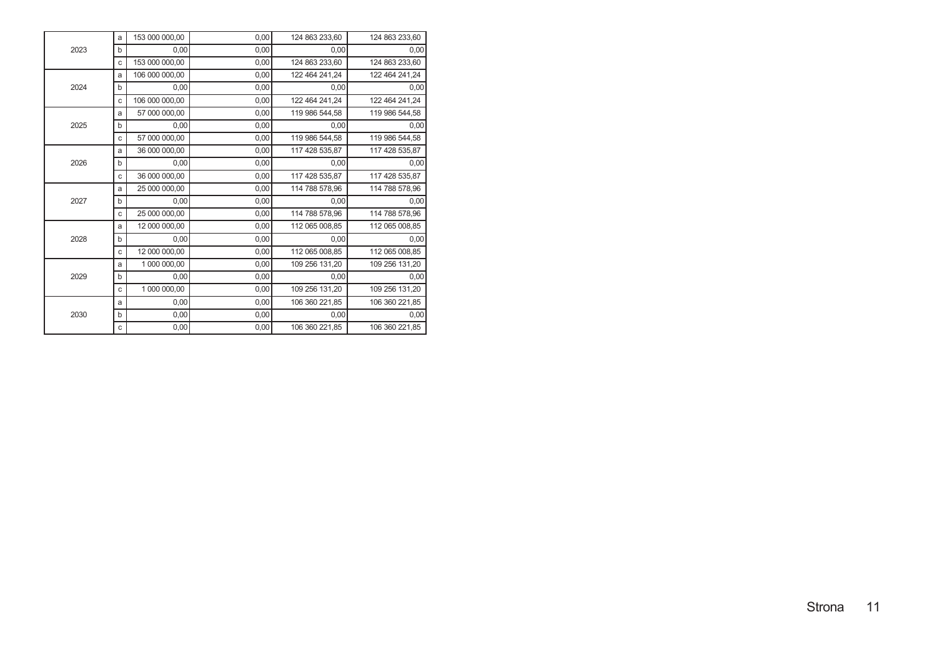| 0,00<br>153 000 000,00<br>124 863 233,60<br>124 863 233,60<br>a<br>2023<br>0,00<br>0,00<br>0,00<br>0,00<br>b<br>153 000 000,00<br>0,00<br>124 863 233,60<br>124 863 233,60<br>$\mathbf{C}$<br>106 000 000,00<br>0,00<br>122 464 241.24<br>122 464 241,24<br>a<br>2024<br>0,00<br>0.00<br>0,00<br>0,00<br>b<br>106 000 000,00<br>0,00<br>122 464 241,24<br>122 464 241,24<br>$\mathbf C$<br>57 000 000.00<br>0.00<br>119 986 544.58<br>119 986 544.58<br>a<br>2025<br>0,00<br>0.00<br>0.00<br>0,00<br>b<br>57 000 000.00<br>0.00<br>119 986 544.58<br>119 986 544.58<br>$\mathbf{C}$<br>36 000 000,00<br>0,00<br>117 428 535,87<br>117 428 535,87<br>a<br>2026<br>0.00<br>0,00<br>0,00<br>0.00<br>b<br>36 000 000,00<br>0,00<br>117 428 535,87<br>117 428 535,87<br>$\mathbf{C}$<br>25 000 000,00<br>0,00<br>114 788 578.96<br>114 788 578,96<br>a<br>2027<br>0,00<br>0.00<br>0,00<br>b<br>0,00<br>25 000 000,00<br>114 788 578,96<br>114 788 578,96<br>0,00<br>$\mathbf C$<br>12 000 000.00<br>0,00<br>112 065 008.85<br>112 065 008,85<br>a<br>2028<br>0,00<br>0.00<br>0.00<br>0,00<br>b<br>12 000 000.00<br>0,00<br>112 065 008.85<br>112 065 008.85<br>$\mathbf{C}$<br>1 000 000,00<br>0,00<br>109 256 131,20<br>109 256 131,20<br>a<br>2029<br>0,00<br>0,00<br>0.00<br>0.00<br>b<br>1 000 000.00<br>0,00<br>109 256 131.20<br>109 256 131.20<br>$\mathbf{C}$<br>0,00<br>0,00<br>106 360 221,85<br>106 360 221,85<br>a<br>2030<br>0,00<br>0,00<br>b<br>0,00<br>0,00<br>0,00<br>106 360 221,85<br>106 360 221,85<br>$\mathsf{C}$ |  |  |      |
|------------------------------------------------------------------------------------------------------------------------------------------------------------------------------------------------------------------------------------------------------------------------------------------------------------------------------------------------------------------------------------------------------------------------------------------------------------------------------------------------------------------------------------------------------------------------------------------------------------------------------------------------------------------------------------------------------------------------------------------------------------------------------------------------------------------------------------------------------------------------------------------------------------------------------------------------------------------------------------------------------------------------------------------------------------------------------------------------------------------------------------------------------------------------------------------------------------------------------------------------------------------------------------------------------------------------------------------------------------------------------------------------------------------------------------------------------------------------------------------------------------------------------------|--|--|------|
|                                                                                                                                                                                                                                                                                                                                                                                                                                                                                                                                                                                                                                                                                                                                                                                                                                                                                                                                                                                                                                                                                                                                                                                                                                                                                                                                                                                                                                                                                                                                    |  |  |      |
|                                                                                                                                                                                                                                                                                                                                                                                                                                                                                                                                                                                                                                                                                                                                                                                                                                                                                                                                                                                                                                                                                                                                                                                                                                                                                                                                                                                                                                                                                                                                    |  |  |      |
|                                                                                                                                                                                                                                                                                                                                                                                                                                                                                                                                                                                                                                                                                                                                                                                                                                                                                                                                                                                                                                                                                                                                                                                                                                                                                                                                                                                                                                                                                                                                    |  |  |      |
|                                                                                                                                                                                                                                                                                                                                                                                                                                                                                                                                                                                                                                                                                                                                                                                                                                                                                                                                                                                                                                                                                                                                                                                                                                                                                                                                                                                                                                                                                                                                    |  |  |      |
|                                                                                                                                                                                                                                                                                                                                                                                                                                                                                                                                                                                                                                                                                                                                                                                                                                                                                                                                                                                                                                                                                                                                                                                                                                                                                                                                                                                                                                                                                                                                    |  |  |      |
|                                                                                                                                                                                                                                                                                                                                                                                                                                                                                                                                                                                                                                                                                                                                                                                                                                                                                                                                                                                                                                                                                                                                                                                                                                                                                                                                                                                                                                                                                                                                    |  |  |      |
|                                                                                                                                                                                                                                                                                                                                                                                                                                                                                                                                                                                                                                                                                                                                                                                                                                                                                                                                                                                                                                                                                                                                                                                                                                                                                                                                                                                                                                                                                                                                    |  |  |      |
|                                                                                                                                                                                                                                                                                                                                                                                                                                                                                                                                                                                                                                                                                                                                                                                                                                                                                                                                                                                                                                                                                                                                                                                                                                                                                                                                                                                                                                                                                                                                    |  |  |      |
|                                                                                                                                                                                                                                                                                                                                                                                                                                                                                                                                                                                                                                                                                                                                                                                                                                                                                                                                                                                                                                                                                                                                                                                                                                                                                                                                                                                                                                                                                                                                    |  |  |      |
|                                                                                                                                                                                                                                                                                                                                                                                                                                                                                                                                                                                                                                                                                                                                                                                                                                                                                                                                                                                                                                                                                                                                                                                                                                                                                                                                                                                                                                                                                                                                    |  |  |      |
|                                                                                                                                                                                                                                                                                                                                                                                                                                                                                                                                                                                                                                                                                                                                                                                                                                                                                                                                                                                                                                                                                                                                                                                                                                                                                                                                                                                                                                                                                                                                    |  |  |      |
|                                                                                                                                                                                                                                                                                                                                                                                                                                                                                                                                                                                                                                                                                                                                                                                                                                                                                                                                                                                                                                                                                                                                                                                                                                                                                                                                                                                                                                                                                                                                    |  |  |      |
|                                                                                                                                                                                                                                                                                                                                                                                                                                                                                                                                                                                                                                                                                                                                                                                                                                                                                                                                                                                                                                                                                                                                                                                                                                                                                                                                                                                                                                                                                                                                    |  |  |      |
|                                                                                                                                                                                                                                                                                                                                                                                                                                                                                                                                                                                                                                                                                                                                                                                                                                                                                                                                                                                                                                                                                                                                                                                                                                                                                                                                                                                                                                                                                                                                    |  |  |      |
|                                                                                                                                                                                                                                                                                                                                                                                                                                                                                                                                                                                                                                                                                                                                                                                                                                                                                                                                                                                                                                                                                                                                                                                                                                                                                                                                                                                                                                                                                                                                    |  |  |      |
|                                                                                                                                                                                                                                                                                                                                                                                                                                                                                                                                                                                                                                                                                                                                                                                                                                                                                                                                                                                                                                                                                                                                                                                                                                                                                                                                                                                                                                                                                                                                    |  |  |      |
|                                                                                                                                                                                                                                                                                                                                                                                                                                                                                                                                                                                                                                                                                                                                                                                                                                                                                                                                                                                                                                                                                                                                                                                                                                                                                                                                                                                                                                                                                                                                    |  |  |      |
|                                                                                                                                                                                                                                                                                                                                                                                                                                                                                                                                                                                                                                                                                                                                                                                                                                                                                                                                                                                                                                                                                                                                                                                                                                                                                                                                                                                                                                                                                                                                    |  |  |      |
|                                                                                                                                                                                                                                                                                                                                                                                                                                                                                                                                                                                                                                                                                                                                                                                                                                                                                                                                                                                                                                                                                                                                                                                                                                                                                                                                                                                                                                                                                                                                    |  |  |      |
|                                                                                                                                                                                                                                                                                                                                                                                                                                                                                                                                                                                                                                                                                                                                                                                                                                                                                                                                                                                                                                                                                                                                                                                                                                                                                                                                                                                                                                                                                                                                    |  |  |      |
|                                                                                                                                                                                                                                                                                                                                                                                                                                                                                                                                                                                                                                                                                                                                                                                                                                                                                                                                                                                                                                                                                                                                                                                                                                                                                                                                                                                                                                                                                                                                    |  |  |      |
|                                                                                                                                                                                                                                                                                                                                                                                                                                                                                                                                                                                                                                                                                                                                                                                                                                                                                                                                                                                                                                                                                                                                                                                                                                                                                                                                                                                                                                                                                                                                    |  |  |      |
|                                                                                                                                                                                                                                                                                                                                                                                                                                                                                                                                                                                                                                                                                                                                                                                                                                                                                                                                                                                                                                                                                                                                                                                                                                                                                                                                                                                                                                                                                                                                    |  |  | 0,00 |
|                                                                                                                                                                                                                                                                                                                                                                                                                                                                                                                                                                                                                                                                                                                                                                                                                                                                                                                                                                                                                                                                                                                                                                                                                                                                                                                                                                                                                                                                                                                                    |  |  |      |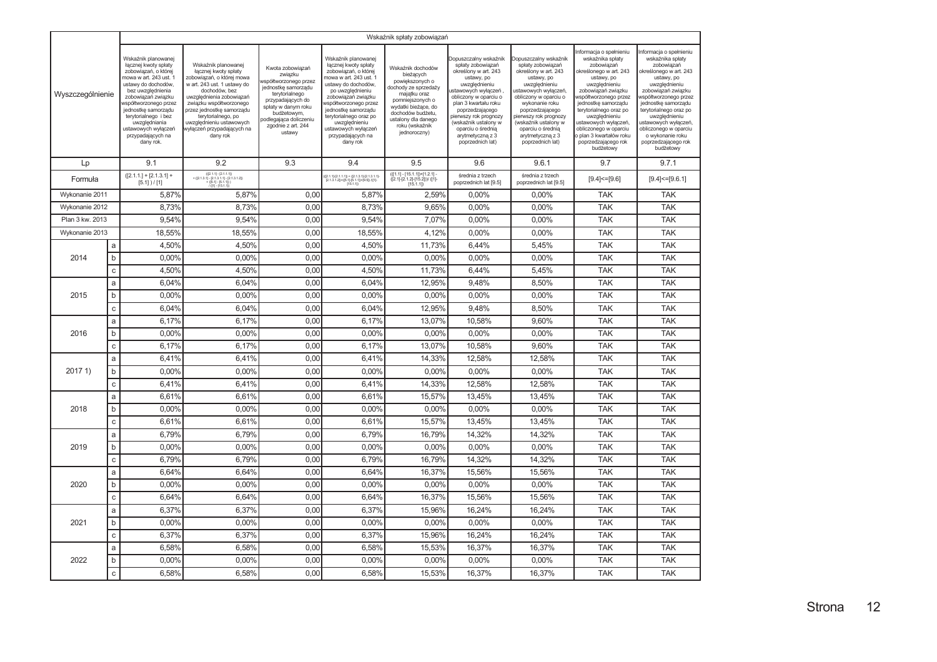|                  |              |                                                                                                                                                                                                                                                                                                                  |                                                                                                                                                                                                                                                                                                          |                                                                                                                                                                                                                    |                                                                                                                                                                                                                                                                                                                   | Wskaźnik spłaty zobowiązań                                                                                                                                                                                         |                                                                                                                                                                                                                                                                                                            |                                                                                                                                                                                                                                                                                                      |                                                                                                                                                                                                                                                                                                                                                  |                                                                                                                                                                                                                                                                                                                                              |
|------------------|--------------|------------------------------------------------------------------------------------------------------------------------------------------------------------------------------------------------------------------------------------------------------------------------------------------------------------------|----------------------------------------------------------------------------------------------------------------------------------------------------------------------------------------------------------------------------------------------------------------------------------------------------------|--------------------------------------------------------------------------------------------------------------------------------------------------------------------------------------------------------------------|-------------------------------------------------------------------------------------------------------------------------------------------------------------------------------------------------------------------------------------------------------------------------------------------------------------------|--------------------------------------------------------------------------------------------------------------------------------------------------------------------------------------------------------------------|------------------------------------------------------------------------------------------------------------------------------------------------------------------------------------------------------------------------------------------------------------------------------------------------------------|------------------------------------------------------------------------------------------------------------------------------------------------------------------------------------------------------------------------------------------------------------------------------------------------------|--------------------------------------------------------------------------------------------------------------------------------------------------------------------------------------------------------------------------------------------------------------------------------------------------------------------------------------------------|----------------------------------------------------------------------------------------------------------------------------------------------------------------------------------------------------------------------------------------------------------------------------------------------------------------------------------------------|
| Wyszczególnienie |              | Wskaźnik planowanej<br>łącznej kwoty spłaty<br>zobowiązań, o której<br>nowa w art. 243 ust. 1<br>ustawy do dochodów<br>bez uwzględnienia<br>zobowiązań związku<br>vspółtworzonego przez<br>jednostkę samorządu<br>terytorialnego i bez<br>uwzględniania<br>ustawowych wyłączeń<br>przypadających na<br>dany rok. | Wskaźnik planowanej<br>łącznej kwoty spłaty<br>zobowiązań, o której mowa<br>w art. 243 ust. 1 ustawy do<br>dochodów, bez<br>uwzględnienia zobowiązań<br>związku współtworzonego<br>przez jednostkę samorządu<br>terytorialnego, po<br>uwzględnieniu ustawowych<br>wyłączeń przypadających na<br>dany rok | Kwota zobowiazań<br>związku<br>vspółtworzonego przez<br>jednostkę samorządu<br>terytorialnego<br>przypadających do<br>spłaty w danym roku<br>budżetowym,<br>oodlegająca doliczeniu<br>zgodnie z art. 244<br>ustawy | Wskaźnik planowanej<br>łącznej kwoty spłaty<br>zobowiązań, o której<br>nowa w art. 243 ust. 1<br>ustawy do dochodów,<br>po uwzględnieniu<br>zobowiązań związku<br>vspółtworzonego przez<br>jednostkę samorządu<br>terytorialnego oraz po<br>uwzględnieniu<br>ustawowych wyłączeń<br>przypadających na<br>dany rok | Wskaźnik dochodów<br>bieżących<br>powiększonych o<br>dochody ze sprzedaży<br>majątku oraz<br>pomniejszonych o<br>wydatki bieżące, do<br>dochodów budżetu,<br>ustalony dla danego<br>roku (wskaźnik<br>jednoroczny) | Dopuszczalny wskaźnik<br>spłaty zobowiązań<br>określony w art. 243<br>ustawy, po<br>uwzględnieniu<br>istawowych wyłączeń<br>obliczony w oparciu o<br>plan 3 kwartału roku<br>poprzedzającego<br>pierwszy rok prognozy<br>(wskaźnik ustalony w<br>oparciu o średnią<br>arytmetyczną z 3<br>poprzednich lat) | Opuszczalny wskaźnik<br>spłaty zobowiązań<br>określony w art. 243<br>ustawy, po<br>uwzględnieniu<br>ustawowych wyłączeń,<br>obliczony w oparciu o<br>wykonanie roku<br>poprzedzającego<br>vierwszy rok prognozy<br>(wskaźnik ustalony w<br>oparciu o średnią<br>arytmetyczną z 3<br>poprzednich lat) | nformacja o spełnieniu<br>wskaźnika spłaty<br>zobowiązań<br>określonego w art. 243<br>ustawy, po<br>uwzględnieniu<br>zobowiązań związku<br>vspółtworzonego przez<br>jednostkę samorządu<br>terytorialnego oraz po<br>uwzględnieniu<br>ustawowych wyłączeń,<br>obliczonego w oparciu<br>plan 3 kwartałów roku<br>poprzedzającego rok<br>budżetowy | Informacja o spełnieniu<br>wskaźnika spłaty<br>zobowiązań<br>określonego w art. 243<br>ustawy, po<br>uwzględnieniu<br>zobowiązań związku<br>współtworzonego przez<br>jednostkę samorządu<br>terytorialnego oraz po<br>uwzględnieniu<br>ustawowych wyłączeń,<br>obliczonego w oparciu<br>o wykonanie roku<br>poprzedzającego rok<br>budżetowy |
| Lp               |              | 9.1                                                                                                                                                                                                                                                                                                              | 9.2                                                                                                                                                                                                                                                                                                      | 9.3                                                                                                                                                                                                                | 9.4                                                                                                                                                                                                                                                                                                               | 9.5                                                                                                                                                                                                                | 9.6                                                                                                                                                                                                                                                                                                        | 9.6.1                                                                                                                                                                                                                                                                                                | 9.7                                                                                                                                                                                                                                                                                                                                              | 9.7.1                                                                                                                                                                                                                                                                                                                                        |
| Formuła          |              | $([2.1.1.] + [2.1.3.1] +$<br>$[5.1]$ ) / [1]                                                                                                                                                                                                                                                                     | $\begin{array}{l} ([ (2.1.1] \cdot [2.1.1.1]) \\ + ([2.1.3.1] \cdot [2.1.3.1.1] \cdot [2.1.3.1.2]) \\ + ([5.1] \cdot [5.1.1]) \\ \hspace{1.5em} / \ ([1] \cdot [15.1.1]) \end{array}$                                                                                                                    |                                                                                                                                                                                                                    | $\begin{array}{l} ([2.1.1]\cdot [2.1.1.1]) + ([2.1.3.1]\cdot [2.1.3.1.1]\\ [2.1.3.1.2]) + ([5.1]\cdot [5.1.1]) + [9.5]) / [[1]\cdot \\ \qquad \qquad \qquad [15.1.1]) \end{array}$                                                                                                                                | (([1.1] - [15.1.1])+[1.2.1] -<br>((2.1)-[2.1.2]-[15.2]))/ ([1]-<br>[15.1.1])                                                                                                                                       | średnia z trzech<br>poprzednich lat [9.5]                                                                                                                                                                                                                                                                  | średnia z trzech<br>poprzednich lat [9.5]                                                                                                                                                                                                                                                            | $[9.4] < = [9.6]$                                                                                                                                                                                                                                                                                                                                | $[9.4] < = [9.6.1]$                                                                                                                                                                                                                                                                                                                          |
| Wykonanie 2011   |              | 5,87%                                                                                                                                                                                                                                                                                                            | 5,87%                                                                                                                                                                                                                                                                                                    | 0,00                                                                                                                                                                                                               | 5,87%                                                                                                                                                                                                                                                                                                             | 2,59%                                                                                                                                                                                                              | 0,00%                                                                                                                                                                                                                                                                                                      | 0,00%                                                                                                                                                                                                                                                                                                | <b>TAK</b>                                                                                                                                                                                                                                                                                                                                       | <b>TAK</b>                                                                                                                                                                                                                                                                                                                                   |
| Wykonanie 2012   |              | 8,73%                                                                                                                                                                                                                                                                                                            | 8,73%                                                                                                                                                                                                                                                                                                    | 0,00                                                                                                                                                                                                               | 8,73%                                                                                                                                                                                                                                                                                                             | 9,65%                                                                                                                                                                                                              | 0,00%                                                                                                                                                                                                                                                                                                      | 0,00%                                                                                                                                                                                                                                                                                                | <b>TAK</b>                                                                                                                                                                                                                                                                                                                                       | <b>TAK</b>                                                                                                                                                                                                                                                                                                                                   |
| Plan 3 kw. 2013  |              | 9.54%                                                                                                                                                                                                                                                                                                            | 9.54%                                                                                                                                                                                                                                                                                                    | 0,00                                                                                                                                                                                                               | 9.54%                                                                                                                                                                                                                                                                                                             | 7,07%                                                                                                                                                                                                              | 0.00%                                                                                                                                                                                                                                                                                                      | 0.00%                                                                                                                                                                                                                                                                                                | <b>TAK</b>                                                                                                                                                                                                                                                                                                                                       | <b>TAK</b>                                                                                                                                                                                                                                                                                                                                   |
| Wykonanie 2013   |              | 18,55%                                                                                                                                                                                                                                                                                                           | 18,55%                                                                                                                                                                                                                                                                                                   | 0,00                                                                                                                                                                                                               | 18,55%                                                                                                                                                                                                                                                                                                            | 4,12%                                                                                                                                                                                                              | 0,00%                                                                                                                                                                                                                                                                                                      | 0,00%                                                                                                                                                                                                                                                                                                | <b>TAK</b>                                                                                                                                                                                                                                                                                                                                       | <b>TAK</b>                                                                                                                                                                                                                                                                                                                                   |
|                  | a            | 4,50%                                                                                                                                                                                                                                                                                                            | 4,50%                                                                                                                                                                                                                                                                                                    | 0,00                                                                                                                                                                                                               | 4,50%                                                                                                                                                                                                                                                                                                             | 11,73%                                                                                                                                                                                                             | 6,44%                                                                                                                                                                                                                                                                                                      | 5,45%                                                                                                                                                                                                                                                                                                | <b>TAK</b>                                                                                                                                                                                                                                                                                                                                       | <b>TAK</b>                                                                                                                                                                                                                                                                                                                                   |
| 2014             | b            | 0,00%                                                                                                                                                                                                                                                                                                            | 0,00%                                                                                                                                                                                                                                                                                                    | 0,00                                                                                                                                                                                                               | 0,00%                                                                                                                                                                                                                                                                                                             | 0,00%                                                                                                                                                                                                              | 0,00%                                                                                                                                                                                                                                                                                                      | 0,00%                                                                                                                                                                                                                                                                                                | <b>TAK</b>                                                                                                                                                                                                                                                                                                                                       | <b>TAK</b>                                                                                                                                                                                                                                                                                                                                   |
|                  | C            | 4,50%                                                                                                                                                                                                                                                                                                            | 4,50%                                                                                                                                                                                                                                                                                                    | 0,00                                                                                                                                                                                                               | 4,50%                                                                                                                                                                                                                                                                                                             | 11,73%                                                                                                                                                                                                             | 6,44%                                                                                                                                                                                                                                                                                                      | 5,45%                                                                                                                                                                                                                                                                                                | <b>TAK</b>                                                                                                                                                                                                                                                                                                                                       | <b>TAK</b>                                                                                                                                                                                                                                                                                                                                   |
|                  | a            | 6,04%                                                                                                                                                                                                                                                                                                            | 6,04%                                                                                                                                                                                                                                                                                                    | 0,00                                                                                                                                                                                                               | 6,04%                                                                                                                                                                                                                                                                                                             | 12,95%                                                                                                                                                                                                             | 9,48%                                                                                                                                                                                                                                                                                                      | 8,50%                                                                                                                                                                                                                                                                                                | <b>TAK</b>                                                                                                                                                                                                                                                                                                                                       | <b>TAK</b>                                                                                                                                                                                                                                                                                                                                   |
| 2015             | b            | 0,00%                                                                                                                                                                                                                                                                                                            | 0,00%                                                                                                                                                                                                                                                                                                    | 0,00                                                                                                                                                                                                               | 0,00%                                                                                                                                                                                                                                                                                                             | 0,00%                                                                                                                                                                                                              | 0,00%                                                                                                                                                                                                                                                                                                      | 0,00%                                                                                                                                                                                                                                                                                                | <b>TAK</b>                                                                                                                                                                                                                                                                                                                                       | <b>TAK</b>                                                                                                                                                                                                                                                                                                                                   |
|                  | $\mathbf c$  | 6,04%                                                                                                                                                                                                                                                                                                            | 6,04%                                                                                                                                                                                                                                                                                                    | 0,00                                                                                                                                                                                                               | 6,04%                                                                                                                                                                                                                                                                                                             | 12,95%                                                                                                                                                                                                             | 9,48%                                                                                                                                                                                                                                                                                                      | 8,50%                                                                                                                                                                                                                                                                                                | <b>TAK</b>                                                                                                                                                                                                                                                                                                                                       | <b>TAK</b>                                                                                                                                                                                                                                                                                                                                   |
|                  | a            | 6,17%                                                                                                                                                                                                                                                                                                            | 6,17%                                                                                                                                                                                                                                                                                                    | 0,00                                                                                                                                                                                                               | 6,17%                                                                                                                                                                                                                                                                                                             | 13,07%                                                                                                                                                                                                             | 10,58%                                                                                                                                                                                                                                                                                                     | 9,60%                                                                                                                                                                                                                                                                                                | <b>TAK</b>                                                                                                                                                                                                                                                                                                                                       | <b>TAK</b>                                                                                                                                                                                                                                                                                                                                   |
| 2016             | b            | 0,00%                                                                                                                                                                                                                                                                                                            | 0,00%                                                                                                                                                                                                                                                                                                    | 0,00                                                                                                                                                                                                               | 0,00%                                                                                                                                                                                                                                                                                                             | 0,00%                                                                                                                                                                                                              | 0,00%                                                                                                                                                                                                                                                                                                      | 0,00%                                                                                                                                                                                                                                                                                                | <b>TAK</b>                                                                                                                                                                                                                                                                                                                                       | <b>TAK</b>                                                                                                                                                                                                                                                                                                                                   |
|                  | $\mathbf c$  | 6,17%                                                                                                                                                                                                                                                                                                            | 6,17%                                                                                                                                                                                                                                                                                                    | 0,00                                                                                                                                                                                                               | 6,17%                                                                                                                                                                                                                                                                                                             | 13,07%                                                                                                                                                                                                             | 10,58%                                                                                                                                                                                                                                                                                                     | 9,60%                                                                                                                                                                                                                                                                                                | <b>TAK</b>                                                                                                                                                                                                                                                                                                                                       | <b>TAK</b>                                                                                                                                                                                                                                                                                                                                   |
|                  | a            | 6,41%                                                                                                                                                                                                                                                                                                            | 6,41%                                                                                                                                                                                                                                                                                                    | 0,00                                                                                                                                                                                                               | 6,41%                                                                                                                                                                                                                                                                                                             | 14,33%                                                                                                                                                                                                             | 12,58%                                                                                                                                                                                                                                                                                                     | 12,58%                                                                                                                                                                                                                                                                                               | <b>TAK</b>                                                                                                                                                                                                                                                                                                                                       | <b>TAK</b>                                                                                                                                                                                                                                                                                                                                   |
| 2017 1)          | b            | 0.00%                                                                                                                                                                                                                                                                                                            | 0.00%                                                                                                                                                                                                                                                                                                    | 0,00                                                                                                                                                                                                               | 0.00%                                                                                                                                                                                                                                                                                                             | 0,00%                                                                                                                                                                                                              | 0,00%                                                                                                                                                                                                                                                                                                      | 0,00%                                                                                                                                                                                                                                                                                                | <b>TAK</b>                                                                                                                                                                                                                                                                                                                                       | <b>TAK</b>                                                                                                                                                                                                                                                                                                                                   |
|                  | $\mathbf C$  | 6,41%                                                                                                                                                                                                                                                                                                            | 6,41%                                                                                                                                                                                                                                                                                                    | 0,00                                                                                                                                                                                                               | 6,41%                                                                                                                                                                                                                                                                                                             | 14,33%                                                                                                                                                                                                             | 12,58%                                                                                                                                                                                                                                                                                                     | 12,58%                                                                                                                                                                                                                                                                                               | <b>TAK</b>                                                                                                                                                                                                                                                                                                                                       | <b>TAK</b>                                                                                                                                                                                                                                                                                                                                   |
|                  | a            | 6,61%                                                                                                                                                                                                                                                                                                            | 6,61%                                                                                                                                                                                                                                                                                                    | 0,00                                                                                                                                                                                                               | 6,61%                                                                                                                                                                                                                                                                                                             | 15,57%                                                                                                                                                                                                             | 13,45%                                                                                                                                                                                                                                                                                                     | 13,45%                                                                                                                                                                                                                                                                                               | <b>TAK</b>                                                                                                                                                                                                                                                                                                                                       | <b>TAK</b>                                                                                                                                                                                                                                                                                                                                   |
| 2018             | b            | 0,00%                                                                                                                                                                                                                                                                                                            | 0.00%                                                                                                                                                                                                                                                                                                    | 0,00                                                                                                                                                                                                               | 0,00%                                                                                                                                                                                                                                                                                                             | 0.00%                                                                                                                                                                                                              | 0,00%                                                                                                                                                                                                                                                                                                      | 0,00%                                                                                                                                                                                                                                                                                                | <b>TAK</b>                                                                                                                                                                                                                                                                                                                                       | <b>TAK</b>                                                                                                                                                                                                                                                                                                                                   |
|                  | $\mathsf{C}$ | 6,61%                                                                                                                                                                                                                                                                                                            | 6.61%                                                                                                                                                                                                                                                                                                    | 0,00                                                                                                                                                                                                               | 6,61%                                                                                                                                                                                                                                                                                                             | 15,57%                                                                                                                                                                                                             | 13,45%                                                                                                                                                                                                                                                                                                     | 13,45%                                                                                                                                                                                                                                                                                               | <b>TAK</b>                                                                                                                                                                                                                                                                                                                                       | <b>TAK</b>                                                                                                                                                                                                                                                                                                                                   |
|                  | a            | 6,79%                                                                                                                                                                                                                                                                                                            | 6,79%                                                                                                                                                                                                                                                                                                    | 0,00                                                                                                                                                                                                               | 6,79%                                                                                                                                                                                                                                                                                                             | 16,79%                                                                                                                                                                                                             | 14,32%                                                                                                                                                                                                                                                                                                     | 14,32%                                                                                                                                                                                                                                                                                               | <b>TAK</b>                                                                                                                                                                                                                                                                                                                                       | <b>TAK</b>                                                                                                                                                                                                                                                                                                                                   |
| 2019             | b            | 0,00%                                                                                                                                                                                                                                                                                                            | 0,00%                                                                                                                                                                                                                                                                                                    | 0,00                                                                                                                                                                                                               | 0,00%                                                                                                                                                                                                                                                                                                             | 0,00%                                                                                                                                                                                                              | 0,00%                                                                                                                                                                                                                                                                                                      | 0,00%                                                                                                                                                                                                                                                                                                | <b>TAK</b>                                                                                                                                                                                                                                                                                                                                       | <b>TAK</b>                                                                                                                                                                                                                                                                                                                                   |
|                  | $\mathsf c$  | 6,79%                                                                                                                                                                                                                                                                                                            | 6,79%                                                                                                                                                                                                                                                                                                    | 0,00                                                                                                                                                                                                               | 6,79%                                                                                                                                                                                                                                                                                                             | 16,79%                                                                                                                                                                                                             | 14,32%                                                                                                                                                                                                                                                                                                     | 14,32%                                                                                                                                                                                                                                                                                               | <b>TAK</b>                                                                                                                                                                                                                                                                                                                                       | <b>TAK</b>                                                                                                                                                                                                                                                                                                                                   |
|                  | a            | 6,64%                                                                                                                                                                                                                                                                                                            | 6,64%                                                                                                                                                                                                                                                                                                    | 0,00                                                                                                                                                                                                               | 6,64%                                                                                                                                                                                                                                                                                                             | 16,37%                                                                                                                                                                                                             | 15,56%                                                                                                                                                                                                                                                                                                     | 15,56%                                                                                                                                                                                                                                                                                               | <b>TAK</b>                                                                                                                                                                                                                                                                                                                                       | <b>TAK</b>                                                                                                                                                                                                                                                                                                                                   |
| 2020             | b            | 0,00%                                                                                                                                                                                                                                                                                                            | 0,00%                                                                                                                                                                                                                                                                                                    | 0,00                                                                                                                                                                                                               | 0,00%                                                                                                                                                                                                                                                                                                             | 0,00%                                                                                                                                                                                                              | 0,00%                                                                                                                                                                                                                                                                                                      | 0,00%                                                                                                                                                                                                                                                                                                | <b>TAK</b>                                                                                                                                                                                                                                                                                                                                       | <b>TAK</b>                                                                                                                                                                                                                                                                                                                                   |
|                  | $\mathbf{C}$ | 6,64%                                                                                                                                                                                                                                                                                                            | 6,64%                                                                                                                                                                                                                                                                                                    | 0,00                                                                                                                                                                                                               | 6,64%                                                                                                                                                                                                                                                                                                             | 16,37%                                                                                                                                                                                                             | 15,56%                                                                                                                                                                                                                                                                                                     | 15,56%                                                                                                                                                                                                                                                                                               | <b>TAK</b>                                                                                                                                                                                                                                                                                                                                       | <b>TAK</b>                                                                                                                                                                                                                                                                                                                                   |
|                  | a            | 6,37%                                                                                                                                                                                                                                                                                                            | 6,37%                                                                                                                                                                                                                                                                                                    | 0,00                                                                                                                                                                                                               | 6,37%                                                                                                                                                                                                                                                                                                             | 15,96%                                                                                                                                                                                                             | 16,24%                                                                                                                                                                                                                                                                                                     | 16,24%                                                                                                                                                                                                                                                                                               | <b>TAK</b>                                                                                                                                                                                                                                                                                                                                       | <b>TAK</b>                                                                                                                                                                                                                                                                                                                                   |
| 2021             | b            | 0.00%                                                                                                                                                                                                                                                                                                            | 0.00%                                                                                                                                                                                                                                                                                                    | 0,00                                                                                                                                                                                                               | 0.00%                                                                                                                                                                                                                                                                                                             | 0.00%                                                                                                                                                                                                              | 0.00%                                                                                                                                                                                                                                                                                                      | 0,00%                                                                                                                                                                                                                                                                                                | <b>TAK</b>                                                                                                                                                                                                                                                                                                                                       | <b>TAK</b>                                                                                                                                                                                                                                                                                                                                   |
|                  | $\mathsf C$  | 6,37%                                                                                                                                                                                                                                                                                                            | 6,37%                                                                                                                                                                                                                                                                                                    | 0,00                                                                                                                                                                                                               | 6,37%                                                                                                                                                                                                                                                                                                             | 15,96%                                                                                                                                                                                                             | 16,24%                                                                                                                                                                                                                                                                                                     | 16,24%                                                                                                                                                                                                                                                                                               | <b>TAK</b>                                                                                                                                                                                                                                                                                                                                       | <b>TAK</b>                                                                                                                                                                                                                                                                                                                                   |
|                  | a            | 6,58%                                                                                                                                                                                                                                                                                                            | 6,58%                                                                                                                                                                                                                                                                                                    | 0,00                                                                                                                                                                                                               | 6,58%                                                                                                                                                                                                                                                                                                             | 15,53%                                                                                                                                                                                                             | 16,37%                                                                                                                                                                                                                                                                                                     | 16,37%                                                                                                                                                                                                                                                                                               | <b>TAK</b>                                                                                                                                                                                                                                                                                                                                       | <b>TAK</b>                                                                                                                                                                                                                                                                                                                                   |
| 2022             | b            | 0.00%                                                                                                                                                                                                                                                                                                            | 0.00%                                                                                                                                                                                                                                                                                                    | 0,00                                                                                                                                                                                                               | 0.00%                                                                                                                                                                                                                                                                                                             | 0.00%                                                                                                                                                                                                              | 0,00%                                                                                                                                                                                                                                                                                                      | 0,00%                                                                                                                                                                                                                                                                                                | <b>TAK</b>                                                                                                                                                                                                                                                                                                                                       | <b>TAK</b>                                                                                                                                                                                                                                                                                                                                   |
|                  | $\mathsf{C}$ | 6,58%                                                                                                                                                                                                                                                                                                            | 6.58%                                                                                                                                                                                                                                                                                                    | 0,00                                                                                                                                                                                                               | 6,58%                                                                                                                                                                                                                                                                                                             | 15,53%                                                                                                                                                                                                             | 16,37%                                                                                                                                                                                                                                                                                                     | 16,37%                                                                                                                                                                                                                                                                                               | <b>TAK</b>                                                                                                                                                                                                                                                                                                                                       | <b>TAK</b>                                                                                                                                                                                                                                                                                                                                   |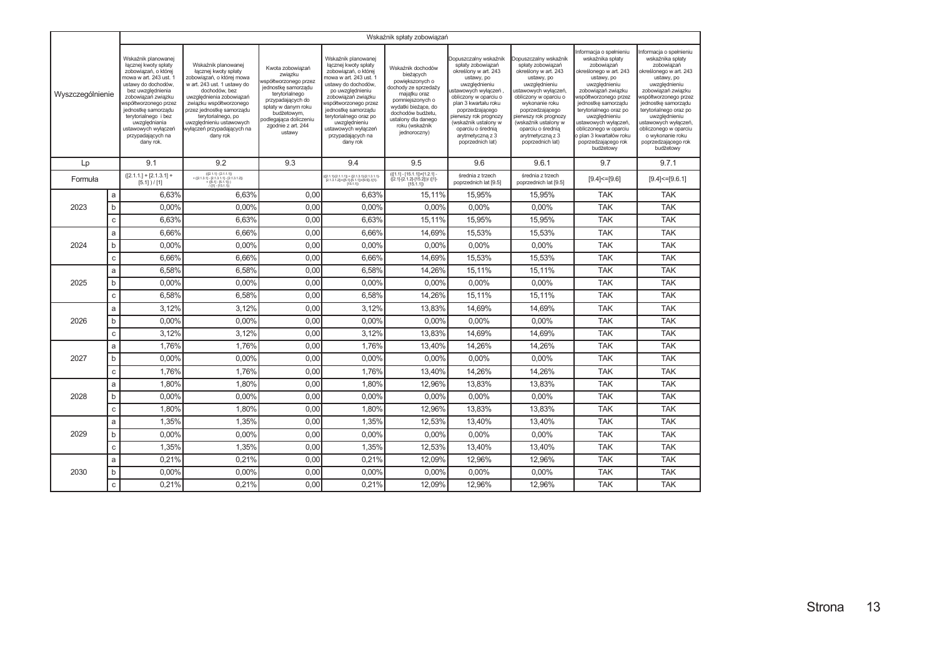|                  |              |                                                                                                                                                                                                                                                                                                                   |                                                                                                                                                                                                                                                                                                          |                                                                                                                                                                                                                    |                                                                                                                                                                                                                                                                                                                   | Wskaźnik spłaty zobowiązań                                                                                                                                                                                         |                                                                                                                                                                                                                                                                                                           |                                                                                                                                                                                                                                                                                                       |                                                                                                                                                                                                                                                                                                                                                    |                                                                                                                                                                                                                                                                                                                                            |
|------------------|--------------|-------------------------------------------------------------------------------------------------------------------------------------------------------------------------------------------------------------------------------------------------------------------------------------------------------------------|----------------------------------------------------------------------------------------------------------------------------------------------------------------------------------------------------------------------------------------------------------------------------------------------------------|--------------------------------------------------------------------------------------------------------------------------------------------------------------------------------------------------------------------|-------------------------------------------------------------------------------------------------------------------------------------------------------------------------------------------------------------------------------------------------------------------------------------------------------------------|--------------------------------------------------------------------------------------------------------------------------------------------------------------------------------------------------------------------|-----------------------------------------------------------------------------------------------------------------------------------------------------------------------------------------------------------------------------------------------------------------------------------------------------------|-------------------------------------------------------------------------------------------------------------------------------------------------------------------------------------------------------------------------------------------------------------------------------------------------------|----------------------------------------------------------------------------------------------------------------------------------------------------------------------------------------------------------------------------------------------------------------------------------------------------------------------------------------------------|--------------------------------------------------------------------------------------------------------------------------------------------------------------------------------------------------------------------------------------------------------------------------------------------------------------------------------------------|
| Wyszczególnienie |              | Wskaźnik planowanej<br>łącznej kwoty spłaty<br>zobowiązań, o której<br>mowa w art. 243 ust. 1<br>ustawy do dochodów,<br>bez uwzględnienia<br>zobowiązań związku<br>współtworzonego przez<br>jednostkę samorządu<br>terytorialnego i bez<br>uwzględniania<br>ustawowych wyłączeń<br>przypadających na<br>dany rok. | Wskaźnik planowanej<br>łącznej kwoty spłaty<br>zobowiązań, o której mowa<br>w art. 243 ust. 1 ustawy do<br>dochodów, bez<br>uwzględnienia zobowiązań<br>związku współtworzonego<br>przez jednostkę samorządu<br>terytorialnego, po<br>uwzględnieniu ustawowych<br>wyłączeń przypadających na<br>dany rok | Kwota zobowiązań<br>związku<br>vspółtworzonego przez<br>jednostkę samorządu<br>terytorialnego<br>przypadających do<br>spłaty w danym roku<br>budżetowym,<br>podlegająca doliczeniu<br>zgodnie z art. 244<br>ustawy | Wskaźnik planowanej<br>łącznej kwoty spłaty<br>zobowiązań, o której<br>mowa w art. 243 ust. 1<br>ustawy do dochodów,<br>po uwzględnieniu<br>zobowiązań związku<br>vspółtworzonego przez<br>jednostkę samorządu<br>terytorialnego oraz po<br>uwzględnieniu<br>ustawowych wyłączeń<br>przypadających na<br>dany rok | Wskaźnik dochodów<br>bieżących<br>powiększonych o<br>dochody ze sprzedaży<br>majatku oraz<br>pomniejszonych o<br>wydatki bieżące, do<br>dochodów budżetu,<br>ustalony dla danego<br>roku (wskaźnik<br>jednoroczny) | Dopuszczalny wskaźnik<br>spłaty zobowiązań<br>określony w art. 243<br>ustawy, po<br>uwzględnieniu<br>stawowych wyłączeń<br>obliczony w oparciu o<br>plan 3 kwartału roku<br>poprzedzającego<br>pierwszy rok prognozy<br>(wskaźnik ustalony w<br>oparciu o średnia<br>arytmetyczną z 3<br>poprzednich lat) | Oopuszczalny wskaźnik<br>spłaty zobowiązań<br>określony w art. 243<br>ustawy, po<br>uwzględnieniu<br>ustawowych wyłączeń,<br>obliczony w oparciu o<br>wykonanie roku<br>poprzedzającego<br>pierwszy rok prognozy<br>(wskaźnik ustalony w<br>oparciu o średnia<br>arytmetyczną z 3<br>poprzednich lat) | nformacja o spełnieniu<br>wskaźnika spłaty<br>zobowiązań<br>określonego w art. 243<br>ustawy, po<br>uwzględnieniu<br>zobowiązań związku<br>współtworzonego przez<br>jednostkę samorządu<br>terytorialnego oraz po<br>uwzględnieniu<br>ustawowych wyłączeń,<br>obliczonego w oparciu<br>o plan 3 kwartałów roku<br>poprzedzającego rok<br>budżetowy | nformacja o spełnieniu<br>wskaźnika spłaty<br>zobowiązań<br>określonego w art. 243<br>ustawy, po<br>uwzględnieniu<br>zobowiązań związku<br>współtworzonego przez<br>jednostkę samorządu<br>terytorialnego oraz po<br>uwzględnieniu<br>ustawowych wyłączeń<br>obliczonego w oparciu<br>o wykonanie roku<br>poprzedzającego rok<br>budżetowy |
| Lp               |              | 9.1                                                                                                                                                                                                                                                                                                               | 9.2                                                                                                                                                                                                                                                                                                      | 9.3                                                                                                                                                                                                                | 9.4                                                                                                                                                                                                                                                                                                               | 9.5                                                                                                                                                                                                                | 9.6                                                                                                                                                                                                                                                                                                       | 9.6.1                                                                                                                                                                                                                                                                                                 | 9.7                                                                                                                                                                                                                                                                                                                                                | 9.7.1                                                                                                                                                                                                                                                                                                                                      |
| Formuła          |              | $([2.1.1.] + [2.1.3.1] +$<br>$[5.1]$ ) / [1]                                                                                                                                                                                                                                                                      | $\begin{array}{c} ([(2.1.1]\cdot [2.1.1.1])\\ +([2.1.3.1]\cdot [2.1.3.1.1]\cdot [2.1.3.1.2])\\ +([5.1]\cdot [5.1.1])\\ \hline\hspace{0.2cm}/\hspace{0.2cm}([1]\cdot [15.1.1]) \end{array}$                                                                                                               |                                                                                                                                                                                                                    | ([2.1.1]-(2.1.1.1]) + ([2.1.3.1]-(2.1.3.1.1]-<br>[2.1.3.1.2])+([5.1]-(5.1.1])+(9.5]) /([1]-<br>[15.1.1])                                                                                                                                                                                                          | $([[1.1] - [15.1.1]) + [1.2.1]$<br>$([2.1] - [2.1.2] - [15.2]))/([1] -$<br>[15.1.1]                                                                                                                                | średnia z trzech<br>poprzednich lat [9.5]                                                                                                                                                                                                                                                                 | średnia z trzech<br>poprzednich lat [9.5]                                                                                                                                                                                                                                                             | $[9.4] < = [9.6]$                                                                                                                                                                                                                                                                                                                                  | $[9.4] < = [9.6.1]$                                                                                                                                                                                                                                                                                                                        |
|                  | a            | 6.63%                                                                                                                                                                                                                                                                                                             | 6.63%                                                                                                                                                                                                                                                                                                    | 0,00                                                                                                                                                                                                               | 6.63%                                                                                                                                                                                                                                                                                                             | 15.11%                                                                                                                                                                                                             | 15.95%                                                                                                                                                                                                                                                                                                    | 15.95%                                                                                                                                                                                                                                                                                                | <b>TAK</b>                                                                                                                                                                                                                                                                                                                                         | <b>TAK</b>                                                                                                                                                                                                                                                                                                                                 |
| 2023             | b            | 0.00%                                                                                                                                                                                                                                                                                                             | 0.00%                                                                                                                                                                                                                                                                                                    | 0,00                                                                                                                                                                                                               | 0.00%                                                                                                                                                                                                                                                                                                             | 0.00%                                                                                                                                                                                                              | 0.00%                                                                                                                                                                                                                                                                                                     | 0.00%                                                                                                                                                                                                                                                                                                 | <b>TAK</b>                                                                                                                                                                                                                                                                                                                                         | <b>TAK</b>                                                                                                                                                                                                                                                                                                                                 |
|                  | $\mathbf C$  | 6,63%                                                                                                                                                                                                                                                                                                             | 6,63%                                                                                                                                                                                                                                                                                                    | 0,00                                                                                                                                                                                                               | 6,63%                                                                                                                                                                                                                                                                                                             | 15,11%                                                                                                                                                                                                             | 15,95%                                                                                                                                                                                                                                                                                                    | 15,95%                                                                                                                                                                                                                                                                                                | <b>TAK</b>                                                                                                                                                                                                                                                                                                                                         | <b>TAK</b>                                                                                                                                                                                                                                                                                                                                 |
|                  | a            | 6,66%                                                                                                                                                                                                                                                                                                             | 6,66%                                                                                                                                                                                                                                                                                                    | 0,00                                                                                                                                                                                                               | 6,66%                                                                                                                                                                                                                                                                                                             | 14,69%                                                                                                                                                                                                             | 15,53%                                                                                                                                                                                                                                                                                                    | 15,53%                                                                                                                                                                                                                                                                                                | <b>TAK</b>                                                                                                                                                                                                                                                                                                                                         | <b>TAK</b>                                                                                                                                                                                                                                                                                                                                 |
| 2024             | b            | 0.00%                                                                                                                                                                                                                                                                                                             | 0.00%                                                                                                                                                                                                                                                                                                    | 0,00                                                                                                                                                                                                               | 0.00%                                                                                                                                                                                                                                                                                                             | 0.00%                                                                                                                                                                                                              | 0.00%                                                                                                                                                                                                                                                                                                     | 0.00%                                                                                                                                                                                                                                                                                                 | <b>TAK</b>                                                                                                                                                                                                                                                                                                                                         | <b>TAK</b>                                                                                                                                                                                                                                                                                                                                 |
|                  | $\mathsf{C}$ | 6.66%                                                                                                                                                                                                                                                                                                             | 6.66%                                                                                                                                                                                                                                                                                                    | 0,00                                                                                                                                                                                                               | 6.66%                                                                                                                                                                                                                                                                                                             | 14,69%                                                                                                                                                                                                             | 15.53%                                                                                                                                                                                                                                                                                                    | 15.53%                                                                                                                                                                                                                                                                                                | <b>TAK</b>                                                                                                                                                                                                                                                                                                                                         | <b>TAK</b>                                                                                                                                                                                                                                                                                                                                 |
|                  | a            | 6.58%                                                                                                                                                                                                                                                                                                             | 6,58%                                                                                                                                                                                                                                                                                                    | 0,00                                                                                                                                                                                                               | 6,58%                                                                                                                                                                                                                                                                                                             | 14,26%                                                                                                                                                                                                             | 15,11%                                                                                                                                                                                                                                                                                                    | 15.11%                                                                                                                                                                                                                                                                                                | <b>TAK</b>                                                                                                                                                                                                                                                                                                                                         | <b>TAK</b>                                                                                                                                                                                                                                                                                                                                 |
| 2025             | b            | 0,00%                                                                                                                                                                                                                                                                                                             | 0,00%                                                                                                                                                                                                                                                                                                    | 0,00                                                                                                                                                                                                               | 0,00%                                                                                                                                                                                                                                                                                                             | 0,00%                                                                                                                                                                                                              | 0,00%                                                                                                                                                                                                                                                                                                     | 0,00%                                                                                                                                                                                                                                                                                                 | <b>TAK</b>                                                                                                                                                                                                                                                                                                                                         | <b>TAK</b>                                                                                                                                                                                                                                                                                                                                 |
|                  | $\mathsf{C}$ | 6,58%                                                                                                                                                                                                                                                                                                             | 6,58%                                                                                                                                                                                                                                                                                                    | 0,00                                                                                                                                                                                                               | 6,58%                                                                                                                                                                                                                                                                                                             | 14,26%                                                                                                                                                                                                             | 15.11%                                                                                                                                                                                                                                                                                                    | 15.11%                                                                                                                                                                                                                                                                                                | <b>TAK</b>                                                                                                                                                                                                                                                                                                                                         | <b>TAK</b>                                                                                                                                                                                                                                                                                                                                 |
|                  | a            | 3,12%                                                                                                                                                                                                                                                                                                             | 3,12%                                                                                                                                                                                                                                                                                                    | 0,00                                                                                                                                                                                                               | 3,12%                                                                                                                                                                                                                                                                                                             | 13,83%                                                                                                                                                                                                             | 14,69%                                                                                                                                                                                                                                                                                                    | 14,69%                                                                                                                                                                                                                                                                                                | <b>TAK</b>                                                                                                                                                                                                                                                                                                                                         | <b>TAK</b>                                                                                                                                                                                                                                                                                                                                 |
| 2026             | b            | 0,00%                                                                                                                                                                                                                                                                                                             | 0,00%                                                                                                                                                                                                                                                                                                    | 0,00                                                                                                                                                                                                               | 0,00%                                                                                                                                                                                                                                                                                                             | 0,00%                                                                                                                                                                                                              | 0,00%                                                                                                                                                                                                                                                                                                     | 0,00%                                                                                                                                                                                                                                                                                                 | <b>TAK</b>                                                                                                                                                                                                                                                                                                                                         | <b>TAK</b>                                                                                                                                                                                                                                                                                                                                 |
|                  | c            | 3,12%                                                                                                                                                                                                                                                                                                             | 3,12%                                                                                                                                                                                                                                                                                                    | 0,00                                                                                                                                                                                                               | 3,12%                                                                                                                                                                                                                                                                                                             | 13,83%                                                                                                                                                                                                             | 14,69%                                                                                                                                                                                                                                                                                                    | 14,69%                                                                                                                                                                                                                                                                                                | <b>TAK</b>                                                                                                                                                                                                                                                                                                                                         | <b>TAK</b>                                                                                                                                                                                                                                                                                                                                 |
|                  | a            | 1.76%                                                                                                                                                                                                                                                                                                             | 1.76%                                                                                                                                                                                                                                                                                                    | 0.00                                                                                                                                                                                                               | 1.76%                                                                                                                                                                                                                                                                                                             | 13.40%                                                                                                                                                                                                             | 14.26%                                                                                                                                                                                                                                                                                                    | 14.26%                                                                                                                                                                                                                                                                                                | <b>TAK</b>                                                                                                                                                                                                                                                                                                                                         | <b>TAK</b>                                                                                                                                                                                                                                                                                                                                 |
| 2027             | b            | 0,00%                                                                                                                                                                                                                                                                                                             | 0.00%                                                                                                                                                                                                                                                                                                    | 0,00                                                                                                                                                                                                               | 0.00%                                                                                                                                                                                                                                                                                                             | 0.00%                                                                                                                                                                                                              | 0.00%                                                                                                                                                                                                                                                                                                     | 0.00%                                                                                                                                                                                                                                                                                                 | <b>TAK</b>                                                                                                                                                                                                                                                                                                                                         | <b>TAK</b>                                                                                                                                                                                                                                                                                                                                 |
|                  | $\mathbf c$  | 1,76%                                                                                                                                                                                                                                                                                                             | 1.76%                                                                                                                                                                                                                                                                                                    | 0,00                                                                                                                                                                                                               | 1.76%                                                                                                                                                                                                                                                                                                             | 13,40%                                                                                                                                                                                                             | 14,26%                                                                                                                                                                                                                                                                                                    | 14,26%                                                                                                                                                                                                                                                                                                | <b>TAK</b>                                                                                                                                                                                                                                                                                                                                         | <b>TAK</b>                                                                                                                                                                                                                                                                                                                                 |
|                  | a            | 1,80%                                                                                                                                                                                                                                                                                                             | 1,80%                                                                                                                                                                                                                                                                                                    | 0,00                                                                                                                                                                                                               | 1,80%                                                                                                                                                                                                                                                                                                             | 12,96%                                                                                                                                                                                                             | 13,83%                                                                                                                                                                                                                                                                                                    | 13,83%                                                                                                                                                                                                                                                                                                | <b>TAK</b>                                                                                                                                                                                                                                                                                                                                         | <b>TAK</b>                                                                                                                                                                                                                                                                                                                                 |
| 2028             | b            | 0.00%                                                                                                                                                                                                                                                                                                             | 0,00%                                                                                                                                                                                                                                                                                                    | 0,00                                                                                                                                                                                                               | 0.00%                                                                                                                                                                                                                                                                                                             | 0.00%                                                                                                                                                                                                              | 0.00%                                                                                                                                                                                                                                                                                                     | 0.00%                                                                                                                                                                                                                                                                                                 | <b>TAK</b>                                                                                                                                                                                                                                                                                                                                         | <b>TAK</b>                                                                                                                                                                                                                                                                                                                                 |
|                  | $\mathbf c$  | 1,80%                                                                                                                                                                                                                                                                                                             | 1.80%                                                                                                                                                                                                                                                                                                    | 0,00                                                                                                                                                                                                               | 1,80%                                                                                                                                                                                                                                                                                                             | 12,96%                                                                                                                                                                                                             | 13,83%                                                                                                                                                                                                                                                                                                    | 13,83%                                                                                                                                                                                                                                                                                                | <b>TAK</b>                                                                                                                                                                                                                                                                                                                                         | <b>TAK</b>                                                                                                                                                                                                                                                                                                                                 |
|                  | a            | 1,35%                                                                                                                                                                                                                                                                                                             | 1,35%                                                                                                                                                                                                                                                                                                    | 0,00                                                                                                                                                                                                               | 1,35%                                                                                                                                                                                                                                                                                                             | 12,53%                                                                                                                                                                                                             | 13,40%                                                                                                                                                                                                                                                                                                    | 13,40%                                                                                                                                                                                                                                                                                                | <b>TAK</b>                                                                                                                                                                                                                                                                                                                                         | <b>TAK</b>                                                                                                                                                                                                                                                                                                                                 |
| 2029             | b            | 0,00%                                                                                                                                                                                                                                                                                                             | 0,00%                                                                                                                                                                                                                                                                                                    | 0,00                                                                                                                                                                                                               | 0,00%                                                                                                                                                                                                                                                                                                             | 0,00%                                                                                                                                                                                                              | 0,00%                                                                                                                                                                                                                                                                                                     | 0,00%                                                                                                                                                                                                                                                                                                 | <b>TAK</b>                                                                                                                                                                                                                                                                                                                                         | <b>TAK</b>                                                                                                                                                                                                                                                                                                                                 |
|                  | $\mathsf{C}$ | 1.35%                                                                                                                                                                                                                                                                                                             | 1.35%                                                                                                                                                                                                                                                                                                    | 0.00                                                                                                                                                                                                               | 1.35%                                                                                                                                                                                                                                                                                                             | 12.53%                                                                                                                                                                                                             | 13.40%                                                                                                                                                                                                                                                                                                    | 13.40%                                                                                                                                                                                                                                                                                                | <b>TAK</b>                                                                                                                                                                                                                                                                                                                                         | <b>TAK</b>                                                                                                                                                                                                                                                                                                                                 |
|                  | a            | 0.21%                                                                                                                                                                                                                                                                                                             | 0.21%                                                                                                                                                                                                                                                                                                    | 0,00                                                                                                                                                                                                               | 0,21%                                                                                                                                                                                                                                                                                                             | 12.09%                                                                                                                                                                                                             | 12,96%                                                                                                                                                                                                                                                                                                    | 12,96%                                                                                                                                                                                                                                                                                                | <b>TAK</b>                                                                                                                                                                                                                                                                                                                                         | <b>TAK</b>                                                                                                                                                                                                                                                                                                                                 |
| 2030             | b            | 0.00%                                                                                                                                                                                                                                                                                                             | 0.00%                                                                                                                                                                                                                                                                                                    | 0,00                                                                                                                                                                                                               | 0.00%                                                                                                                                                                                                                                                                                                             | 0.00%                                                                                                                                                                                                              | 0,00%                                                                                                                                                                                                                                                                                                     | $0.00\%$                                                                                                                                                                                                                                                                                              | <b>TAK</b>                                                                                                                                                                                                                                                                                                                                         | <b>TAK</b>                                                                                                                                                                                                                                                                                                                                 |
|                  | $\mathbf{C}$ | 0.21%                                                                                                                                                                                                                                                                                                             | 0.21%                                                                                                                                                                                                                                                                                                    | 0.00                                                                                                                                                                                                               | 0.21%                                                                                                                                                                                                                                                                                                             | 12.09%                                                                                                                                                                                                             | 12.96%                                                                                                                                                                                                                                                                                                    | 12.96%                                                                                                                                                                                                                                                                                                | <b>TAK</b>                                                                                                                                                                                                                                                                                                                                         | <b>TAK</b>                                                                                                                                                                                                                                                                                                                                 |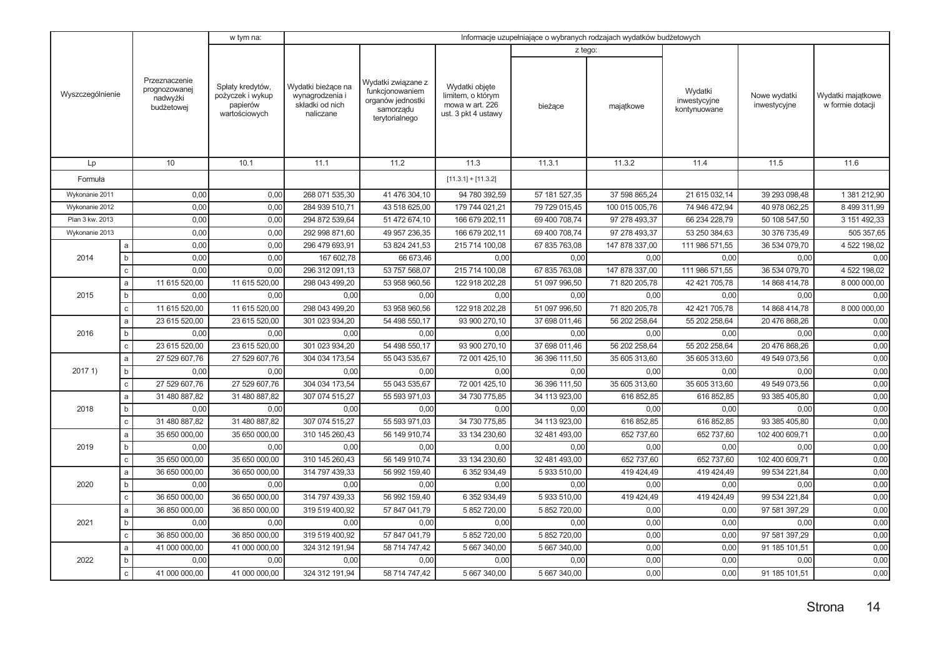|                  |                       |                                                          | w tym na:                                                         |                                                                       |                                                                                           |                                                                               | Informacje uzupełniające o wybranych rodzajach wydatków budżetowych |                |                                         |                              |                                       |
|------------------|-----------------------|----------------------------------------------------------|-------------------------------------------------------------------|-----------------------------------------------------------------------|-------------------------------------------------------------------------------------------|-------------------------------------------------------------------------------|---------------------------------------------------------------------|----------------|-----------------------------------------|------------------------------|---------------------------------------|
|                  |                       |                                                          |                                                                   |                                                                       |                                                                                           |                                                                               | z tego:                                                             |                |                                         |                              |                                       |
| Wyszczególnienie |                       | Przeznaczenie<br>prognozowanej<br>nadwyżki<br>budżetowej | Spłaty kredytów,<br>pożyczek i wykup<br>papierów<br>wartościowych | Wydatki bieżące na<br>wynagrodzenia i<br>składki od nich<br>naliczane | Wydatki związane z<br>funkcjonowaniem<br>organów jednostki<br>samorządu<br>terytorialnego | Wydatki objęte<br>limitem, o którym<br>mowa w art. 226<br>ust. 3 pkt 4 ustawy | bieżące                                                             | majątkowe      | Wydatki<br>inwestycyjne<br>kontynuowane | Nowe wydatki<br>inwestycyjne | Wydatki majątkowe<br>w formie dotacji |
| Lp               |                       | 10                                                       | 10.1                                                              | 11.1                                                                  | 11.2                                                                                      | 11.3                                                                          | 11.3.1                                                              | 11.3.2         | 11.4                                    | 11.5                         | 11.6                                  |
| Formuła          |                       |                                                          |                                                                   |                                                                       |                                                                                           | $[11.3.1] + [11.3.2]$                                                         |                                                                     |                |                                         |                              |                                       |
| Wykonanie 2011   |                       | 0,00                                                     | 0,00                                                              | 268 071 535,30                                                        | 41 476 304,10                                                                             | 94 780 392,59                                                                 | 57 181 527,35                                                       | 37 598 865,24  | 21 615 032,14                           | 39 293 098,48                | 1 381 212,90                          |
| Wykonanie 2012   |                       | 0,00                                                     | 0,00                                                              | 284 939 510,71                                                        | 43 518 625,00                                                                             | 179 744 021,21                                                                | 79 729 015,45                                                       | 100 015 005,76 | 74 946 472,94                           | 40 978 062,25                | 8 499 311,99                          |
| Plan 3 kw. 2013  |                       | 0,00                                                     | 0,00                                                              | 294 872 539,64                                                        | 51 472 674,10                                                                             | 166 679 202,11                                                                | 69 400 708,74                                                       | 97 278 493,37  | 66 234 228,79                           | 50 108 547,50                | 3 151 492,33                          |
| Wykonanie 2013   |                       | 0,00                                                     | 0,00                                                              | 292 998 871,60                                                        | 49 957 236,35                                                                             | 166 679 202,11                                                                | 69 400 708,74                                                       | 97 278 493,37  | 53 250 384,63                           | 30 376 735,49                | 505 357,65                            |
|                  | $\mathsf{a}$          | 0,00                                                     | 0,00                                                              | 296 479 693,91                                                        | 53 824 241,53                                                                             | 215 714 100,08                                                                | 67 835 763,08                                                       | 147 878 337,00 | 111 986 571,55                          | 36 534 079,70                | 4 522 198,02                          |
| 2014             | $\mathsf b$           | 0,00                                                     | 0,00                                                              | 167 602,78                                                            | 66 673,46                                                                                 | 0.00                                                                          | 0,00                                                                | 0,00           | 0,00                                    | 0,00                         | 0,00                                  |
|                  | $\mathtt{C}$          | 0,00                                                     | 0.00                                                              | 296 312 091,13                                                        | 53 757 568,07                                                                             | 215 714 100,08                                                                | 67 835 763,08                                                       | 147 878 337,00 | 111 986 571,55                          | 36 534 079,70                | 4 522 198,02                          |
|                  | $\mathsf{a}$          | 11 615 520,00                                            | 11 615 520,00                                                     | 298 043 499,20                                                        | 53 958 960,56                                                                             | 122 918 202,28                                                                | 51 097 996,50                                                       | 71 820 205,78  | 42 421 705,78                           | 14 868 414,78                | 8 000 000,00                          |
| 2015             | b                     | 0,00                                                     | 0,00                                                              | 0,00                                                                  | 0,00                                                                                      | 0,00                                                                          | 0,00                                                                | 0,00           | 0,00                                    | 0,00                         | 0,00                                  |
|                  | $\mathtt{C}$          | 11 615 520,00                                            | 11 615 520,00                                                     | 298 043 499,20                                                        | 53 958 960,56                                                                             | 122 918 202,28                                                                | 51 097 996,50                                                       | 71 820 205,78  | 42 421 705,78                           | 14 868 414,78                | 8 000 000,00                          |
|                  | $\mathsf{a}$          | 23 615 520,00                                            | 23 615 520,00                                                     | 301 023 934,20                                                        | 54 498 550,17                                                                             | 93 900 270,10                                                                 | 37 698 011,46                                                       | 56 202 258,64  | 55 202 258,64                           | 20 476 868,26                | 0,00                                  |
| 2016             | b                     | 0,00                                                     | 0,00                                                              | 0,00                                                                  | 0,00                                                                                      | 0,00                                                                          | 0.00                                                                | 0,00           | 0,00                                    | 0,00                         | 0,00                                  |
|                  | $\mathtt{C}$          | 23 615 520,00                                            | 23 615 520,00                                                     | 301 023 934,20                                                        | 54 498 550,17                                                                             | 93 900 270,10                                                                 | 37 698 011,46                                                       | 56 202 258,64  | 55 202 258,64                           | 20 476 868,26                | 0,00                                  |
|                  | $\mathsf{a}$          | 27 529 607,76                                            | 27 529 607,76                                                     | 304 034 173,54                                                        | 55 043 535,67                                                                             | 72 001 425,10                                                                 | 36 396 111,50                                                       | 35 605 313,60  | 35 605 313,60                           | 49 549 073,56                | 0,00                                  |
| 20171            | $\mathsf b$           | 0,00                                                     | 0,00                                                              | 0,00                                                                  | 0,00                                                                                      | 0,00                                                                          | 0,00                                                                | 0,00           | 0,00                                    | 0,00                         | 0,00                                  |
|                  | C                     | 27 529 607,76                                            | 27 529 607,76                                                     | 304 034 173,54                                                        | 55 043 535,67                                                                             | 72 001 425,10                                                                 | 36 396 111,50                                                       | 35 605 313,60  | 35 605 313,60                           | 49 549 073,56                | 0,00                                  |
|                  | $\mathsf{a}$          | 31 480 887,82                                            | 31 480 887,82                                                     | 307 074 515,27                                                        | 55 593 971,03                                                                             | 34 730 775,85                                                                 | 34 113 923,00                                                       | 616 852,85     | 616 852,85                              | 93 385 405,80                | 0,00                                  |
| 2018             | $\sf b$               | 0,00                                                     | 0,00                                                              | 0,00                                                                  | 0,00                                                                                      | 0,00                                                                          | 0,00                                                                | 0,00           | 0,00                                    | 0,00                         | 0,00                                  |
|                  | $\mathtt{C}$          | 31 480 887,82                                            | 31 480 887,82                                                     | 307 074 515,27                                                        | 55 593 971,03                                                                             | 34 730 775,85                                                                 | 34 113 923,00                                                       | 616 852,85     | 616 852,85                              | 93 385 405,80                | 0,00                                  |
|                  | $\mathsf{a}$          | 35 650 000,00                                            | 35 650 000,00                                                     | 310 145 260,43                                                        | 56 149 910,74                                                                             | 33 134 230,60                                                                 | 32 481 493,00                                                       | 652 737,60     | 652 737,60                              | 102 400 609,71               | 0,00                                  |
| 2019             | $\mathsf{b}$          | 0,00                                                     | 0,00                                                              | 0,00                                                                  | 0,00                                                                                      | 0,00                                                                          | 0,00                                                                | 0,00           | 0,00                                    | 0,00                         | 0,00                                  |
|                  | $\mathtt{C}$          | 35 650 000,00                                            | 35 650 000,00                                                     | 310 145 260,43                                                        | 56 149 910,74                                                                             | 33 134 230,60                                                                 | 32 481 493,00                                                       | 652 737,60     | 652 737,60                              | 102 400 609,71               | 0,00                                  |
|                  | a                     | 36 650 000,00                                            | 36 650 000,00                                                     | 314 797 439,33                                                        | 56 992 159,40                                                                             | 6 352 934,49                                                                  | 5933510,00                                                          | 419 424,49     | 419 424,49                              | 99 534 221,84                | 0,00                                  |
| 2020             | $\sf b$               | 0,00                                                     | 0,00                                                              | 0,00                                                                  | 0,00                                                                                      | 0,00                                                                          | 0,00                                                                | 0,00           | 0,00                                    | 0,00                         | 0,00                                  |
|                  | $\overline{\text{c}}$ | 36 650 000,00                                            | 36 650 000,00                                                     | 314 797 439,33                                                        | 56 992 159,40                                                                             | 6 352 934,49                                                                  | 5 933 510,00                                                        | 419 424,49     | 419 424,49                              | 99 534 221,84                | 0,00                                  |
|                  | $\mathsf{a}$          | 36 850 000,00                                            | 36 850 000,00                                                     | 319 519 400,92                                                        | 57 847 041,79                                                                             | 5 852 720,00                                                                  | 5 852 720,00                                                        | 0,00           | 0,00                                    | 97 581 397,29                | 0,00                                  |
| 2021             | $\sf b$               | 0,00                                                     | 0,00                                                              | 0,00                                                                  | 0,00                                                                                      | 0,00                                                                          | 0,00                                                                | 0,00           | 0,00                                    | 0,00                         | 0,00                                  |
|                  | $\mathsf c$           | 36 850 000,00                                            | 36 850 000,00                                                     | 319 519 400,92                                                        | 57 847 041,79                                                                             | 5 852 720,00                                                                  | 5 852 720,00                                                        | 0,00           | 0,00                                    | 97 581 397,29                | 0,00                                  |
|                  | $\mathsf{a}$          | 41 000 000,00                                            | 41 000 000,00                                                     | 324 312 191,94                                                        | 58 714 747,42                                                                             | 5 667 340,00                                                                  | 5 667 340,00                                                        | 0,00           | 0,00                                    | 91 185 101,51                | 0,00                                  |
| 2022             | b                     | 0,00                                                     | 0,00                                                              | 0,00                                                                  | 0,00                                                                                      | 0,00                                                                          | 0,00                                                                | 0,00           | 0,00                                    | 0,00                         | 0,00                                  |
|                  | $\mathbf c$           | 41 000 000.00                                            | 41 000 000,00                                                     | 324 312 191.94                                                        | 58 714 747,42                                                                             | 5 667 340,00                                                                  | 5 667 340,00                                                        | 0,00           | 0.00                                    | 91 185 101,51                | 0,00                                  |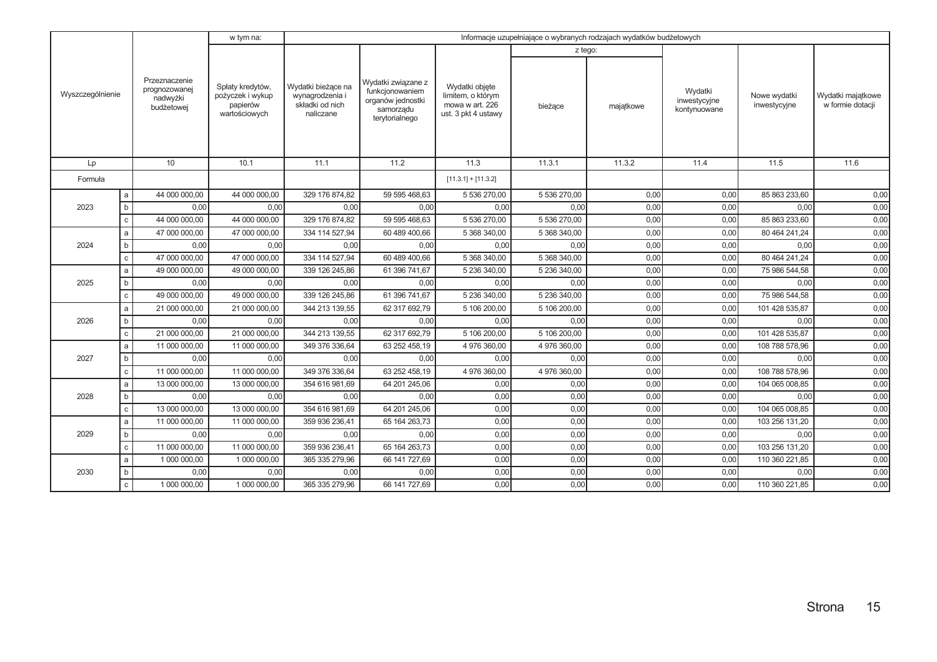|                  | Informacje uzupełniające o wybranych rodzajach wydatków budżetowych<br>w tym na: |      |                                                                   |                                                                       |                                                                                           |                                                                               |              |           |                                         |                              |                                       |
|------------------|----------------------------------------------------------------------------------|------|-------------------------------------------------------------------|-----------------------------------------------------------------------|-------------------------------------------------------------------------------------------|-------------------------------------------------------------------------------|--------------|-----------|-----------------------------------------|------------------------------|---------------------------------------|
|                  |                                                                                  |      |                                                                   |                                                                       |                                                                                           |                                                                               |              | z tego:   |                                         |                              |                                       |
| Wyszczególnienie | Przeznaczenie<br>prognozowanej<br>nadwyżki<br>budżetowej                         |      | Spłaty kredytów,<br>pożyczek i wykup<br>papierów<br>wartościowych | Wydatki bieżące na<br>wynagrodzenia i<br>składki od nich<br>naliczane | Wydatki związane z<br>funkcjonowaniem<br>organów jednostki<br>samorządu<br>terytorialnego | Wydatki objęte<br>limitem, o którym<br>mowa w art. 226<br>ust. 3 pkt 4 ustawy | bieżące      | majątkowe | Wydatki<br>inwestycyjne<br>kontynuowane | Nowe wydatki<br>inwestycyjne | Wydatki majątkowe<br>w formie dotacji |
| Lp               | 10                                                                               |      | 10.1                                                              | 11.1                                                                  | 11.2                                                                                      | 11.3                                                                          | 11.3.1       | 11.3.2    | 11.4                                    | 11.5                         | 11.6                                  |
| Formuła          |                                                                                  |      |                                                                   |                                                                       |                                                                                           | $[11.3.1] + [11.3.2]$                                                         |              |           |                                         |                              |                                       |
|                  | 44 000 000,00<br>a                                                               |      | 44 000 000,00                                                     | 329 176 874,82                                                        | 59 595 468,63                                                                             | 5 536 270,00                                                                  | 5 536 270,00 | 0,00      | 0,00                                    | 85 863 233,60                | 0,00                                  |
| 2023             | b                                                                                | 0,00 | 0,00                                                              | 0,00                                                                  | 0,00                                                                                      | 0,00                                                                          | 0,00         | 0,00      | 0,00                                    | 0,00                         | 0,00                                  |
|                  | $\mathbf{C}$<br>44 000 000,00                                                    |      | 44 000 000,00                                                     | 329 176 874,82                                                        | 59 595 468,63                                                                             | 5 536 270,00                                                                  | 5 536 270,00 | 0,00      | 0,00                                    | 85 863 233,60                | 0,00                                  |
|                  | 47 000 000,00<br>a                                                               |      | 47 000 000,00                                                     | 334 114 527,94                                                        | 60 489 400,66                                                                             | 5 368 340,00                                                                  | 5 368 340,00 | 0,00      | 0,00                                    | 80 464 241,24                | 0,00                                  |
| 2024             | b                                                                                | 0,00 | 0,00                                                              | 0,00                                                                  | 0,00                                                                                      | 0,00                                                                          | 0,00         | 0,00      | 0,00                                    | 0,00                         | 0,00                                  |
|                  | 47 000 000.00<br>$\mathtt{C}$                                                    |      | 47 000 000,00                                                     | 334 114 527,94                                                        | 60 489 400.66                                                                             | 5 368 340,00                                                                  | 5 368 340,00 | 0,00      | 0,00                                    | 80 464 241,24                | 0,00                                  |
|                  | 49 000 000,00<br>$\mathsf{a}$                                                    |      | 49 000 000,00                                                     | 339 126 245,86                                                        | 61 396 741,67                                                                             | 5 236 340,00                                                                  | 5 236 340,00 | 0,00      | 0,00                                    | 75 986 544,58                | 0,00                                  |
| 2025             | b                                                                                | 0,00 | 0,00                                                              | 0,00                                                                  | 0,00                                                                                      | 0,00                                                                          | 0,00         | 0,00      | 0,00                                    | 0,00                         | 0,00                                  |
|                  | 49 000 000,00<br>$\mathtt{C}$                                                    |      | 49 000 000,00                                                     | 339 126 245,86                                                        | 61 396 741,67                                                                             | 5 236 340,00                                                                  | 5 236 340,00 | 0,00      | 0,00                                    | 75 986 544,58                | 0,00                                  |
|                  | 21 000 000,00<br>$\mathsf{a}$                                                    |      | 21 000 000,00                                                     | 344 213 139,55                                                        | 62 317 692,79                                                                             | 5 106 200,00                                                                  | 5 106 200,00 | 0,00      | 0,00                                    | 101 428 535,87               | 0,00                                  |
| 2026             | b                                                                                | 0,00 | 0,00                                                              | 0,00                                                                  | 0,00                                                                                      | 0,00                                                                          | 0,00         | 0,00      | 0,00                                    | 0.00                         | 0,00                                  |
|                  | $\mathtt{C}$<br>21 000 000,00                                                    |      | 21 000 000,00                                                     | 344 213 139,55                                                        | 62 317 692,79                                                                             | 5 106 200,00                                                                  | 5 106 200,00 | 0,00      | 0,00                                    | 101 428 535,87               | 0,00                                  |
|                  | 11 000 000,00<br>$\mathsf{a}$                                                    |      | 11 000 000,00                                                     | 349 376 336,64                                                        | 63 252 458,19                                                                             | 4 976 360,00                                                                  | 4 976 360,00 | 0,00      | 0,00                                    | 108 788 578,96               | 0,00                                  |
| 2027             | b                                                                                | 0,00 | 0,00                                                              | 0,00                                                                  | 0,00                                                                                      | 0,00                                                                          | 0,00         | 0,00      | 0,00                                    | 0,00                         | 0,00                                  |
|                  | 11 000 000,00<br>$\mathtt{C}$                                                    |      | 11 000 000,00                                                     | 349 376 336,64                                                        | 63 252 458,19                                                                             | 4 976 360,00                                                                  | 4 976 360,00 | 0,00      | 0,00                                    | 108 788 578,96               | 0,00                                  |
|                  | 13 000 000,00<br>$\mathsf{a}$                                                    |      | 13 000 000,00                                                     | 354 616 981,69                                                        | 64 201 245,06                                                                             | 0,00                                                                          | 0,00         | 0,00      | 0,00                                    | 104 065 008,85               | 0,00                                  |
| 2028             | b                                                                                | 0,00 | 0,00                                                              | 0,00                                                                  | 0,00                                                                                      | 0,00                                                                          | 0,00         | 0,00      | 0,00                                    | 0,00                         | 0,00                                  |
|                  | 13 000 000,00<br>${\tt C}$                                                       |      | 13 000 000,00                                                     | 354 616 981,69                                                        | 64 201 245,06                                                                             | 0,00                                                                          | 0,00         | 0,00      | 0,00                                    | 104 065 008,85               | 0,00                                  |
|                  | 11 000 000,00<br>$\mathsf{a}$                                                    |      | 11 000 000,00                                                     | 359 936 236,41                                                        | 65 164 263,73                                                                             | 0,00                                                                          | 0,00         | 0,00      | 0,00                                    | 103 256 131,20               | 0,00                                  |
| 2029             | b                                                                                | 0,00 | 0,00                                                              | 0,00                                                                  | 0,00                                                                                      | 0,00                                                                          | 0,00         | 0,00      | 0,00                                    | 0,00                         | 0,00                                  |
|                  | 11 000 000,00<br>$\mathtt{C}$                                                    |      | 11 000 000,00                                                     | 359 936 236,41                                                        | 65 164 263,73                                                                             | 0,00                                                                          | 0,00         | 0,00      | 0,00                                    | 103 256 131,20               | 0,00                                  |
|                  | 1 000 000,00<br>$\mathsf{a}$                                                     |      | 1 000 000,00                                                      | 365 335 279,96                                                        | 66 141 727,69                                                                             | 0,00                                                                          | 0,00         | 0,00      | 0,00                                    | 110 360 221,85               | 0,00                                  |
| 2030             | b                                                                                | 0,00 | 0,00                                                              | 0,00                                                                  | 0,00                                                                                      | 0,00                                                                          | 0,00         | 0,00      | 0,00                                    | 0,00                         | 0,00                                  |
|                  | 1 000 000,00<br>$\mathtt{C}$                                                     |      | 1 000 000,00                                                      | 365 335 279,96                                                        | 66 141 727,69                                                                             | 0,00                                                                          | 0,00         | 0,00      | 0,00                                    | 110 360 221,85               | 0,00                                  |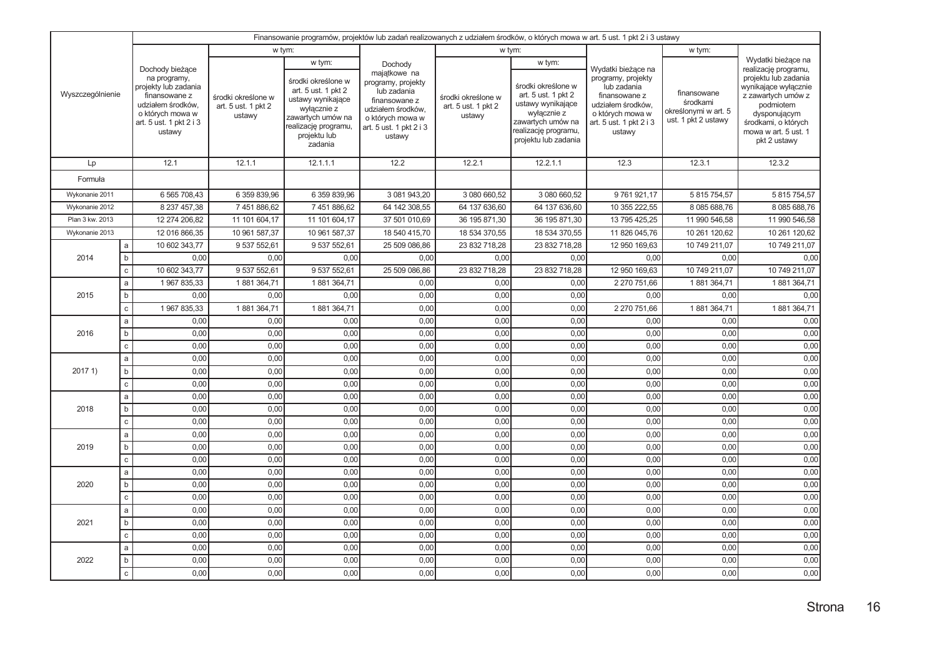|                  |                             | Finansowanie programów, projektów lub zadań realizowanych z udziałem środków, o których mowa w art. 5 ust. 1 pkt 2 i 3 ustawy                          |                                                     |                                                                                                                                                                 |                                                                                                                                                             |                                                     |                                                                                                                                                              |                                                                                                                                                        |                                                                        |                                                                                                                                                                                                              |  |  |  |
|------------------|-----------------------------|--------------------------------------------------------------------------------------------------------------------------------------------------------|-----------------------------------------------------|-----------------------------------------------------------------------------------------------------------------------------------------------------------------|-------------------------------------------------------------------------------------------------------------------------------------------------------------|-----------------------------------------------------|--------------------------------------------------------------------------------------------------------------------------------------------------------------|--------------------------------------------------------------------------------------------------------------------------------------------------------|------------------------------------------------------------------------|--------------------------------------------------------------------------------------------------------------------------------------------------------------------------------------------------------------|--|--|--|
|                  |                             |                                                                                                                                                        | w tym:                                              |                                                                                                                                                                 |                                                                                                                                                             |                                                     | w tym:                                                                                                                                                       |                                                                                                                                                        | w tym:                                                                 |                                                                                                                                                                                                              |  |  |  |
| Wyszczególnienie |                             | Dochody bieżące<br>na programy,<br>projekty lub zadania<br>finansowane z<br>udziałem środków,<br>o których mowa w<br>art. 5 ust. 1 pkt 2 i 3<br>ustawy | środki określone w<br>art. 5 ust. 1 pkt 2<br>ustawy | w tym:<br>środki określone w<br>art. 5 ust. 1 pkt 2<br>ustawy wynikające<br>wyłącznie z<br>zawartych umów na<br>realizację programu,<br>projektu lub<br>zadania | Dochody<br>majątkowe na<br>programy, projekty<br>lub zadania<br>finansowane z<br>udziałem środków,<br>o których mowa w<br>art. 5 ust. 1 pkt 2 i 3<br>ustawy | środki określone w<br>art. 5 ust. 1 pkt 2<br>ustawy | w tym:<br>środki określone w<br>art. 5 ust. 1 pkt 2<br>ustawy wynikające<br>wyłącznie z<br>zawartych umów na<br>realizację programu,<br>projektu lub zadania | Wydatki bieżące na<br>programy, projekty<br>lub zadania<br>finansowane z<br>udziałem środków,<br>o których mowa w<br>art. 5 ust. 1 pkt 2 i 3<br>ustawy | finansowane<br>środkami<br>określonymi w art. 5<br>ust. 1 pkt 2 ustawy | Wydatki bieżące na<br>realizację programu,<br>projektu lub zadania<br>wynikające wyłącznie<br>z zawartych umów z<br>podmiotem<br>dysponującym<br>środkami, o których<br>mowa w art. 5 ust. 1<br>pkt 2 ustawy |  |  |  |
| Lp               |                             | 12.1                                                                                                                                                   | 12.1.1                                              | 12.1.1.1                                                                                                                                                        | 12.2                                                                                                                                                        | 12.2.1                                              | 12.2.1.1                                                                                                                                                     | 12.3                                                                                                                                                   | 12.3.1                                                                 | 12.3.2                                                                                                                                                                                                       |  |  |  |
| Formuła          |                             |                                                                                                                                                        |                                                     |                                                                                                                                                                 |                                                                                                                                                             |                                                     |                                                                                                                                                              |                                                                                                                                                        |                                                                        |                                                                                                                                                                                                              |  |  |  |
| Wykonanie 2011   |                             | 6 5 65 708,43                                                                                                                                          | 6 359 839,96                                        | 6 359 839,96                                                                                                                                                    | 3 081 943,20                                                                                                                                                | 3 080 660,52                                        | 3 080 660,52                                                                                                                                                 | 9761921,17                                                                                                                                             | 5 815 754,57                                                           | 5 815 754,57                                                                                                                                                                                                 |  |  |  |
| Wykonanie 2012   |                             | 8 237 457,38                                                                                                                                           | 7 451 886,62                                        | 7 451 886,62                                                                                                                                                    | 64 142 308,55                                                                                                                                               | 64 137 636,60                                       | 64 137 636,60                                                                                                                                                | 10 355 222,55                                                                                                                                          | 8 085 688,76                                                           | 8 085 688,76                                                                                                                                                                                                 |  |  |  |
| Plan 3 kw. 2013  |                             | 12 274 206,82                                                                                                                                          | 11 101 604,17                                       | 11 101 604,17                                                                                                                                                   | 37 501 010,69                                                                                                                                               | 36 195 871,30                                       | 36 195 871,30                                                                                                                                                | 13 795 425,25                                                                                                                                          | 11 990 546,58                                                          | 11 990 546,58                                                                                                                                                                                                |  |  |  |
| Wykonanie 2013   |                             | 12 016 866,35                                                                                                                                          | 10 961 587,37                                       | 10 961 587,37                                                                                                                                                   | 18 540 415,70                                                                                                                                               | 18 534 370,55                                       | 18 534 370,55                                                                                                                                                | 11 826 045,76                                                                                                                                          | 10 261 120,62                                                          | 10 261 120,62                                                                                                                                                                                                |  |  |  |
|                  | $\mathsf{a}$                | 10 602 343,77                                                                                                                                          | 9 537 552,61                                        | 9 537 552,61                                                                                                                                                    | 25 509 086,86                                                                                                                                               | 23 832 718,28                                       | 23 832 718,28                                                                                                                                                | 12 950 169,63                                                                                                                                          | 10 749 211,07                                                          | 10 749 211,07                                                                                                                                                                                                |  |  |  |
| 2014             | $\sf b$                     | 0,00                                                                                                                                                   | 0,00                                                | 0,00                                                                                                                                                            | 0,00                                                                                                                                                        | 0,00                                                | 0,00                                                                                                                                                         | 0,00                                                                                                                                                   | 0,00                                                                   | 0,00                                                                                                                                                                                                         |  |  |  |
|                  | $\mathtt{C}$                | 10 602 343,77                                                                                                                                          | 9 537 552,61                                        | 9 537 552,61                                                                                                                                                    | 25 509 086,86                                                                                                                                               | 23 832 718,28                                       | 23 832 718,28                                                                                                                                                | 12 950 169,63                                                                                                                                          | 10 749 211,07                                                          | 10 749 211,07                                                                                                                                                                                                |  |  |  |
|                  | $\mathsf{a}$                | 1 967 835,33                                                                                                                                           | 1881364,71                                          | 1881364,71                                                                                                                                                      | 0,00                                                                                                                                                        | 0,00                                                | 0,00                                                                                                                                                         | 2 270 751,66                                                                                                                                           | 1881364,71                                                             | 1881364,71                                                                                                                                                                                                   |  |  |  |
| 2015             | b                           | 0,00                                                                                                                                                   | 0,00                                                | 0,00                                                                                                                                                            | 0,00                                                                                                                                                        | 0,00                                                | 0,00                                                                                                                                                         | 0.00                                                                                                                                                   | 0,00                                                                   | 0,00                                                                                                                                                                                                         |  |  |  |
|                  | $\mathbf{C}$                | 1 967 835,33                                                                                                                                           | 1881364,71                                          | 1881364,71                                                                                                                                                      | 0,00                                                                                                                                                        | 0,00                                                | 0,00                                                                                                                                                         | 2 270 751,66                                                                                                                                           | 1881364,71                                                             | 1881364,71                                                                                                                                                                                                   |  |  |  |
|                  | $\mathsf{a}$                | 0,00                                                                                                                                                   | 0,00                                                | 0,00                                                                                                                                                            | 0,00                                                                                                                                                        | 0,00                                                | 0,00                                                                                                                                                         | 0,00                                                                                                                                                   | 0,00                                                                   | 0,00                                                                                                                                                                                                         |  |  |  |
| 2016             | $\sf b$                     | 0,00                                                                                                                                                   | 0,00                                                | 0,00                                                                                                                                                            | 0,00                                                                                                                                                        | 0,00                                                | 0,00                                                                                                                                                         | 0,00                                                                                                                                                   | 0,00                                                                   | 0,00                                                                                                                                                                                                         |  |  |  |
|                  | $\mathtt{C}$                | 0,00                                                                                                                                                   | 0,00                                                | 0,00                                                                                                                                                            | 0,00                                                                                                                                                        | 0,00                                                | 0,00                                                                                                                                                         | 0,00                                                                                                                                                   | 0,00                                                                   | 0,00                                                                                                                                                                                                         |  |  |  |
|                  | a                           | 0,00                                                                                                                                                   | 0,00                                                | 0,00                                                                                                                                                            | 0,00                                                                                                                                                        | 0,00                                                | 0,00                                                                                                                                                         | 0,00                                                                                                                                                   | 0,00                                                                   | 0,00                                                                                                                                                                                                         |  |  |  |
| 20171            | $\sf b$                     | 0,00                                                                                                                                                   | 0,00                                                | 0,00                                                                                                                                                            | 0,00                                                                                                                                                        | 0,00                                                | 0,00                                                                                                                                                         | 0,00                                                                                                                                                   | 0,00                                                                   | 0,00                                                                                                                                                                                                         |  |  |  |
|                  | $\mathtt{C}$                | 0,00                                                                                                                                                   | 0,00                                                | 0,00                                                                                                                                                            | 0,00                                                                                                                                                        | 0,00                                                | 0,00                                                                                                                                                         | 0,00                                                                                                                                                   | 0,00                                                                   | 0,00                                                                                                                                                                                                         |  |  |  |
|                  | a                           | 0,00                                                                                                                                                   | 0,00                                                | 0.00                                                                                                                                                            | 0,00                                                                                                                                                        | 0,00                                                | 0.00                                                                                                                                                         | 0,00                                                                                                                                                   | 0,00                                                                   | 0,00                                                                                                                                                                                                         |  |  |  |
| 2018             | $\sf b$                     | 0,00                                                                                                                                                   | 0,00                                                | 0,00                                                                                                                                                            | 0,00                                                                                                                                                        | 0,00                                                | 0,00                                                                                                                                                         | 0,00                                                                                                                                                   | 0,00                                                                   | 0,00                                                                                                                                                                                                         |  |  |  |
|                  | $\mathsf{c}$                | 0,00                                                                                                                                                   | 0,00                                                | 0,00                                                                                                                                                            | 0,00                                                                                                                                                        | 0,00                                                | 0,00                                                                                                                                                         | 0,00                                                                                                                                                   | 0,00                                                                   | 0,00                                                                                                                                                                                                         |  |  |  |
|                  | $\mathsf{a}$                | 0,00                                                                                                                                                   | 0,00                                                | 0,00                                                                                                                                                            | 0,00                                                                                                                                                        | 0,00                                                | 0,00                                                                                                                                                         | 0,00                                                                                                                                                   | 0,00                                                                   | 0,00                                                                                                                                                                                                         |  |  |  |
| 2019             | $\sf b$                     | 0,00                                                                                                                                                   | 0,00                                                | 0,00                                                                                                                                                            | 0,00                                                                                                                                                        | 0,00                                                | 0,00                                                                                                                                                         | 0,00                                                                                                                                                   | 0,00                                                                   | 0,00                                                                                                                                                                                                         |  |  |  |
|                  | $\mathtt{C}$                | 0,00                                                                                                                                                   | 0,00                                                | 0,00                                                                                                                                                            | 0,00                                                                                                                                                        | 0,00                                                | 0.00                                                                                                                                                         | 0,00                                                                                                                                                   | 0,00                                                                   | 0,00                                                                                                                                                                                                         |  |  |  |
|                  | $\mathsf{a}$<br>$\mathsf b$ | 0,00                                                                                                                                                   | 0,00<br>0,00                                        | 0.00<br>0,00                                                                                                                                                    | 0,00<br>0,00                                                                                                                                                | 0,00<br>0,00                                        | 0.00<br>0,00                                                                                                                                                 | 0,00<br>0,00                                                                                                                                           | 0,00<br>0,00                                                           | 0,00                                                                                                                                                                                                         |  |  |  |
| 2020             |                             | 0,00                                                                                                                                                   | 0,00                                                |                                                                                                                                                                 |                                                                                                                                                             |                                                     | 0,00                                                                                                                                                         |                                                                                                                                                        |                                                                        | 0,00                                                                                                                                                                                                         |  |  |  |
|                  | $\mathtt{C}$<br>a           | 0,00<br>0,00                                                                                                                                           | 0,00                                                | 0,00<br>0,00                                                                                                                                                    | 0,00<br>0,00                                                                                                                                                | 0,00<br>0,00                                        | 0,00                                                                                                                                                         | 0,00<br>0,00                                                                                                                                           | 0,00<br>0,00                                                           | 0,00<br>0,00                                                                                                                                                                                                 |  |  |  |
| 2021             | $\mathsf b$                 | 0,00                                                                                                                                                   | 0,00                                                | 0,00                                                                                                                                                            | 0,00                                                                                                                                                        | 0,00                                                | 0,00                                                                                                                                                         | 0,00                                                                                                                                                   | 0,00                                                                   | 0,00                                                                                                                                                                                                         |  |  |  |
|                  | $\mathbf{C}$                | 0,00                                                                                                                                                   | 0,00                                                | 0,00                                                                                                                                                            | 0,00                                                                                                                                                        | 0,00                                                | 0,00                                                                                                                                                         | 0,00                                                                                                                                                   | 0,00                                                                   | 0,00                                                                                                                                                                                                         |  |  |  |
|                  | $\mathsf a$                 | 0,00                                                                                                                                                   | 0,00                                                | 0,00                                                                                                                                                            | 0,00                                                                                                                                                        | 0,00                                                | 0,00                                                                                                                                                         | 0,00                                                                                                                                                   | 0,00                                                                   | 0,00                                                                                                                                                                                                         |  |  |  |
|                  | $\sf b$                     | 0,00                                                                                                                                                   | 0,00                                                | 0,00                                                                                                                                                            | 0,00                                                                                                                                                        | 0,00                                                | 0,00                                                                                                                                                         | 0,00                                                                                                                                                   | 0,00                                                                   | 0,00                                                                                                                                                                                                         |  |  |  |
| 2022             | $\mathtt{C}$                | 0,00                                                                                                                                                   | 0.00                                                | 0.00                                                                                                                                                            | 0,00                                                                                                                                                        | 0.00                                                | 0.00                                                                                                                                                         | 0,00                                                                                                                                                   | 0.00                                                                   | 0,00                                                                                                                                                                                                         |  |  |  |
|                  |                             |                                                                                                                                                        |                                                     |                                                                                                                                                                 |                                                                                                                                                             |                                                     |                                                                                                                                                              |                                                                                                                                                        |                                                                        |                                                                                                                                                                                                              |  |  |  |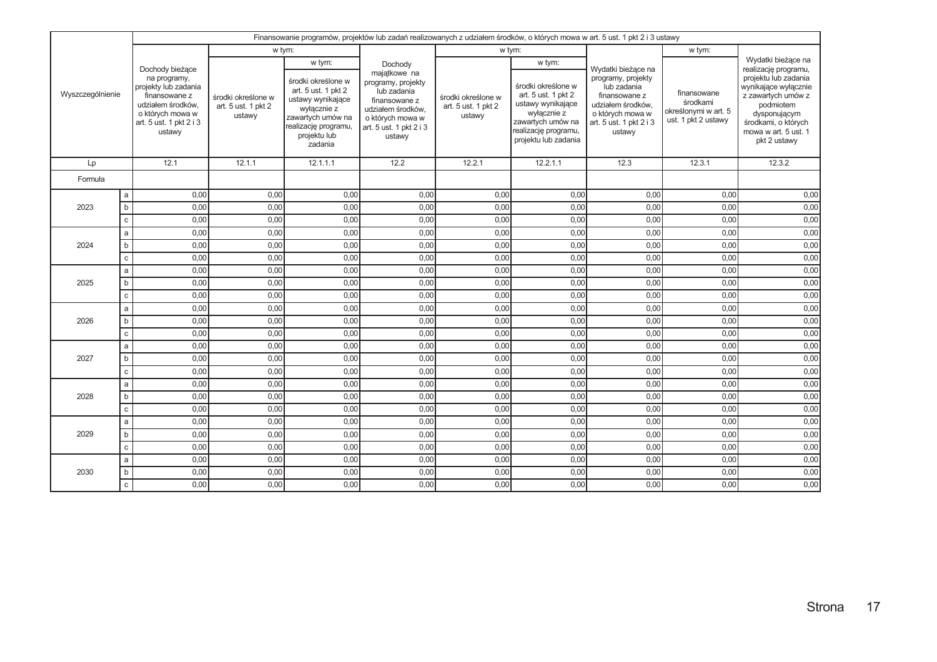|                  |                            |                                                                                                                                                        |                                                     |                                                                                                                                                                 | Finansowanie programów, projektów lub zadań realizowanych z udziałem środków, o których mowa w art. 5 ust. 1 pkt 2 i 3 ustawy                               |                                                     |                                                                                                                                                              |                                                                                                                                                        |                                                                        |                                                                                                                                                                                                              |
|------------------|----------------------------|--------------------------------------------------------------------------------------------------------------------------------------------------------|-----------------------------------------------------|-----------------------------------------------------------------------------------------------------------------------------------------------------------------|-------------------------------------------------------------------------------------------------------------------------------------------------------------|-----------------------------------------------------|--------------------------------------------------------------------------------------------------------------------------------------------------------------|--------------------------------------------------------------------------------------------------------------------------------------------------------|------------------------------------------------------------------------|--------------------------------------------------------------------------------------------------------------------------------------------------------------------------------------------------------------|
|                  |                            |                                                                                                                                                        |                                                     | w tym:                                                                                                                                                          |                                                                                                                                                             |                                                     | w tym:                                                                                                                                                       |                                                                                                                                                        | w tym:                                                                 |                                                                                                                                                                                                              |
| Wyszczególnienie |                            | Dochody bieżace<br>na programy,<br>projekty lub zadania<br>finansowane z<br>udziałem środków,<br>o których mowa w<br>art. 5 ust. 1 pkt 2 i 3<br>ustawy | środki określone w<br>art. 5 ust. 1 pkt 2<br>ustawy | w tym:<br>środki określone w<br>art. 5 ust. 1 pkt 2<br>ustawy wynikające<br>wyłącznie z<br>zawartych umów na<br>realizację programu,<br>projektu lub<br>zadania | Dochody<br>majatkowe na<br>programy, projekty<br>lub zadania<br>finansowane z<br>udziałem środków,<br>o których mowa w<br>art. 5 ust. 1 pkt 2 i 3<br>ustawy | środki określone w<br>art. 5 ust. 1 pkt 2<br>ustawy | w tym:<br>środki określone w<br>art, 5 ust, 1 pkt 2<br>ustawy wynikające<br>wyłącznie z<br>zawartych umów na<br>realizację programu,<br>projektu lub zadania | Wydatki bieżace na<br>programy, projekty<br>lub zadania<br>finansowane z<br>udziałem środków,<br>o których mowa w<br>art. 5 ust. 1 pkt 2 i 3<br>ustawy | finansowane<br>środkami<br>określonymi w art. 5<br>ust. 1 pkt 2 ustawy | Wydatki bieżące na<br>realizację programu,<br>projektu lub zadania<br>wynikające wyłącznie<br>z zawartych umów z<br>podmiotem<br>dysponującym<br>środkami, o których<br>mowa w art. 5 ust. 1<br>pkt 2 ustawy |
| Lp               |                            | 12.1                                                                                                                                                   | 12.1.1                                              | 12.1.1.1                                                                                                                                                        | 12.2                                                                                                                                                        | 12.2.1                                              | 12.2.1.1                                                                                                                                                     | 12.3                                                                                                                                                   | 12.3.1                                                                 | 12.3.2                                                                                                                                                                                                       |
| Formuła          |                            |                                                                                                                                                        |                                                     |                                                                                                                                                                 |                                                                                                                                                             |                                                     |                                                                                                                                                              |                                                                                                                                                        |                                                                        |                                                                                                                                                                                                              |
|                  | a                          | 0,00                                                                                                                                                   | 0,00                                                | 0,00                                                                                                                                                            | 0,00                                                                                                                                                        | 0,00                                                | 0,00                                                                                                                                                         | 0,00                                                                                                                                                   | 0,00                                                                   | 0,00                                                                                                                                                                                                         |
| 2023             | $\mathsf{b}$               | 0,00                                                                                                                                                   | 0,00                                                | 0,00                                                                                                                                                            | 0,00                                                                                                                                                        | 0,00                                                | 0,00                                                                                                                                                         | 0,00                                                                                                                                                   | 0,00                                                                   | 0,00                                                                                                                                                                                                         |
|                  | $\mathtt{C}$               | 0,00                                                                                                                                                   | 0,00                                                | 0,00                                                                                                                                                            | 0,00                                                                                                                                                        | 0,00                                                | 0,00                                                                                                                                                         | 0,00                                                                                                                                                   | 0,00                                                                   | 0,00                                                                                                                                                                                                         |
|                  | $\mathsf{a}$               | 0,00                                                                                                                                                   | 0,00                                                | 0,00                                                                                                                                                            | 0,00                                                                                                                                                        | 0,00                                                | 0,00                                                                                                                                                         | 0,00                                                                                                                                                   | 0,00                                                                   | 0,00                                                                                                                                                                                                         |
| 2024             | $\mathsf b$                | 0,00                                                                                                                                                   | 0,00                                                | 0,00                                                                                                                                                            | 0,00                                                                                                                                                        | 0,00                                                | 0,00                                                                                                                                                         | 0,00                                                                                                                                                   | 0,00                                                                   | 0,00                                                                                                                                                                                                         |
|                  | $\mathtt{C}$               | 0,00                                                                                                                                                   | 0,00                                                | 0,00                                                                                                                                                            | 0,00                                                                                                                                                        | 0,00                                                | 0,00                                                                                                                                                         | 0,00                                                                                                                                                   | 0,00                                                                   | 0,00                                                                                                                                                                                                         |
|                  | $\mathsf{a}$               | 0,00                                                                                                                                                   | 0,00                                                | 0,00                                                                                                                                                            | 0,00                                                                                                                                                        | 0,00                                                | 0,00                                                                                                                                                         | 0,00                                                                                                                                                   | 0,00                                                                   | 0,00                                                                                                                                                                                                         |
| 2025             | $\mathsf b$                | 0,00                                                                                                                                                   | 0,00                                                | 0,00                                                                                                                                                            | 0,00                                                                                                                                                        | 0,00                                                | 0,00                                                                                                                                                         | 0,00                                                                                                                                                   | 0,00                                                                   | 0,00                                                                                                                                                                                                         |
|                  | $\mathtt{C}$               | 0,00                                                                                                                                                   | 0,00                                                | 0,00                                                                                                                                                            | 0,00                                                                                                                                                        | 0,00                                                | 0,00                                                                                                                                                         | 0,00                                                                                                                                                   | 0,00                                                                   | 0,00                                                                                                                                                                                                         |
|                  | a                          | 0,00                                                                                                                                                   | 0,00                                                | 0,00                                                                                                                                                            | 0,00                                                                                                                                                        | 0,00                                                | 0,00                                                                                                                                                         | 0,00                                                                                                                                                   | 0,00                                                                   | 0,00                                                                                                                                                                                                         |
| 2026             | $\mathsf b$                | 0,00                                                                                                                                                   | 0,00                                                | 0,00                                                                                                                                                            | 0,00                                                                                                                                                        | 0,00                                                | 0,00                                                                                                                                                         | 0,00                                                                                                                                                   | 0,00                                                                   | 0,00                                                                                                                                                                                                         |
|                  | $\mathtt{C}$               | 0,00                                                                                                                                                   | 0,00                                                | 0,00                                                                                                                                                            | 0,00                                                                                                                                                        | 0,00                                                | 0,00                                                                                                                                                         | 0,00                                                                                                                                                   | 0,00                                                                   | 0,00                                                                                                                                                                                                         |
|                  | $\mathsf{a}$               | 0,00                                                                                                                                                   | 0,00                                                | 0,00                                                                                                                                                            | 0,00                                                                                                                                                        | 0,00                                                | 0,00                                                                                                                                                         | 0,00                                                                                                                                                   | 0,00                                                                   | 0,00                                                                                                                                                                                                         |
| 2027             | $\mathsf b$                | 0,00                                                                                                                                                   | 0,00                                                | 0,00                                                                                                                                                            | 0,00                                                                                                                                                        | 0,00                                                | 0,00                                                                                                                                                         | 0,00                                                                                                                                                   | 0,00                                                                   | 0,00                                                                                                                                                                                                         |
|                  | $\mathtt{C}$               | 0,00                                                                                                                                                   | 0,00                                                | 0,00                                                                                                                                                            | 0,00                                                                                                                                                        | 0,00                                                | 0,00                                                                                                                                                         | 0,00                                                                                                                                                   | 0,00                                                                   | 0,00                                                                                                                                                                                                         |
|                  | $\mathsf{a}$               | 0,00                                                                                                                                                   | 0,00                                                | 0,00                                                                                                                                                            | 0,00                                                                                                                                                        | 0,00                                                | 0,00                                                                                                                                                         | 0,00                                                                                                                                                   | 0,00                                                                   | 0,00                                                                                                                                                                                                         |
| 2028             | $\mathsf b$                | 0,00                                                                                                                                                   | 0,00                                                | 0,00                                                                                                                                                            | 0,00                                                                                                                                                        | 0,00                                                | 0,00                                                                                                                                                         | 0,00                                                                                                                                                   | 0,00                                                                   | 0,00                                                                                                                                                                                                         |
|                  | $\mathtt{C}$               | 0,00                                                                                                                                                   | 0,00                                                | 0,00                                                                                                                                                            | 0,00                                                                                                                                                        | 0,00                                                | 0,00                                                                                                                                                         | 0,00                                                                                                                                                   | 0,00                                                                   | 0,00                                                                                                                                                                                                         |
|                  | $\mathsf{a}$               | 0,00                                                                                                                                                   | 0.00                                                | 0,00                                                                                                                                                            | 0,00                                                                                                                                                        | 0,00                                                | 0.00                                                                                                                                                         | 0,00                                                                                                                                                   | 0,00                                                                   | 0,00                                                                                                                                                                                                         |
| 2029             | $\mathsf b$<br>$\mathbf c$ | 0,00<br>0,00                                                                                                                                           | 0,00<br>0,00                                        | 0,00<br>0,00                                                                                                                                                    | 0,00<br>0,00                                                                                                                                                | 0,00<br>0,00                                        | 0,00<br>0,00                                                                                                                                                 | 0,00<br>0,00                                                                                                                                           | 0,00<br>0,00                                                           | 0,00<br>0,00                                                                                                                                                                                                 |
|                  | a                          | 0,00                                                                                                                                                   | 0,00                                                | 0,00                                                                                                                                                            | 0,00                                                                                                                                                        | 0,00                                                | 0,00                                                                                                                                                         | 0,00                                                                                                                                                   | 0,00                                                                   | 0,00                                                                                                                                                                                                         |
| 2030             | $\mathsf b$                | 0,00                                                                                                                                                   | 0,00                                                | 0,00                                                                                                                                                            | 0,00                                                                                                                                                        | 0,00                                                | 0,00                                                                                                                                                         | 0,00                                                                                                                                                   | 0,00                                                                   | 0,00                                                                                                                                                                                                         |
|                  | $\mathtt{c}$               | 0,00                                                                                                                                                   | 0,00                                                | 0,00                                                                                                                                                            | 0,00                                                                                                                                                        | 0,00                                                | 0,00                                                                                                                                                         | 0,00                                                                                                                                                   | 0,00                                                                   | 0,00                                                                                                                                                                                                         |
|                  |                            |                                                                                                                                                        |                                                     |                                                                                                                                                                 |                                                                                                                                                             |                                                     |                                                                                                                                                              |                                                                                                                                                        |                                                                        |                                                                                                                                                                                                              |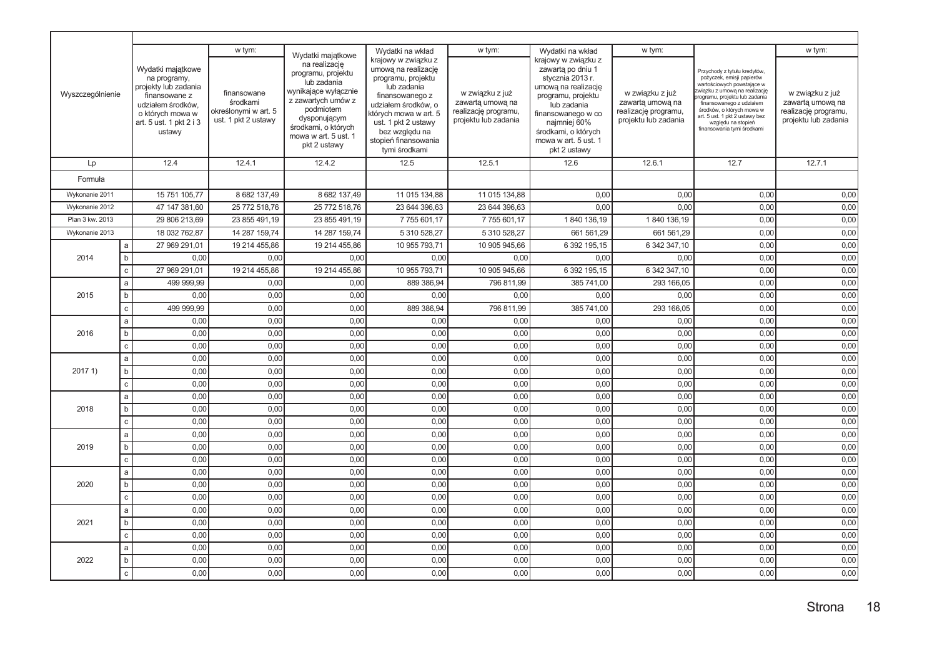|                  |              |                                                                                                                                                          | w tym:                                                                 | Wydatki majątkowe                                                                                                                                                                            | Wydatki na wkład                                                                                                                                                                                                                     | w tym:                                                                              | Wydatki na wkład                                                                                                                                                                                                              | w tym:                                                                              |                                                                                                                                                                                                                                                                                                          | w tym:                                                                              |
|------------------|--------------|----------------------------------------------------------------------------------------------------------------------------------------------------------|------------------------------------------------------------------------|----------------------------------------------------------------------------------------------------------------------------------------------------------------------------------------------|--------------------------------------------------------------------------------------------------------------------------------------------------------------------------------------------------------------------------------------|-------------------------------------------------------------------------------------|-------------------------------------------------------------------------------------------------------------------------------------------------------------------------------------------------------------------------------|-------------------------------------------------------------------------------------|----------------------------------------------------------------------------------------------------------------------------------------------------------------------------------------------------------------------------------------------------------------------------------------------------------|-------------------------------------------------------------------------------------|
| Wyszczególnienie |              | Wydatki majątkowe<br>na programy,<br>projekty lub zadania<br>finansowane z<br>udziałem środków,<br>o których mowa w<br>art. 5 ust. 1 pkt 2 i 3<br>ustawy | finansowane<br>środkami<br>określonymi w art. 5<br>ust. 1 pkt 2 ustawy | na realizację<br>programu, projektu<br>lub zadania<br>wynikające wyłącznie<br>z zawartych umów z<br>podmiotem<br>dysponującym<br>środkami, o których<br>mowa w art. 5 ust. 1<br>pkt 2 ustawy | krajowy w związku z<br>umową na realizację<br>programu, projektu<br>lub zadania<br>finansowanego z<br>udziałem środków, o<br>których mowa w art. 5<br>ust. 1 pkt 2 ustawy<br>bez względu na<br>stopień finansowania<br>tymi środkami | w związku z już<br>zawartą umową na<br>realizację programu,<br>projektu lub zadania | krajowy w związku z<br>zawartą po dniu 1<br>stycznia 2013 r.<br>umową na realizację<br>programu, projektu<br>lub zadania<br>finansowanego w co<br>najmniej 60%<br>środkami, o których<br>mowa w art. 5 ust. 1<br>pkt 2 ustawy | w związku z już<br>zawartą umową na<br>realizację programu,<br>projektu lub zadania | Przychody z tytułu kredytów,<br>pożyczek, emisji papierów<br>wartościowych powstające w<br>związku z umową na realizację<br>rogramu, projektu lub zadania<br>finansowanego z udziałem<br>środków, o których mowa w<br>art. 5 ust. 1 pkt 2 ustawy bez<br>względu na stopień<br>finansowania tymi środkami | w związku z już<br>zawartą umową na<br>realizację programu,<br>projektu lub zadania |
| Lp               |              | 12.4                                                                                                                                                     | 12.4.1                                                                 | 12.4.2                                                                                                                                                                                       | 12.5                                                                                                                                                                                                                                 | 12.5.1                                                                              | 12.6                                                                                                                                                                                                                          | 12.6.1                                                                              | 12.7                                                                                                                                                                                                                                                                                                     | 12.7.1                                                                              |
| Formuła          |              |                                                                                                                                                          |                                                                        |                                                                                                                                                                                              |                                                                                                                                                                                                                                      |                                                                                     |                                                                                                                                                                                                                               |                                                                                     |                                                                                                                                                                                                                                                                                                          |                                                                                     |
| Wykonanie 2011   |              | 15 751 105,77                                                                                                                                            | 8 682 137,49                                                           | 8 682 137,49                                                                                                                                                                                 | 11 015 134,88                                                                                                                                                                                                                        | 11 015 134,88                                                                       | 0,00                                                                                                                                                                                                                          | 0,00                                                                                | 0,00                                                                                                                                                                                                                                                                                                     | 0,00                                                                                |
| Wykonanie 2012   |              | 47 147 381,60                                                                                                                                            | 25 772 518,76                                                          | 25 772 518,76                                                                                                                                                                                | 23 644 396,63                                                                                                                                                                                                                        | 23 644 396,63                                                                       | 0,00                                                                                                                                                                                                                          | 0,00                                                                                | 0,00                                                                                                                                                                                                                                                                                                     | 0,00                                                                                |
| Plan 3 kw. 2013  |              | 29 806 213,69                                                                                                                                            | 23 855 491,19                                                          | 23 855 491,19                                                                                                                                                                                | 7755601,17                                                                                                                                                                                                                           | 7755601,17                                                                          | 1840 136,19                                                                                                                                                                                                                   | 1840 136,19                                                                         | 0,00                                                                                                                                                                                                                                                                                                     | 0,00                                                                                |
| Wykonanie 2013   |              | 18 032 762.87                                                                                                                                            | 14 287 159,74                                                          | 14 287 159.74                                                                                                                                                                                | 5 310 528,27                                                                                                                                                                                                                         | 5 310 528,27                                                                        | 661 561,29                                                                                                                                                                                                                    | 661 561.29                                                                          | 0,00                                                                                                                                                                                                                                                                                                     | 0.00                                                                                |
|                  | l a          | 27 969 291,01                                                                                                                                            | 19 214 455,86                                                          | 19 214 455,86                                                                                                                                                                                | 10 955 793,71                                                                                                                                                                                                                        | 10 905 945,66                                                                       | 6 392 195,15                                                                                                                                                                                                                  | 6 342 347,10                                                                        | 0,00                                                                                                                                                                                                                                                                                                     | 0,00                                                                                |
| 2014             | $\mathsf b$  | 0,00                                                                                                                                                     | 0,00                                                                   | 0,00                                                                                                                                                                                         | 0,00                                                                                                                                                                                                                                 | 0,00                                                                                | 0,00                                                                                                                                                                                                                          | 0,00                                                                                | 0,00                                                                                                                                                                                                                                                                                                     | 0,00                                                                                |
|                  | $\mathtt{C}$ | 27 969 291,01                                                                                                                                            | 19 214 455,86                                                          | 19 214 455,86                                                                                                                                                                                | 10 955 793,71                                                                                                                                                                                                                        | 10 905 945,66                                                                       | 6 392 195,15                                                                                                                                                                                                                  | 6 342 347,10                                                                        | 0,00                                                                                                                                                                                                                                                                                                     | 0,00                                                                                |
|                  | $\mathsf{a}$ | 499 999,99                                                                                                                                               | 0,00                                                                   | 0,00                                                                                                                                                                                         | 889 386,94                                                                                                                                                                                                                           | 796 811,99                                                                          | 385 741,00                                                                                                                                                                                                                    | 293 166,05                                                                          | 0,00                                                                                                                                                                                                                                                                                                     | 0,00                                                                                |
| 2015             | b            | 0,00                                                                                                                                                     | 0,00                                                                   | 0,00                                                                                                                                                                                         | 0,00                                                                                                                                                                                                                                 | 0,00                                                                                | 0,00                                                                                                                                                                                                                          | 0,00                                                                                | 0,00                                                                                                                                                                                                                                                                                                     | 0,00                                                                                |
|                  | $\mathsf{C}$ | 499 999,99                                                                                                                                               | 0,00                                                                   | 0,00                                                                                                                                                                                         | 889 386,94                                                                                                                                                                                                                           | 796 811,99                                                                          | 385 741.00                                                                                                                                                                                                                    | 293 166,05                                                                          | 0,00                                                                                                                                                                                                                                                                                                     | 0,00                                                                                |
|                  | a            | 0,00                                                                                                                                                     | 0,00                                                                   | 0,00                                                                                                                                                                                         | 0,00                                                                                                                                                                                                                                 | 0,00                                                                                | 0,00                                                                                                                                                                                                                          | 0,00                                                                                | 0,00                                                                                                                                                                                                                                                                                                     | 0,00                                                                                |
| 2016             | $\mathsf b$  | 0,00                                                                                                                                                     | 0,00                                                                   | 0,00                                                                                                                                                                                         | 0,00                                                                                                                                                                                                                                 | 0,00                                                                                | 0,00                                                                                                                                                                                                                          | 0,00                                                                                | 0,00                                                                                                                                                                                                                                                                                                     | 0,00                                                                                |
|                  | $\mathbf{C}$ | 0.00                                                                                                                                                     | 0.00                                                                   | 0,00                                                                                                                                                                                         | 0.00                                                                                                                                                                                                                                 | 0.00                                                                                | 0.00                                                                                                                                                                                                                          | 0.00                                                                                | 0,00                                                                                                                                                                                                                                                                                                     | 0,00                                                                                |
|                  | a            | 0.00                                                                                                                                                     | 0,00                                                                   | 0,00                                                                                                                                                                                         | 0,00                                                                                                                                                                                                                                 | 0,00                                                                                | 0.00                                                                                                                                                                                                                          | 0,00                                                                                | 0,00                                                                                                                                                                                                                                                                                                     | 0,00                                                                                |
| 20171)           | $\mathsf b$  | 0,00                                                                                                                                                     | 0,00                                                                   | 0,00                                                                                                                                                                                         | 0,00                                                                                                                                                                                                                                 | 0,00                                                                                | 0,00                                                                                                                                                                                                                          | 0,00                                                                                | 0,00                                                                                                                                                                                                                                                                                                     | 0,00                                                                                |
|                  | $\mathtt{C}$ | 0,00                                                                                                                                                     | 0,00                                                                   | 0,00                                                                                                                                                                                         | 0,00                                                                                                                                                                                                                                 | 0,00                                                                                | 0,00                                                                                                                                                                                                                          | 0,00                                                                                | 0,00                                                                                                                                                                                                                                                                                                     | 0,00                                                                                |
|                  | a            | 0.00                                                                                                                                                     | 0.00                                                                   | 0,00                                                                                                                                                                                         | 0.00                                                                                                                                                                                                                                 | 0.00                                                                                | 0.00                                                                                                                                                                                                                          | 0.00                                                                                | 0,00                                                                                                                                                                                                                                                                                                     | 0.00                                                                                |
| 2018             | b            | 0.00                                                                                                                                                     | 0.00                                                                   | 0,00                                                                                                                                                                                         | 0.00                                                                                                                                                                                                                                 | 0.00                                                                                | 0.00                                                                                                                                                                                                                          | 0,00                                                                                | 0,00                                                                                                                                                                                                                                                                                                     | 0.00                                                                                |
|                  | $\mathbf{C}$ | 0,00                                                                                                                                                     | 0,00                                                                   | 0,00                                                                                                                                                                                         | 0,00                                                                                                                                                                                                                                 | 0,00                                                                                | 0.00                                                                                                                                                                                                                          | 0,00                                                                                | 0,00                                                                                                                                                                                                                                                                                                     | 0,00                                                                                |
|                  | $\mathsf{a}$ | 0,00                                                                                                                                                     | 0,00                                                                   | 0,00                                                                                                                                                                                         | 0,00                                                                                                                                                                                                                                 | 0,00                                                                                | 0,00                                                                                                                                                                                                                          | 0,00                                                                                | 0,00                                                                                                                                                                                                                                                                                                     | 0,00                                                                                |
| 2019             | $\mathsf b$  | 0,00                                                                                                                                                     | 0,00                                                                   | 0,00                                                                                                                                                                                         | 0,00                                                                                                                                                                                                                                 | 0,00                                                                                | 0,00                                                                                                                                                                                                                          | 0,00                                                                                | 0,00                                                                                                                                                                                                                                                                                                     | 0,00                                                                                |
|                  | $\mathbf c$  | 0.00                                                                                                                                                     | 0,00                                                                   | 0,00                                                                                                                                                                                         | 0.00                                                                                                                                                                                                                                 | 0,00                                                                                | 0,00                                                                                                                                                                                                                          | 0,00                                                                                | 0,00                                                                                                                                                                                                                                                                                                     | 0,00                                                                                |
|                  | a            | 0,00                                                                                                                                                     | 0,00                                                                   | 0,00                                                                                                                                                                                         | 0,00                                                                                                                                                                                                                                 | 0,00                                                                                | 0,00                                                                                                                                                                                                                          | 0,00                                                                                | 0,00                                                                                                                                                                                                                                                                                                     | 0,00                                                                                |
| 2020             | b            | 0,00                                                                                                                                                     | 0,00                                                                   | 0,00                                                                                                                                                                                         | 0,00                                                                                                                                                                                                                                 | 0,00                                                                                | 0,00                                                                                                                                                                                                                          | 0,00                                                                                | 0,00                                                                                                                                                                                                                                                                                                     | 0,00                                                                                |
|                  | $\mathtt{C}$ | 0,00                                                                                                                                                     | 0,00                                                                   | 0,00                                                                                                                                                                                         | 0,00                                                                                                                                                                                                                                 | 0,00                                                                                | 0,00                                                                                                                                                                                                                          | 0,00                                                                                | 0,00                                                                                                                                                                                                                                                                                                     | 0,00                                                                                |
|                  | a            | 0.00                                                                                                                                                     | 0.00                                                                   | 0,00                                                                                                                                                                                         | 0.00                                                                                                                                                                                                                                 | 0.00                                                                                | 0.00                                                                                                                                                                                                                          | 0.00                                                                                | 0,00                                                                                                                                                                                                                                                                                                     | 0,00                                                                                |
| 2021             | b            | 0.00                                                                                                                                                     | 0.00                                                                   | 0,00                                                                                                                                                                                         | 0.00                                                                                                                                                                                                                                 | 0.00                                                                                | 0.00                                                                                                                                                                                                                          | 0,00                                                                                | 0,00                                                                                                                                                                                                                                                                                                     | 0,00                                                                                |
|                  | $\mathtt{C}$ | 0,00                                                                                                                                                     | 0,00                                                                   | 0,00                                                                                                                                                                                         | 0,00                                                                                                                                                                                                                                 | 0,00                                                                                | 0,00                                                                                                                                                                                                                          | 0,00                                                                                | 0,00                                                                                                                                                                                                                                                                                                     | 0,00                                                                                |
|                  | a            | 0,00                                                                                                                                                     | 0,00                                                                   | 0,00                                                                                                                                                                                         | 0,00                                                                                                                                                                                                                                 | 0,00                                                                                | 0,00                                                                                                                                                                                                                          | 0,00                                                                                | 0,00                                                                                                                                                                                                                                                                                                     | 0,00                                                                                |
| 2022             | b            | 0.00                                                                                                                                                     | 0,00                                                                   | 0,00                                                                                                                                                                                         | 0,00                                                                                                                                                                                                                                 | 0,00                                                                                | 0,00                                                                                                                                                                                                                          | 0,00                                                                                | 0,00                                                                                                                                                                                                                                                                                                     | 0,00                                                                                |
|                  | $\mathsf{C}$ | 0,00                                                                                                                                                     | 0,00                                                                   | 0,00                                                                                                                                                                                         | 0,00                                                                                                                                                                                                                                 | 0,00                                                                                | 0,00                                                                                                                                                                                                                          | 0,00                                                                                | 0,00                                                                                                                                                                                                                                                                                                     | 0,00                                                                                |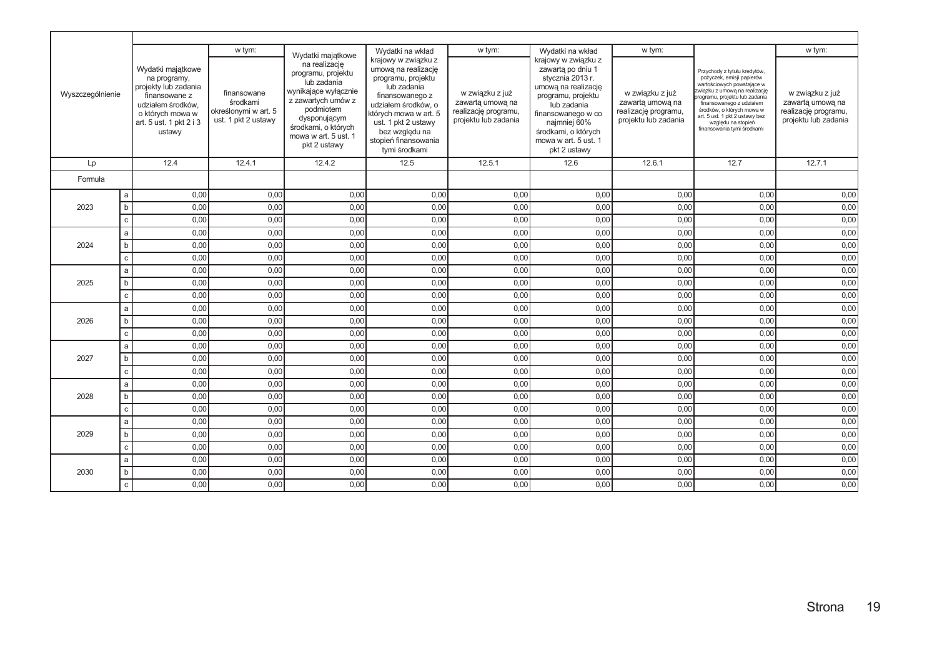|                  |              |                                                                                                                                                          | w tym:                                                                 | Wydatki majątkowe                                                                                                                                                                            | Wydatki na wkład                                                                                                                                                                                                                     | w tym:                                                                              | Wydatki na wkład                                                                                                                                                                                                              | w tym:                                                                              |                                                                                                                                                                                                                                                                                                          | w tym:                                                                              |
|------------------|--------------|----------------------------------------------------------------------------------------------------------------------------------------------------------|------------------------------------------------------------------------|----------------------------------------------------------------------------------------------------------------------------------------------------------------------------------------------|--------------------------------------------------------------------------------------------------------------------------------------------------------------------------------------------------------------------------------------|-------------------------------------------------------------------------------------|-------------------------------------------------------------------------------------------------------------------------------------------------------------------------------------------------------------------------------|-------------------------------------------------------------------------------------|----------------------------------------------------------------------------------------------------------------------------------------------------------------------------------------------------------------------------------------------------------------------------------------------------------|-------------------------------------------------------------------------------------|
| Wyszczególnienie |              | Wydatki majatkowe<br>na programy,<br>projekty lub zadania<br>finansowane z<br>udziałem środków.<br>o których mowa w<br>art. 5 ust. 1 pkt 2 i 3<br>ustawy | finansowane<br>środkami<br>określonymi w art. 5<br>ust. 1 pkt 2 ustawy | na realizacje<br>programu, projektu<br>lub zadania<br>wynikające wyłącznie<br>z zawartych umów z<br>podmiotem<br>dysponującym<br>środkami, o których<br>mowa w art. 5 ust. 1<br>pkt 2 ustawy | krajowy w związku z<br>umową na realizację<br>programu, projektu<br>lub zadania<br>finansowanego z<br>udziałem środków, o<br>których mowa w art. 5<br>ust. 1 pkt 2 ustawy<br>bez względu na<br>stopień finansowania<br>tymi środkami | w związku z już<br>zawartą umową na<br>realizację programu,<br>projektu lub zadania | krajowy w związku z<br>zawarta po dniu 1<br>stycznia 2013 r.<br>umową na realizację<br>programu, projektu<br>lub zadania<br>finansowanego w co<br>najmniej 60%<br>środkami, o których<br>mowa w art. 5 ust. 1<br>pkt 2 ustawy | w związku z już<br>zawartą umową na<br>realizację programu,<br>projektu lub zadania | Przychody z tytułu kredytów,<br>pożyczek, emisji papierów<br>wartościowych powstające w<br>związku z umową na realizację<br>rogramu, projektu lub zadania<br>finansowanego z udziałem<br>środków, o których mowa w<br>art. 5 ust. 1 pkt 2 ustawy bez<br>względu na stopień<br>finansowania tymi środkami | w związku z już<br>zawartą umową na<br>realizację programu,<br>projektu lub zadania |
| Lp               |              | 12.4                                                                                                                                                     | 12.4.1                                                                 | 12.4.2                                                                                                                                                                                       | 12.5                                                                                                                                                                                                                                 | 12.5.1                                                                              | 12.6                                                                                                                                                                                                                          | 12.6.1                                                                              | 12.7                                                                                                                                                                                                                                                                                                     | 12.7.1                                                                              |
| Formuła          |              |                                                                                                                                                          |                                                                        |                                                                                                                                                                                              |                                                                                                                                                                                                                                      |                                                                                     |                                                                                                                                                                                                                               |                                                                                     |                                                                                                                                                                                                                                                                                                          |                                                                                     |
|                  | a            | 0.00                                                                                                                                                     | 0.00                                                                   | 0,00                                                                                                                                                                                         | 0,00                                                                                                                                                                                                                                 | 0,00                                                                                | 0,00                                                                                                                                                                                                                          | 0.00                                                                                | 0,00                                                                                                                                                                                                                                                                                                     | 0,00                                                                                |
| 2023             | $\mathsf b$  | 0,00                                                                                                                                                     | 0,00                                                                   | 0,00                                                                                                                                                                                         | 0,00                                                                                                                                                                                                                                 | 0,00                                                                                | 0,00                                                                                                                                                                                                                          | 0,00                                                                                | 0,00                                                                                                                                                                                                                                                                                                     | 0,00                                                                                |
|                  | $\mathbf{C}$ | 0.00                                                                                                                                                     | 0,00                                                                   | 0,00                                                                                                                                                                                         | 0,00                                                                                                                                                                                                                                 | 0,00                                                                                | 0,00                                                                                                                                                                                                                          | 0,00                                                                                | 0,00                                                                                                                                                                                                                                                                                                     | 0,00                                                                                |
|                  | a            | 0,00                                                                                                                                                     | 0,00                                                                   | 0,00                                                                                                                                                                                         | 0,00                                                                                                                                                                                                                                 | 0,00                                                                                | 0,00                                                                                                                                                                                                                          | 0,00                                                                                | 0,00                                                                                                                                                                                                                                                                                                     | 0,00                                                                                |
| 2024             | b            | 0,00                                                                                                                                                     | 0,00                                                                   | 0,00                                                                                                                                                                                         | 0,00                                                                                                                                                                                                                                 | 0,00                                                                                | 0,00                                                                                                                                                                                                                          | 0,00                                                                                | 0,00                                                                                                                                                                                                                                                                                                     | 0,00                                                                                |
|                  | $\mathtt{C}$ | 0,00                                                                                                                                                     | 0,00                                                                   | 0,00                                                                                                                                                                                         | 0,00                                                                                                                                                                                                                                 | 0,00                                                                                | 0,00                                                                                                                                                                                                                          | 0,00                                                                                | 0,00                                                                                                                                                                                                                                                                                                     | 0,00                                                                                |
|                  | a            | 0,00                                                                                                                                                     | 0,00                                                                   | 0,00                                                                                                                                                                                         | 0,00                                                                                                                                                                                                                                 | 0,00                                                                                | 0,00                                                                                                                                                                                                                          | 0.00                                                                                | 0,00                                                                                                                                                                                                                                                                                                     | 0,00                                                                                |
| 2025             | b            | 0,00                                                                                                                                                     | 0,00                                                                   | 0,00                                                                                                                                                                                         | 0,00                                                                                                                                                                                                                                 | 0,00                                                                                | 0,00                                                                                                                                                                                                                          | 0,00                                                                                | 0,00                                                                                                                                                                                                                                                                                                     | 0,00                                                                                |
|                  | $\mathtt{C}$ | 0.00                                                                                                                                                     | 0.00                                                                   | 0,00                                                                                                                                                                                         | 0,00                                                                                                                                                                                                                                 | 0,00                                                                                | 0,00                                                                                                                                                                                                                          | 0,00                                                                                | 0,00                                                                                                                                                                                                                                                                                                     | 0,00                                                                                |
|                  | a            | 0,00                                                                                                                                                     | 0,00                                                                   | 0,00                                                                                                                                                                                         | 0,00                                                                                                                                                                                                                                 | 0,00                                                                                | 0,00                                                                                                                                                                                                                          | 0,00                                                                                | 0,00                                                                                                                                                                                                                                                                                                     | 0,00                                                                                |
| 2026             | b            | 0,00                                                                                                                                                     | 0,00                                                                   | 0,00                                                                                                                                                                                         | 0,00                                                                                                                                                                                                                                 | 0,00                                                                                | 0,00                                                                                                                                                                                                                          | 0,00                                                                                | 0,00                                                                                                                                                                                                                                                                                                     | 0,00                                                                                |
|                  | $\mathtt{C}$ | 0,00                                                                                                                                                     | 0,00                                                                   | 0,00                                                                                                                                                                                         | 0,00                                                                                                                                                                                                                                 | 0,00                                                                                | 0,00                                                                                                                                                                                                                          | 0,00                                                                                | 0,00                                                                                                                                                                                                                                                                                                     | 0,00                                                                                |
|                  | a            | 0,00                                                                                                                                                     | 0.00                                                                   | 0,00                                                                                                                                                                                         | 0,00                                                                                                                                                                                                                                 | 0,00                                                                                | 0,00                                                                                                                                                                                                                          | 0,00                                                                                | 0,00                                                                                                                                                                                                                                                                                                     | 0,00                                                                                |
| 2027             | b            | 0,00                                                                                                                                                     | 0,00                                                                   | 0,00                                                                                                                                                                                         | 0,00                                                                                                                                                                                                                                 | 0,00                                                                                | 0,00                                                                                                                                                                                                                          | 0,00                                                                                | 0,00                                                                                                                                                                                                                                                                                                     | 0,00                                                                                |
|                  | $\mathbf{C}$ | 0,00                                                                                                                                                     | 0,00                                                                   | 0,00                                                                                                                                                                                         | 0,00                                                                                                                                                                                                                                 | 0,00                                                                                | 0,00                                                                                                                                                                                                                          | 0,00                                                                                | 0,00                                                                                                                                                                                                                                                                                                     | 0,00                                                                                |
|                  | a            | 0,00                                                                                                                                                     | 0,00                                                                   | 0,00                                                                                                                                                                                         | 0,00                                                                                                                                                                                                                                 | 0,00                                                                                | 0,00                                                                                                                                                                                                                          | 0,00                                                                                | 0,00                                                                                                                                                                                                                                                                                                     | 0,00                                                                                |
| 2028             | b            | 0,00                                                                                                                                                     | 0,00                                                                   | 0,00                                                                                                                                                                                         | 0,00                                                                                                                                                                                                                                 | 0,00                                                                                | 0,00                                                                                                                                                                                                                          | 0,00                                                                                | 0,00                                                                                                                                                                                                                                                                                                     | 0,00                                                                                |
|                  | $\mathtt{C}$ | 0,00                                                                                                                                                     | 0,00                                                                   | 0,00                                                                                                                                                                                         | 0,00                                                                                                                                                                                                                                 | 0,00                                                                                | 0,00                                                                                                                                                                                                                          | 0,00                                                                                | 0,00                                                                                                                                                                                                                                                                                                     | 0,00                                                                                |
|                  | a            | 0,00                                                                                                                                                     | 0,00                                                                   | 0,00                                                                                                                                                                                         | 0,00                                                                                                                                                                                                                                 | 0,00                                                                                | 0,00                                                                                                                                                                                                                          | 0,00                                                                                | 0,00                                                                                                                                                                                                                                                                                                     | 0,00                                                                                |
| 2029             | b            | 0,00                                                                                                                                                     | 0,00                                                                   | 0,00                                                                                                                                                                                         | 0,00                                                                                                                                                                                                                                 | 0,00                                                                                | 0,00                                                                                                                                                                                                                          | 0,00                                                                                | 0,00                                                                                                                                                                                                                                                                                                     | 0,00                                                                                |
|                  | $\mathsf{C}$ | 0,00                                                                                                                                                     | 0,00                                                                   | 0,00                                                                                                                                                                                         | 0,00                                                                                                                                                                                                                                 | 0,00                                                                                | 0,00                                                                                                                                                                                                                          | 0,00                                                                                | 0,00                                                                                                                                                                                                                                                                                                     | 0,00                                                                                |
|                  | a            | 0,00                                                                                                                                                     | 0,00                                                                   | 0,00                                                                                                                                                                                         | 0,00                                                                                                                                                                                                                                 | 0,00                                                                                | 0,00                                                                                                                                                                                                                          | 0,00                                                                                | 0,00                                                                                                                                                                                                                                                                                                     | 0,00                                                                                |
| 2030             | b            | 0.00                                                                                                                                                     | 0.00                                                                   | 0,00                                                                                                                                                                                         | 0,00                                                                                                                                                                                                                                 | 0,00                                                                                | 0,00                                                                                                                                                                                                                          | 0.00                                                                                | 0,00                                                                                                                                                                                                                                                                                                     | 0,00                                                                                |
|                  | $\mathtt{C}$ | 0,00                                                                                                                                                     | 0,00                                                                   | 0,00                                                                                                                                                                                         | 0,00                                                                                                                                                                                                                                 | 0,00                                                                                | 0,00                                                                                                                                                                                                                          | 0,00                                                                                | 0,00                                                                                                                                                                                                                                                                                                     | 0,00                                                                                |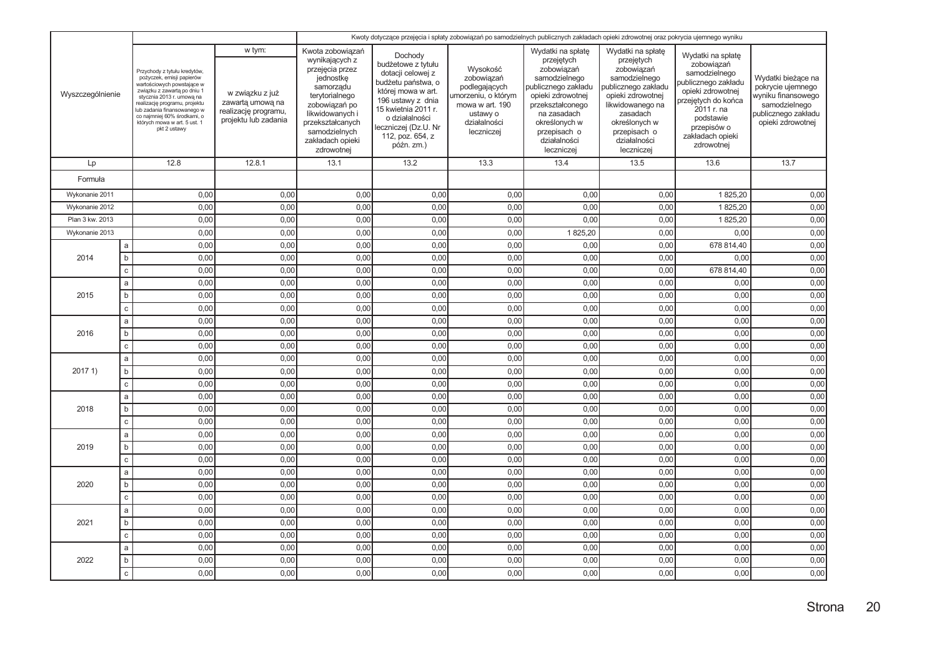|                  |              |                                                                                                                                                                                                                                                                                                   |                                                                                               |                                                                                                                                                                                                              | Kwoty dotyczące przejęcia i spłaty zobowiązań po samodzielnych publicznych zakładach opieki zdrowotnej oraz pokrycia ujemnego wyniku                                                                                   |                                                                                                                             |                                                                                                                                                                                                              |                                                                                                                                                                                                           |                                                                                                                                                                                                 |                                                                                                                            |
|------------------|--------------|---------------------------------------------------------------------------------------------------------------------------------------------------------------------------------------------------------------------------------------------------------------------------------------------------|-----------------------------------------------------------------------------------------------|--------------------------------------------------------------------------------------------------------------------------------------------------------------------------------------------------------------|------------------------------------------------------------------------------------------------------------------------------------------------------------------------------------------------------------------------|-----------------------------------------------------------------------------------------------------------------------------|--------------------------------------------------------------------------------------------------------------------------------------------------------------------------------------------------------------|-----------------------------------------------------------------------------------------------------------------------------------------------------------------------------------------------------------|-------------------------------------------------------------------------------------------------------------------------------------------------------------------------------------------------|----------------------------------------------------------------------------------------------------------------------------|
| Wyszczególnienie |              | Przychody z tytułu kredytów<br>pożyczek, emisji papierów<br>wartościowych powstające w<br>związku z zawartą po dniu 1<br>stycznia 2013 r. umową na<br>realizację programu, projektu<br>lub zadania finansowanego w<br>co najmniej 60% środkami, o<br>których mowa w art. 5 ust. 1<br>pkt 2 ustawy | w tym:<br>w związku z już<br>zawartą umową na<br>realizację programu,<br>projektu lub zadania | Kwota zobowiązań<br>wynikających z<br>przejęcia przez<br>jednostkę<br>samorządu<br>terytorialnego<br>zobowiązań po<br>likwidowanych i<br>przekształcanych<br>samodzielnych<br>zakładach opieki<br>zdrowotnej | Dochody<br>budżetowe z tytułu<br>dotacji celowej z<br>budżetu państwa, o<br>której mowa w art.<br>196 ustawy z dnia<br>15 kwietnia 2011 r.<br>o działalności<br>leczniczej (Dz.U. Nr<br>112, poz. 654, z<br>późn. zm.) | Wysokość<br>zobowiązań<br>podlegających<br>umorzeniu, o którym<br>mowa w art. 190<br>ustawy o<br>działalności<br>leczniczej | Wydatki na spłatę<br>przejętych<br>zobowiązań<br>samodzielnego<br>publicznego zakładu<br>opieki zdrowotnej<br>przekształconego<br>na zasadach<br>określonych w<br>przepisach o<br>działalności<br>leczniczej | Wydatki na spłatę<br>przejętych<br>zobowiązań<br>samodzielnego<br>publicznego zakładu<br>opieki zdrowotnej<br>likwidowanego na<br>zasadach<br>określonych w<br>przepisach o<br>działalności<br>leczniczej | Wydatki na spłatę<br>zobowiązań<br>samodzielnego<br>bublicznego zakładu<br>opieki zdrowotnej<br>przejętych do końca<br>2011 r. na<br>podstawie<br>przepisów o<br>zakładach opieki<br>zdrowotnej | Wydatki bieżące na<br>pokrycie ujemnego<br>wyniku finansowego<br>samodzielnego<br>publicznego zakładu<br>opieki zdrowotnej |
| Lp               |              | 12.8                                                                                                                                                                                                                                                                                              | 12.8.1                                                                                        | 13.1                                                                                                                                                                                                         | 13.2                                                                                                                                                                                                                   | 13.3                                                                                                                        | 13.4                                                                                                                                                                                                         | 13.5                                                                                                                                                                                                      | 13.6                                                                                                                                                                                            | 13.7                                                                                                                       |
| Formuła          |              |                                                                                                                                                                                                                                                                                                   |                                                                                               |                                                                                                                                                                                                              |                                                                                                                                                                                                                        |                                                                                                                             |                                                                                                                                                                                                              |                                                                                                                                                                                                           |                                                                                                                                                                                                 |                                                                                                                            |
| Wykonanie 2011   |              | 0,00                                                                                                                                                                                                                                                                                              | 0,00                                                                                          | 0,00                                                                                                                                                                                                         | 0,00                                                                                                                                                                                                                   | 0,00                                                                                                                        | 0,00                                                                                                                                                                                                         | 0,00                                                                                                                                                                                                      | 1825,20                                                                                                                                                                                         | 0,00                                                                                                                       |
| Wykonanie 2012   |              | 0,00                                                                                                                                                                                                                                                                                              | 0,00                                                                                          | 0,00                                                                                                                                                                                                         | 0,00                                                                                                                                                                                                                   | 0,00                                                                                                                        | 0,00                                                                                                                                                                                                         | 0,00                                                                                                                                                                                                      | 1825,20                                                                                                                                                                                         | 0,00                                                                                                                       |
| Plan 3 kw. 2013  |              | 0,00                                                                                                                                                                                                                                                                                              | 0,00                                                                                          | 0,00                                                                                                                                                                                                         | 0,00                                                                                                                                                                                                                   | 0,00                                                                                                                        | 0,00                                                                                                                                                                                                         | 0,00                                                                                                                                                                                                      | 1825,20                                                                                                                                                                                         | 0,00                                                                                                                       |
| Wykonanie 2013   |              | 0,00                                                                                                                                                                                                                                                                                              | 0,00                                                                                          | 0,00                                                                                                                                                                                                         | 0,00                                                                                                                                                                                                                   | 0,00                                                                                                                        | 1825,20                                                                                                                                                                                                      | 0,00                                                                                                                                                                                                      | 0,00                                                                                                                                                                                            | 0,00                                                                                                                       |
|                  | $\mathsf a$  | 0,00                                                                                                                                                                                                                                                                                              | 0,00                                                                                          | 0,00                                                                                                                                                                                                         | 0,00                                                                                                                                                                                                                   | 0,00                                                                                                                        | 0,00                                                                                                                                                                                                         | 0,00                                                                                                                                                                                                      | 678 814,40                                                                                                                                                                                      | 0,00                                                                                                                       |
| 2014             | $\sf b$      | 0,00                                                                                                                                                                                                                                                                                              | 0,00                                                                                          | 0,00                                                                                                                                                                                                         | 0,00                                                                                                                                                                                                                   | 0,00                                                                                                                        | 0,00                                                                                                                                                                                                         | 0,00                                                                                                                                                                                                      | 0,00                                                                                                                                                                                            | 0,00                                                                                                                       |
|                  | $\mathtt{C}$ | 0,00                                                                                                                                                                                                                                                                                              | 0,00                                                                                          | 0,00                                                                                                                                                                                                         | 0,00                                                                                                                                                                                                                   | 0,00                                                                                                                        | 0,00                                                                                                                                                                                                         | 0.00                                                                                                                                                                                                      | 678 814,40                                                                                                                                                                                      | 0,00                                                                                                                       |
|                  | $\mathsf a$  | 0,00                                                                                                                                                                                                                                                                                              | 0,00                                                                                          | 0,00                                                                                                                                                                                                         | 0,00                                                                                                                                                                                                                   | 0,00                                                                                                                        | 0,00                                                                                                                                                                                                         | 0,00                                                                                                                                                                                                      | 0,00                                                                                                                                                                                            | 0,00                                                                                                                       |
| 2015             | $\sf b$      | 0,00                                                                                                                                                                                                                                                                                              | 0,00                                                                                          | 0,00                                                                                                                                                                                                         | 0,00                                                                                                                                                                                                                   | 0,00                                                                                                                        | 0,00                                                                                                                                                                                                         | 0,00                                                                                                                                                                                                      | 0,00                                                                                                                                                                                            | 0,00                                                                                                                       |
|                  | $\rm{c}$     | 0,00                                                                                                                                                                                                                                                                                              | 0,00                                                                                          | 0,00                                                                                                                                                                                                         | 0,00                                                                                                                                                                                                                   | 0,00                                                                                                                        | 0,00                                                                                                                                                                                                         | 0,00                                                                                                                                                                                                      | 0,00                                                                                                                                                                                            | 0,00                                                                                                                       |
|                  | $\mathsf a$  | 0,00                                                                                                                                                                                                                                                                                              | 0,00                                                                                          | 0,00                                                                                                                                                                                                         | 0,00                                                                                                                                                                                                                   | 0,00                                                                                                                        | 0,00                                                                                                                                                                                                         | 0,00                                                                                                                                                                                                      | 0,00                                                                                                                                                                                            | 0,00                                                                                                                       |
| 2016             | $\sf b$      | 0,00                                                                                                                                                                                                                                                                                              | 0,00                                                                                          | 0,00                                                                                                                                                                                                         | 0,00                                                                                                                                                                                                                   | 0,00                                                                                                                        | 0,00                                                                                                                                                                                                         | 0,00                                                                                                                                                                                                      | 0,00                                                                                                                                                                                            | 0,00                                                                                                                       |
|                  | $\mathbf c$  | 0,00                                                                                                                                                                                                                                                                                              | 0,00                                                                                          | 0,00                                                                                                                                                                                                         | 0,00                                                                                                                                                                                                                   | 0,00                                                                                                                        | 0,00                                                                                                                                                                                                         | 0,00                                                                                                                                                                                                      | 0,00                                                                                                                                                                                            | 0,00                                                                                                                       |
|                  | $\mathsf a$  | 0,00                                                                                                                                                                                                                                                                                              | 0,00                                                                                          | 0,00                                                                                                                                                                                                         | 0,00                                                                                                                                                                                                                   | 0,00                                                                                                                        | 0,00                                                                                                                                                                                                         | 0,00                                                                                                                                                                                                      | 0,00                                                                                                                                                                                            | 0,00                                                                                                                       |
| 20171            | $\sf b$      | 0,00                                                                                                                                                                                                                                                                                              | 0,00                                                                                          | 0,00                                                                                                                                                                                                         | 0,00                                                                                                                                                                                                                   | 0,00                                                                                                                        | 0,00                                                                                                                                                                                                         | 0,00                                                                                                                                                                                                      | 0,00                                                                                                                                                                                            | 0,00                                                                                                                       |
|                  | $\mathtt{C}$ | 0,00                                                                                                                                                                                                                                                                                              | 0,00                                                                                          | 0,00                                                                                                                                                                                                         | 0,00                                                                                                                                                                                                                   | 0,00                                                                                                                        | 0,00                                                                                                                                                                                                         | 0,00                                                                                                                                                                                                      | 0,00                                                                                                                                                                                            | 0,00                                                                                                                       |
|                  | $\mathsf a$  | 0,00                                                                                                                                                                                                                                                                                              | 0,00                                                                                          | 0,00                                                                                                                                                                                                         | 0,00                                                                                                                                                                                                                   | 0,00                                                                                                                        | 0,00                                                                                                                                                                                                         | 0.00                                                                                                                                                                                                      | 0,00                                                                                                                                                                                            | 0,00                                                                                                                       |
| 2018             | $\mathsf b$  | 0,00                                                                                                                                                                                                                                                                                              | 0,00                                                                                          | 0,00                                                                                                                                                                                                         | 0,00                                                                                                                                                                                                                   | 0,00                                                                                                                        | 0,00                                                                                                                                                                                                         | 0,00                                                                                                                                                                                                      | 0,00                                                                                                                                                                                            | 0,00                                                                                                                       |
|                  | $\mathtt{C}$ | 0,00                                                                                                                                                                                                                                                                                              | 0,00                                                                                          | 0,00                                                                                                                                                                                                         | 0,00                                                                                                                                                                                                                   | 0,00                                                                                                                        | 0,00                                                                                                                                                                                                         | 0,00                                                                                                                                                                                                      | 0,00                                                                                                                                                                                            | 0,00                                                                                                                       |
|                  | $\mathsf{a}$ | 0,00                                                                                                                                                                                                                                                                                              | 0,00                                                                                          | 0,00                                                                                                                                                                                                         | 0,00                                                                                                                                                                                                                   | 0,00                                                                                                                        | 0,00                                                                                                                                                                                                         | 0,00                                                                                                                                                                                                      | 0,00                                                                                                                                                                                            | 0,00                                                                                                                       |
| 2019             | $\sf b$      | 0,00                                                                                                                                                                                                                                                                                              | 0,00                                                                                          | 0,00                                                                                                                                                                                                         | 0,00                                                                                                                                                                                                                   | 0,00                                                                                                                        | 0,00                                                                                                                                                                                                         | 0,00                                                                                                                                                                                                      | 0,00                                                                                                                                                                                            | 0,00                                                                                                                       |
|                  | $\mathtt{C}$ | 0,00                                                                                                                                                                                                                                                                                              | 0,00                                                                                          | 0,00                                                                                                                                                                                                         | 0,00                                                                                                                                                                                                                   | 0,00                                                                                                                        | 0,00                                                                                                                                                                                                         | 0,00                                                                                                                                                                                                      | 0,00                                                                                                                                                                                            | 0,00                                                                                                                       |
|                  | $\mathsf{a}$ | 0,00                                                                                                                                                                                                                                                                                              | 0,00                                                                                          | 0,00                                                                                                                                                                                                         | 0,00                                                                                                                                                                                                                   | 0,00                                                                                                                        | 0,00                                                                                                                                                                                                         | 0,00                                                                                                                                                                                                      | 0,00                                                                                                                                                                                            | 0,00                                                                                                                       |
| 2020             | $\sf b$      | 0,00                                                                                                                                                                                                                                                                                              | 0,00                                                                                          | 0,00                                                                                                                                                                                                         | 0,00                                                                                                                                                                                                                   | 0,00                                                                                                                        | 0,00                                                                                                                                                                                                         | 0,00                                                                                                                                                                                                      | 0,00                                                                                                                                                                                            | 0,00                                                                                                                       |
|                  | $\mathtt{C}$ | 0,00                                                                                                                                                                                                                                                                                              | 0,00                                                                                          | 0,00                                                                                                                                                                                                         | 0,00                                                                                                                                                                                                                   | 0,00                                                                                                                        | 0,00                                                                                                                                                                                                         | 0,00                                                                                                                                                                                                      | 0,00                                                                                                                                                                                            | 0,00                                                                                                                       |
|                  | $\mathsf a$  | 0,00                                                                                                                                                                                                                                                                                              | 0,00                                                                                          | 0,00                                                                                                                                                                                                         | 0,00                                                                                                                                                                                                                   | 0,00                                                                                                                        | 0,00                                                                                                                                                                                                         | 0,00                                                                                                                                                                                                      | 0,00                                                                                                                                                                                            | 0,00                                                                                                                       |
| 2021             | $\mathsf b$  | 0,00                                                                                                                                                                                                                                                                                              | 0,00                                                                                          | 0,00                                                                                                                                                                                                         | 0,00                                                                                                                                                                                                                   | 0,00                                                                                                                        | 0,00                                                                                                                                                                                                         | 0,00                                                                                                                                                                                                      | 0,00                                                                                                                                                                                            | 0,00                                                                                                                       |
|                  | $\mathtt{C}$ | 0,00                                                                                                                                                                                                                                                                                              | 0,00                                                                                          | 0,00                                                                                                                                                                                                         | 0,00                                                                                                                                                                                                                   | 0,00                                                                                                                        | 0,00                                                                                                                                                                                                         | 0,00                                                                                                                                                                                                      | 0,00                                                                                                                                                                                            | 0,00                                                                                                                       |
|                  | $\mathsf a$  | 0,00                                                                                                                                                                                                                                                                                              | 0,00                                                                                          | 0,00                                                                                                                                                                                                         | 0,00                                                                                                                                                                                                                   | 0,00                                                                                                                        | 0,00                                                                                                                                                                                                         | 0,00                                                                                                                                                                                                      | 0,00                                                                                                                                                                                            | 0,00                                                                                                                       |
| 2022             | $\sf b$      | 0,00                                                                                                                                                                                                                                                                                              | 0,00                                                                                          | 0,00                                                                                                                                                                                                         | 0,00                                                                                                                                                                                                                   | 0,00                                                                                                                        | 0,00                                                                                                                                                                                                         | 0,00                                                                                                                                                                                                      | 0,00                                                                                                                                                                                            | 0,00                                                                                                                       |
|                  | $\mathtt{C}$ | 0.00                                                                                                                                                                                                                                                                                              | 0.00                                                                                          | 0,00                                                                                                                                                                                                         | 0,00                                                                                                                                                                                                                   | 0,00                                                                                                                        | 0,00                                                                                                                                                                                                         | 0.00                                                                                                                                                                                                      | 0.00                                                                                                                                                                                            | 0,00                                                                                                                       |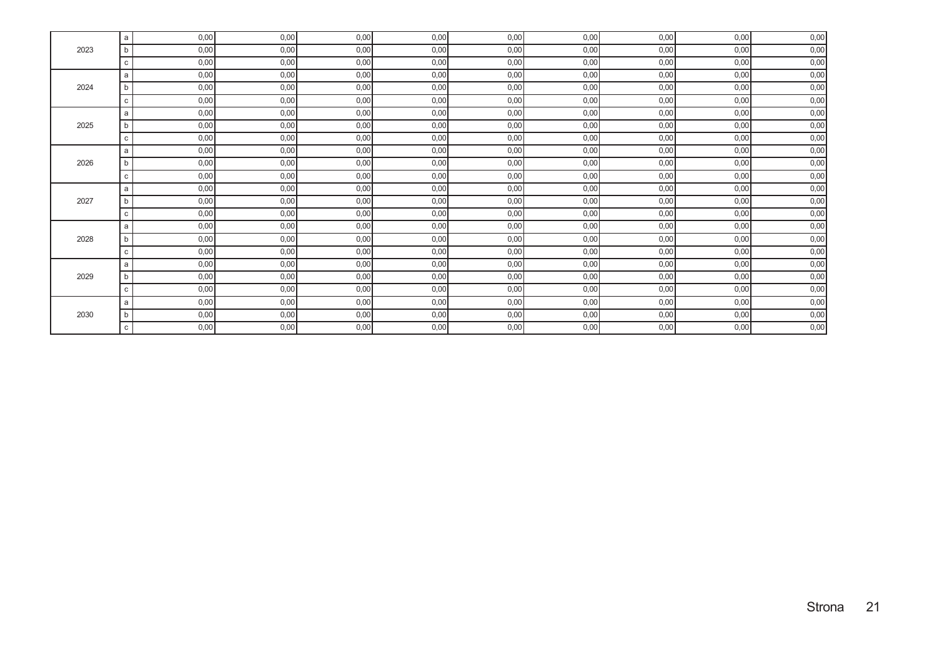|      | a            | 0,00 | 0,00 | 0,00 | 0,00 | 0,00 | 0,00 | 0,00 | 0,00 | 0,00 |
|------|--------------|------|------|------|------|------|------|------|------|------|
| 2023 | $\mathsf b$  | 0,00 | 0,00 | 0,00 | 0,00 | 0,00 | 0,00 | 0,00 | 0,00 | 0,00 |
|      | $\mathtt{C}$ | 0,00 | 0,00 | 0,00 | 0,00 | 0,00 | 0,00 | 0,00 | 0,00 | 0,00 |
|      | a            | 0,00 | 0,00 | 0,00 | 0,00 | 0,00 | 0,00 | 0,00 | 0,00 | 0,00 |
| 2024 | b            | 0,00 | 0,00 | 0,00 | 0,00 | 0,00 | 0,00 | 0,00 | 0,00 | 0,00 |
|      | $\mathtt{C}$ | 0,00 | 0,00 | 0,00 | 0,00 | 0,00 | 0,00 | 0,00 | 0,00 | 0,00 |
|      | $\mathsf{a}$ | 0,00 | 0,00 | 0,00 | 0,00 | 0,00 | 0,00 | 0,00 | 0,00 | 0,00 |
| 2025 | b            | 0,00 | 0,00 | 0,00 | 0,00 | 0,00 | 0,00 | 0,00 | 0,00 | 0,00 |
|      | $\mathtt{C}$ | 0,00 | 0,00 | 0,00 | 0,00 | 0,00 | 0,00 | 0,00 | 0,00 | 0,00 |
|      | a            | 0,00 | 0,00 | 0,00 | 0,00 | 0,00 | 0,00 | 0,00 | 0,00 | 0,00 |
| 2026 | b            | 0,00 | 0,00 | 0,00 | 0,00 | 0,00 | 0,00 | 0,00 | 0,00 | 0,00 |
|      | $\mathtt{C}$ | 0,00 | 0,00 | 0,00 | 0,00 | 0,00 | 0,00 | 0,00 | 0,00 | 0,00 |
|      | a            | 0,00 | 0,00 | 0,00 | 0,00 | 0,00 | 0,00 | 0,00 | 0,00 | 0,00 |
| 2027 | b            | 0,00 | 0,00 | 0,00 | 0,00 | 0,00 | 0,00 | 0,00 | 0,00 | 0,00 |
|      | $\mathtt{C}$ | 0,00 | 0,00 | 0,00 | 0,00 | 0,00 | 0,00 | 0,00 | 0,00 | 0,00 |
|      | $\mathsf{a}$ | 0,00 | 0,00 | 0,00 | 0,00 | 0,00 | 0,00 | 0,00 | 0,00 | 0,00 |
| 2028 | b            | 0,00 | 0,00 | 0,00 | 0,00 | 0,00 | 0,00 | 0,00 | 0,00 | 0,00 |
|      | $\mathtt{C}$ | 0,00 | 0,00 | 0,00 | 0,00 | 0,00 | 0,00 | 0,00 | 0,00 | 0,00 |
|      | a            | 0,00 | 0,00 | 0,00 | 0,00 | 0,00 | 0,00 | 0,00 | 0,00 | 0,00 |
| 2029 | b            | 0,00 | 0,00 | 0,00 | 0,00 | 0,00 | 0,00 | 0,00 | 0,00 | 0,00 |
|      | ${\bf c}$    | 0,00 | 0,00 | 0,00 | 0,00 | 0,00 | 0,00 | 0,00 | 0,00 | 0,00 |
|      | a            | 0,00 | 0,00 | 0,00 | 0,00 | 0,00 | 0,00 | 0,00 | 0,00 | 0,00 |
| 2030 | b            | 0,00 | 0,00 | 0,00 | 0,00 | 0,00 | 0,00 | 0,00 | 0,00 | 0,00 |
|      | $\mathtt{C}$ | 0,00 | 0,00 | 0,00 | 0,00 | 0,00 | 0,00 | 0,00 | 0,00 | 0,00 |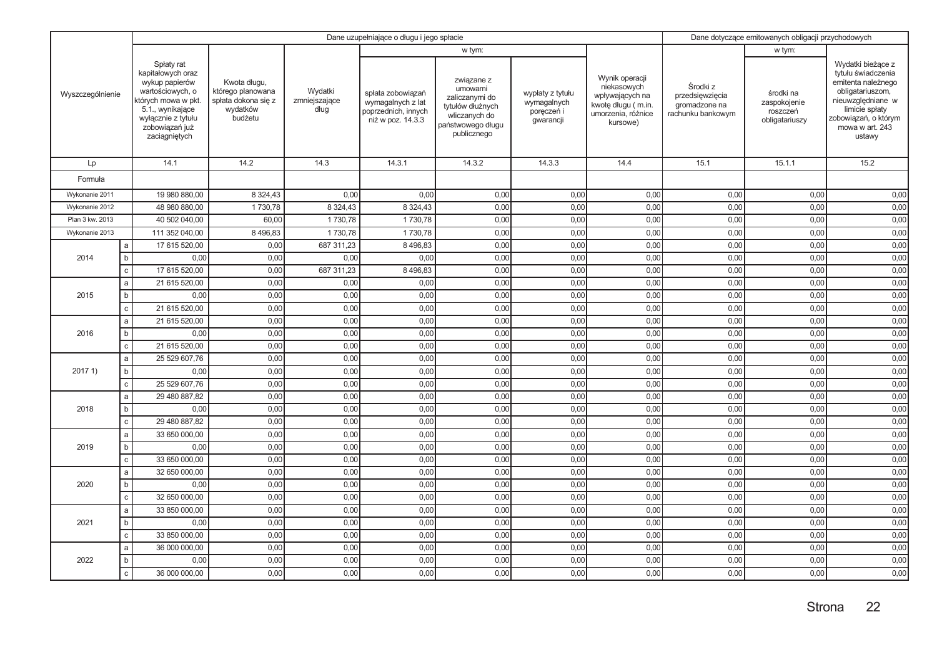|                  |              |                                                                                                                                                                           |                                                                                 | Dane uzupełniające o długu i jego spłacie |                                                                                    | Dane dotyczące emitowanych obligacji przychodowych                                                               |                                                            |                                                                                                          |                                                                   |                                                         |                                                                                                                                                                               |
|------------------|--------------|---------------------------------------------------------------------------------------------------------------------------------------------------------------------------|---------------------------------------------------------------------------------|-------------------------------------------|------------------------------------------------------------------------------------|------------------------------------------------------------------------------------------------------------------|------------------------------------------------------------|----------------------------------------------------------------------------------------------------------|-------------------------------------------------------------------|---------------------------------------------------------|-------------------------------------------------------------------------------------------------------------------------------------------------------------------------------|
|                  |              |                                                                                                                                                                           |                                                                                 |                                           |                                                                                    | w tym:                                                                                                           |                                                            |                                                                                                          |                                                                   | w tym:                                                  |                                                                                                                                                                               |
| Wyszczególnienie |              | Spłaty rat<br>kapitałowych oraz<br>wykup papierów<br>wartościowych, o<br>których mowa w pkt.<br>5.1., wynikające<br>wyłącznie z tytułu<br>zobowiązań już<br>zaciągniętych | Kwota długu,<br>którego planowana<br>spłata dokona się z<br>wydatków<br>budżetu | Wydatki<br>zmniejszające<br>dług          | spłata zobowiązań<br>wymagalnych z lat<br>poprzednich, innych<br>niż w poz. 14.3.3 | związane z<br>umowami<br>zaliczanymi do<br>tytułów dłużnych<br>wliczanych do<br>państwowego długu<br>publicznego | wypłaty z tytułu<br>wymagalnych<br>poręczeń i<br>gwarancji | Wynik operacji<br>niekasowych<br>wpływających na<br>kwotę długu (m.in.<br>umorzenia, różnice<br>kursowe) | Srodki z<br>przedsięwzięcia<br>gromadzone na<br>rachunku bankowym | środki na<br>zaspokojenie<br>roszczeń<br>obligatariuszy | Wydatki bieżące z<br>tytułu świadczenia<br>emitenta należnego<br>obligatariuszom,<br>nieuwzględniane w<br>limicie spłaty<br>zobowiązań, o którym<br>mowa w art. 243<br>ustawy |
| Lp               |              | 14.1                                                                                                                                                                      | 14.2                                                                            | 14.3                                      | 14.3.1                                                                             | 14.3.2                                                                                                           | 14.3.3                                                     | 14.4                                                                                                     | 15.1                                                              | 15.1.1                                                  | 15.2                                                                                                                                                                          |
| Formuła          |              |                                                                                                                                                                           |                                                                                 |                                           |                                                                                    |                                                                                                                  |                                                            |                                                                                                          |                                                                   |                                                         |                                                                                                                                                                               |
| Wykonanie 2011   |              | 19 980 880,00                                                                                                                                                             | 8 3 24, 43                                                                      | 0,00                                      | 0,00                                                                               | 0,00                                                                                                             | 0,00                                                       | 0,00                                                                                                     | 0,00                                                              | 0,00                                                    | 0,00                                                                                                                                                                          |
| Wykonanie 2012   |              | 48 980 880,00                                                                                                                                                             | 1730,78                                                                         | 8 3 24, 43                                | 8 3 24, 43                                                                         | 0,00                                                                                                             | 0,00                                                       | 0,00                                                                                                     | 0,00                                                              | 0,00                                                    | 0,00                                                                                                                                                                          |
| Plan 3 kw. 2013  |              | 40 502 040,00                                                                                                                                                             | 60,00                                                                           | 1730,78                                   | 1730,78                                                                            | 0,00                                                                                                             | 0,00                                                       | 0,00                                                                                                     | 0,00                                                              | 0,00                                                    | 0,00                                                                                                                                                                          |
| Wykonanie 2013   |              | 111 352 040,00                                                                                                                                                            | 8 4 9 6, 8 3                                                                    | 1730,78                                   | 1730,78                                                                            | 0,00                                                                                                             | 0,00                                                       | 0,00                                                                                                     | 0,00                                                              | 0,00                                                    | 0,00                                                                                                                                                                          |
|                  | $\mathsf{a}$ | 17 615 520,00                                                                                                                                                             | 0,00                                                                            | 687 311,23                                | 8 496,83                                                                           | 0,00                                                                                                             | 0,00                                                       | 0,00                                                                                                     | 0,00                                                              | 0,00                                                    | 0,00                                                                                                                                                                          |
| 2014             | b            | 0,00                                                                                                                                                                      | 0,00                                                                            | 0,00                                      | 0,00                                                                               | 0,00                                                                                                             | 0,00                                                       | 0,00                                                                                                     | 0,00                                                              | 0,00                                                    | 0,00                                                                                                                                                                          |
|                  | $\mathtt{C}$ | 17 615 520,00                                                                                                                                                             | 0,00                                                                            | 687 311,23                                | 8 49 6,83                                                                          | 0,00                                                                                                             | 0,00                                                       | 0,00                                                                                                     | 0,00                                                              | 0,00                                                    | 0,00                                                                                                                                                                          |
|                  | a            | 21 615 520,00                                                                                                                                                             | 0,00                                                                            | 0,00                                      | 0,00                                                                               | 0,00                                                                                                             | 0,00                                                       | 0,00                                                                                                     | 0,00                                                              | 0,00                                                    | 0,00                                                                                                                                                                          |
| 2015             | b            | 0,00                                                                                                                                                                      | 0,00                                                                            | 0,00                                      | 0,00                                                                               | 0,00                                                                                                             | 0,00                                                       | 0,00                                                                                                     | 0,00                                                              | 0,00                                                    | 0,00                                                                                                                                                                          |
|                  | $\mathbf c$  | 21 615 520,00                                                                                                                                                             | 0,00                                                                            | 0,00                                      | 0,00                                                                               | 0,00                                                                                                             | 0,00                                                       | 0,00                                                                                                     | 0,00                                                              | 0,00                                                    | 0,00                                                                                                                                                                          |
|                  | a            | 21 615 520,00                                                                                                                                                             | 0,00                                                                            | 0,00                                      | 0,00                                                                               | 0,00                                                                                                             | 0,00                                                       | 0,00                                                                                                     | 0,00                                                              | 0,00                                                    | 0,00                                                                                                                                                                          |
| 2016             | b            | 0,00                                                                                                                                                                      | 0,00                                                                            | 0,00                                      | 0,00                                                                               | 0,00                                                                                                             | 0,00                                                       | 0,00                                                                                                     | 0,00                                                              | 0,00                                                    | 0,00                                                                                                                                                                          |
|                  | $\mathtt{C}$ | 21 615 520,00                                                                                                                                                             | 0,00                                                                            | 0,00                                      | 0,00                                                                               | 0,00                                                                                                             | 0,00                                                       | 0,00                                                                                                     | 0,00                                                              | 0,00                                                    | 0,00                                                                                                                                                                          |
|                  | a            | 25 529 607,76                                                                                                                                                             | 0,00                                                                            | 0,00                                      | 0,00                                                                               | 0,00                                                                                                             | 0,00                                                       | 0,00                                                                                                     | 0,00                                                              | 0,00                                                    | 0,00                                                                                                                                                                          |
| 2017 1)          | $\mathsf b$  | 0,00                                                                                                                                                                      | 0,00                                                                            | 0,00                                      | 0,00                                                                               | 0,00                                                                                                             | 0,00                                                       | 0,00                                                                                                     | 0,00                                                              | 0,00                                                    | 0,00                                                                                                                                                                          |
|                  | $\mathtt{C}$ | 25 529 607,76                                                                                                                                                             | 0,00                                                                            | 0,00                                      | 0,00                                                                               | 0,00                                                                                                             | 0,00                                                       | 0,00                                                                                                     | 0,00                                                              | 0,00                                                    | 0,00                                                                                                                                                                          |
|                  | a            | 29 480 887,82                                                                                                                                                             | 0,00                                                                            | 0,00                                      | 0,00                                                                               | 0,00                                                                                                             | 0,00                                                       | 0,00                                                                                                     | 0,00                                                              | 0,00                                                    | 0,00                                                                                                                                                                          |
| 2018             | b            | 0,00                                                                                                                                                                      | 0,00                                                                            | 0,00                                      | 0,00                                                                               | 0,00                                                                                                             | 0,00                                                       | 0,00                                                                                                     | 0,00                                                              | 0,00                                                    | 0,00                                                                                                                                                                          |
|                  | $\mathtt{C}$ | 29 480 887,82                                                                                                                                                             | 0,00                                                                            | 0,00                                      | 0,00                                                                               | 0,00                                                                                                             | 0,00                                                       | 0,00                                                                                                     | 0,00                                                              | 0,00                                                    | 0,00                                                                                                                                                                          |
|                  | a            | 33 650 000,00                                                                                                                                                             | 0,00                                                                            | 0,00                                      | 0,00                                                                               | 0,00                                                                                                             | 0,00                                                       | 0,00                                                                                                     | 0,00                                                              | 0,00                                                    | 0,00                                                                                                                                                                          |
| 2019             | b            | 0,00                                                                                                                                                                      | 0,00                                                                            | 0,00                                      | 0,00                                                                               | 0,00                                                                                                             | 0,00                                                       | 0,00                                                                                                     | 0,00                                                              | 0,00                                                    | 0,00                                                                                                                                                                          |
|                  | $\mathtt{C}$ | 33 650 000,00                                                                                                                                                             | 0,00                                                                            | 0,00                                      | 0,00                                                                               | 0,00                                                                                                             | 0,00                                                       | 0,00                                                                                                     | 0,00                                                              | 0,00                                                    | 0,00                                                                                                                                                                          |
|                  | a            | 32 650 000,00                                                                                                                                                             | 0,00                                                                            | 0,00                                      | 0,00                                                                               | 0,00                                                                                                             | 0,00                                                       | 0,00                                                                                                     | 0,00                                                              | 0,00                                                    | 0,00                                                                                                                                                                          |
| 2020             | b            | 0.00                                                                                                                                                                      | 0,00                                                                            | 0,00                                      | 0,00                                                                               | 0,00                                                                                                             | 0,00                                                       | 0,00                                                                                                     | 0,00                                                              | 0,00                                                    | 0,00                                                                                                                                                                          |
|                  | $\mathtt{C}$ | 32 650 000,00                                                                                                                                                             | 0,00                                                                            | 0,00                                      | 0,00                                                                               | 0,00                                                                                                             | 0,00                                                       | 0,00                                                                                                     | 0,00                                                              | 0,00                                                    | 0,00                                                                                                                                                                          |
|                  | a            | 33 850 000,00                                                                                                                                                             | 0,00                                                                            | 0,00                                      | 0,00                                                                               | 0,00                                                                                                             | 0,00                                                       | 0,00                                                                                                     | 0,00                                                              | 0,00                                                    | 0,00                                                                                                                                                                          |
| 2021             | b            | 0,00                                                                                                                                                                      | 0,00                                                                            | 0,00                                      | 0,00                                                                               | 0,00                                                                                                             | 0,00                                                       | 0,00                                                                                                     | 0,00                                                              | 0,00                                                    | 0,00                                                                                                                                                                          |
|                  | $\mathtt{C}$ | 33 850 000,00                                                                                                                                                             | 0,00                                                                            | 0,00                                      | 0,00                                                                               | 0,00                                                                                                             | 0,00                                                       | 0,00                                                                                                     | 0,00                                                              | 0,00                                                    | 0,00                                                                                                                                                                          |
|                  | $\mathsf{a}$ | 36 000 000,00                                                                                                                                                             | 0,00                                                                            | 0,00                                      | 0,00                                                                               | 0,00                                                                                                             | 0,00                                                       | 0,00                                                                                                     | 0,00<br>0,00                                                      | 0,00<br>0,00                                            | 0,00                                                                                                                                                                          |
| 2022             | b            | 0,00                                                                                                                                                                      | 0,00                                                                            | 0,00                                      | 0,00                                                                               | 0,00                                                                                                             | 0,00                                                       | 0,00                                                                                                     |                                                                   |                                                         | 0,00                                                                                                                                                                          |
|                  | C            | 36 000 000,00                                                                                                                                                             | 0,00                                                                            | 0,00                                      | 0,00                                                                               | 0,00                                                                                                             | 0,00                                                       | 0,00                                                                                                     | 0,00                                                              | 0,00                                                    | 0,00                                                                                                                                                                          |